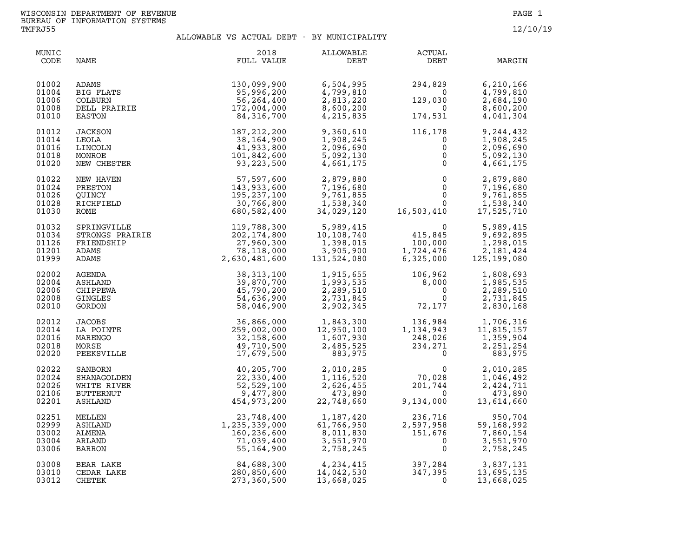| MUNIC<br>CODE                             | NAME                        | 2018<br>FULL VALUE                                                                                                             | ALLOWABLE<br>DEBT                                               | ACTUAL<br>DEBT                                                                                                                      | MARGIN                                                                      |
|-------------------------------------------|-----------------------------|--------------------------------------------------------------------------------------------------------------------------------|-----------------------------------------------------------------|-------------------------------------------------------------------------------------------------------------------------------------|-----------------------------------------------------------------------------|
| 01002<br>01004<br>01006<br>01008<br>01010 |                             | ADAMS<br>BIG FLATS<br>COLBURN 95,996,200<br>COLBURN 56,264,400<br>DELL PRAIRIE 172,004,000<br>RAIRIE 172,004,000<br>84,316,700 | 6,504,995<br>4,799,810<br>2,813,220<br>8,600,200<br>4, 215, 835 | 294,829<br>$\Omega$<br>129,030<br>$\overline{0}$<br>174,531                                                                         | 6,210,166<br>4,799,810<br>2,684,190<br>8,600,200<br>4,041,304               |
| 01012<br>01014<br>01016<br>01018<br>01020 | JACKSON<br>LEOLA<br>LINCOLN | 187, 212, 200<br>38,164,900<br>41,933,800                                                                                      | 9,360,610<br>1,908,245<br>2,096,690                             | 116, 178<br>$\begin{matrix} - & - & - & \cdot & \cdot & 0 \\ & & & & 0 \\ & & & & & 0 \\ & & & & & 0 \\ & & & & & & 0 \end{matrix}$ | 9,244,432<br>1,908,245<br>2,096,690<br>$\begin{matrix} 0 \\ 0 \end{matrix}$ |
| 01022<br>01024<br>01026<br>01028<br>01030 |                             |                                                                                                                                |                                                                 |                                                                                                                                     |                                                                             |
| 01032<br>01034<br>01126<br>01201<br>01999 |                             |                                                                                                                                |                                                                 |                                                                                                                                     |                                                                             |
| 02002<br>02004<br>02006<br>02008<br>02010 |                             |                                                                                                                                |                                                                 |                                                                                                                                     |                                                                             |
| 02012<br>02014<br>02016<br>02018<br>02020 |                             |                                                                                                                                |                                                                 |                                                                                                                                     |                                                                             |
| 02022<br>02024<br>02026<br>02106<br>02201 |                             |                                                                                                                                |                                                                 |                                                                                                                                     |                                                                             |
| 02251<br>02999<br>03002<br>03004<br>03006 |                             |                                                                                                                                |                                                                 |                                                                                                                                     |                                                                             |
| 03008<br>03010<br>03012                   |                             |                                                                                                                                |                                                                 |                                                                                                                                     |                                                                             |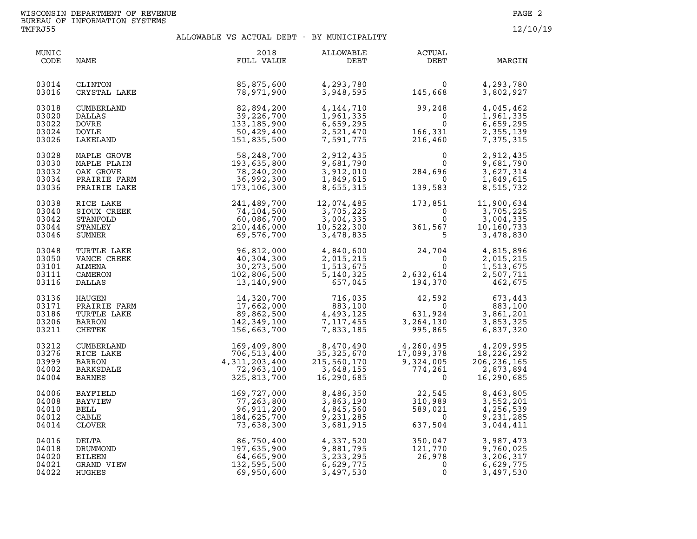| MUNIC<br>CODE                             | NAME                                                             | 2018<br>FULL VALUE                                                                                                                                                               | ALLOWABLE<br>DEBT                                                                     | ACTUAL<br>DEBT                                                                                                                                                                                                                                                                                                         | MARGIN                                                                                       |
|-------------------------------------------|------------------------------------------------------------------|----------------------------------------------------------------------------------------------------------------------------------------------------------------------------------|---------------------------------------------------------------------------------------|------------------------------------------------------------------------------------------------------------------------------------------------------------------------------------------------------------------------------------------------------------------------------------------------------------------------|----------------------------------------------------------------------------------------------|
| 03014<br>03016                            | CLINTON<br>CRYSTAL LAKE                                          | $\mathbf{E}$<br>85,875,600<br>78,971,900                                                                                                                                         | 4,293,780<br>3,948,595                                                                | $\begin{array}{c} 0 \\ 145,668 \end{array}$                                                                                                                                                                                                                                                                            | 4,293,780<br>3,802,927                                                                       |
| 03018<br>03020<br>03022<br>03024<br>03026 | CUMBERLAND<br><b>DALLAS</b><br>DOVRE<br><b>DOYLE</b><br>LAKELAND | $\begin{array}{c} 82, 894, 200 \\ 39, 226, 700 \\ 133, 185, 900 \\ 50, 429, 400 \\ 151, 835, 500 \end{array}$                                                                    | 4, 144, 710<br>1,961,335<br>6,659,295<br>2,521,470<br>7,591,775                       | 99,248<br>$166,331$<br>$216,460$                                                                                                                                                                                                                                                                                       | 4,045,462<br>1,961,335<br>6,659,295<br>2,355,139<br>7,375,315                                |
| 03028<br>03030<br>03032<br>03034<br>03036 |                                                                  | MAPLE GROVE 58,248,700<br>MAPLE PLAIN 193,635,800<br>OAK GROVE 78,240,200<br>PRAIRIE FARM 36,992,300<br>PRAIRIE LAKE 173,106,300                                                 |                                                                                       | 2,912,435<br>9,681,790 0<br>3,912,010 284,696<br>1,849,615 0<br>8,655,315 139,583                                                                                                                                                                                                                                      | 2,912,435<br>9,681,790<br>3,627,314<br>1,849,615<br>8,515,732                                |
| 03038<br>03040<br>03042<br>03044<br>03046 | RICE LAKE<br>SIOUX CREEK<br>STANFOLD<br>STANLEY<br>SUMNER        | X<br>EXERENCE 241, 489, 700<br>74, 104, 500<br>60, 086, 700<br>210, 446, 000<br>69, 576, 700                                                                                     | $12,074,485$<br>$3,705,225$<br>$3,004,335$<br>$10,522,300$<br>$3,478,835$<br>$10,567$ |                                                                                                                                                                                                                                                                                                                        | $173,851$ $11,900,634$<br>0 $3,705,225$<br>3,705,225<br>3,004,335<br>10,160,733<br>3,478,830 |
| 03048<br>03050<br>03101<br>03111<br>03116 | TURTLE LAKE<br>VANCE CREEK<br>ALMENA<br>CAMERON<br>DALLAS        | 96, 812, 000<br>40, 304, 300<br>30, 273, 500<br>102, 806, 500<br>13, 140, 900                                                                                                    | 4,840,600<br>2,015,215<br>1,513,675<br>5,140,325<br>657,045                           | $\begin{array}{cccc} 4,840,600 \\ 2,015,215 \\ 1,513,675 \\ 5,140,325 \\ 657,045 \end{array} \hskip .75cm \begin{array}{cccc} 24,704 \\ 0 \\ 2,015,215 \\ 0 \\ 1,513,675 \\ 2,632,614 \\ 194,370 \end{array} \hskip .75cm \begin{array}{cccc} 4,815,896 \\ 2,015,215 \\ 1,513,675 \\ 2,507,711 \\ 462,675 \end{array}$ |                                                                                              |
| 03136<br>03171<br>03186<br>03206<br>03211 | HAUGEN<br>PRAIRIE FARM<br>TURTLE LAKE<br>BARRON<br>CHETEK        | 14,320,700<br>17,662,000<br>17,662,000<br>89,862,500<br>142,349,100<br>156,663,700                                                                                               |                                                                                       | 716,035 42,592<br>883,100 0<br>883,100<br>4,493,125<br>7,117,455<br>7,833,185<br>895,865                                                                                                                                                                                                                               | 592 673,443<br>0 883.100<br>3,861,201<br>3,853,325<br>6,837,320                              |
| 03212<br>03276<br>03999<br>04002<br>04004 | CUMBERLAND<br>RICE LAKE<br>BARRON<br>BARKSDALE<br><b>BARNES</b>  | 169,409,800<br>706,513,400<br>4,311,203,400<br>72,963,100<br>325, 813, 700                                                                                                       | 8,470,490<br>35,325,670<br>215,560,170<br>3,648,155<br>$3,648,155$<br>16,290.685      | $\begin{array}{cccc} 4,260,495 & & 4,209,995\ 17,099,378 & & 18,226,292\ 9,324,005 & & 206,236,165\ 774,261 & & 2,873,894\ 0 & & 16,290,685 \end{array}$                                                                                                                                                               |                                                                                              |
| 04006<br>04008<br>04010<br>04012<br>04014 | BAYFIELD<br>BAYVIEW<br>BELL<br>CABLE<br>CLOVER                   | 325, 813, 700<br>169, 727, 000<br>77, 263, 800<br>96, 911, 200<br>184, 625, 700<br>73, 638, 300<br>86, 750, 400<br>197, 635, 900<br>64, 665, 900<br>69, 950, 600<br>69, 950, 600 | 8,486,350<br>3,863,190<br>4,845,560<br>9,231,285<br>3,681,915                         | $22,545$<br>310,989<br>589,021<br>637,504                                                                                                                                                                                                                                                                              | 8,463,805<br>3,552,201<br>4,256,539<br>9,231,285<br>3,044,411                                |
| 04016<br>04018<br>04020<br>04021<br>04022 | DELTA<br>DRUMMOND<br>EILEEN<br>GRAND VIEW<br>HUGHES              |                                                                                                                                                                                  | 4,337,520<br>9,881,795<br>3,233,295<br>6,629,775<br>3,497,530                         | $350,047$<br>$121,770$<br>$26,978$<br>$0$                                                                                                                                                                                                                                                                              | 3,987,473<br>9,760,025<br>3,206,317<br>6,629,775<br>3,497,530                                |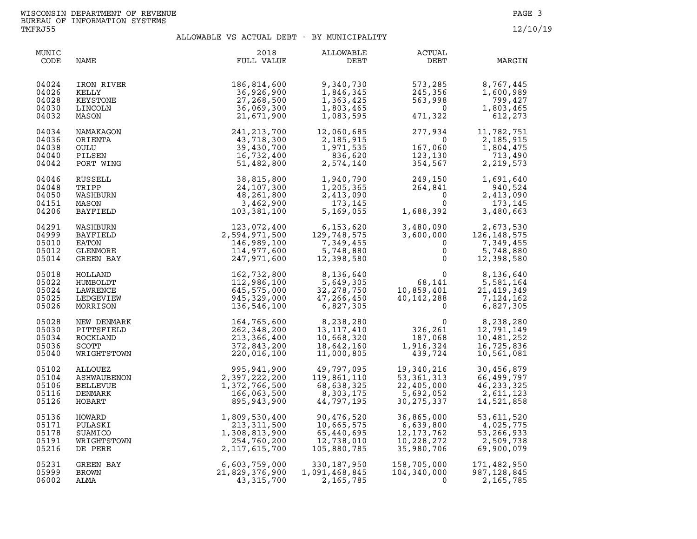| MUNIC<br>CODE | NAME            | 2018<br>FULL VALUE | ALLOWABLE<br>DEBT | <b>ACTUAL</b><br>DEBT                        | MARGIN        |
|---------------|-----------------|--------------------|-------------------|----------------------------------------------|---------------|
| 04024         | IRON RIVER      | 186,814,600        | 9,340,730         | 573,285                                      | 8,767,445     |
| 04026         | KELLY           | 36,926,900         | 1,846,345         | 245,356                                      | 1,600,989     |
| 04028         | KEYSTONE        | 27,268,500         | 1,363,425         | 563,998                                      | 799,427       |
| 04030         | LINCOLN         | 36,069,300         | 1,803,465         | $\Omega$                                     | 1,803,465     |
| 04032         | MASON           | 21,671,900         | 1,083,595         | 471,322                                      | 612,273       |
| 04034         | NAMAKAGON       | 241,213,700        | 12,060,685        | 277,934                                      | 11,782,751    |
| 04036         | ORIENTA         | 43,718,300         | 2,185,915         | $\overline{0}$                               | 2,185,915     |
| 04038         | OULU            | 39,430,700         | 1,971,535         | 167,060                                      | 1,804,475     |
| 04040         | PILSEN          | 16,732,400         | 836,620           | 123,130                                      | 713,490       |
| 04042         | PORT WING       | 51,482,800         | 2,574,140         | 354,567                                      | 2, 219, 573   |
| 04046         | RUSSELL         | 38,815,800         | 1,940,790         | $249,150$<br>$264,841$<br>$0$<br>$1,688,392$ | 1,691,640     |
| 04048         | TRIPP           | 24,107,300         | 1,205,365         |                                              | 940,524       |
| 04050         | WASHBURN        | 48,261,800         | 2,413,090         |                                              | 2,413,090     |
| 04151         | MASON           | 3,462,900          | 173,145           |                                              | 173,145       |
| 04206         | BAYFIELD        | 103,381,100        | 5,169,055         |                                              | 3,480,663     |
| 04291         | WASHBURN        | 123,072,400        | 6,153,620         | 3,480,090                                    | 2,673,530     |
| 04999         | BAYFIELD        | 2,594,971,500      | 129,748,575       | 3,600,000                                    | 126, 148, 575 |
| 05010         | EATON           | 146,989,100        | 7,349,455         | $\mathbf 0$                                  | 7,349,455     |
| 05012         | GLENMORE        | 114,977,600        | 5,748,880         | $\mathsf{O}$                                 | 5,748,880     |
| 05014         | GREEN BAY       | 247,971,600        | 12,398,580        | $\mathbf{0}$                                 | 12,398,580    |
| 05018         | HOLLAND         | 162,732,800        | 8,136,640         | $\Omega$                                     | 8,136,640     |
| 05022         | HUMBOLDT        | 112,986,100        | 5,649,305         | 68,141                                       | 5,581,164     |
| 05024         | LAWRENCE        | 645,575,000        | 32,278,750        | 10,859,401                                   | 21, 419, 349  |
| 05025         | LEDGEVIEW       | 945,329,000        | 47,266,450        | 40,142,288                                   | 7,124,162     |
| 05026         | MORRISON        | 136,546,100        | 6,827,305         | $\Omega$                                     | 6,827,305     |
| 05028         | NEW DENMARK     | 164,765,600        | 8,238,280         | 0                                            | 8,238,280     |
| 05030         | PITTSFIELD      | 262,348,200        | 13, 117, 410      | 326, 261                                     | 12,791,149    |
| 05034         | ROCKLAND        | 213,366,400        | 10,668,320        | 187,068                                      | 10,481,252    |
| 05036         | SCOTT           | 372,843,200        | 18,642,160        | 1,916,324                                    | 16,725,836    |
| 05040         | WRIGHTSTOWN     | 220,016,100        | 11,000,805        | 439,724                                      | 10,561,081    |
| 05102         | ALLOUEZ         | 995,941,900        | 49,797,095        | 19,340,216                                   | 30,456,879    |
| 05104         | ASHWAUBENON     | 2,397,222,200      | 119,861,110       | 53, 361, 313                                 | 66,499,797    |
| 05106         | <b>BELLEVUE</b> | 1,372,766,500      | 68,638,325        | 22,405,000                                   | 46, 233, 325  |
| 05116         | DENMARK         | 166,063,500        | 8,303,175         | 5,692,052                                    | 2,611,123     |
| 05126         | HOBART          | 895,943,900        | 44,797,195        | 30, 275, 337                                 | 14,521,858    |
| 05136         | HOWARD          | 1,809,530,400      | 90,476,520        | 36,865,000                                   | 53,611,520    |
| 05171         | PULASKI         | 213, 311, 500      | 10,665,575        | 6,639,800                                    | 4,025,775     |
| 05178         | SUAMICO         | 1,308,813,900      | 65,440,695        | 12, 173, 762                                 | 53,266,933    |
| 05191         | WRIGHTSTOWN     | 254,760,200        | 12,738,010        | 10,228,272                                   | 2,509,738     |
| 05216         | DE PERE         | 2, 117, 615, 700   | 105,880,785       | 35,980,706                                   | 69,900,079    |
| 05231         | GREEN BAY       | 6,603,759,000      | 330,187,950       | 158,705,000                                  | 171,482,950   |
| 05999         | <b>BROWN</b>    | 21,829,376,900     | 1,091,468,845     | 104,340,000                                  | 987, 128, 845 |
| 06002         | ALMA            | 43, 315, 700       | 2,165,785         | $\Omega$                                     | 2,165,785     |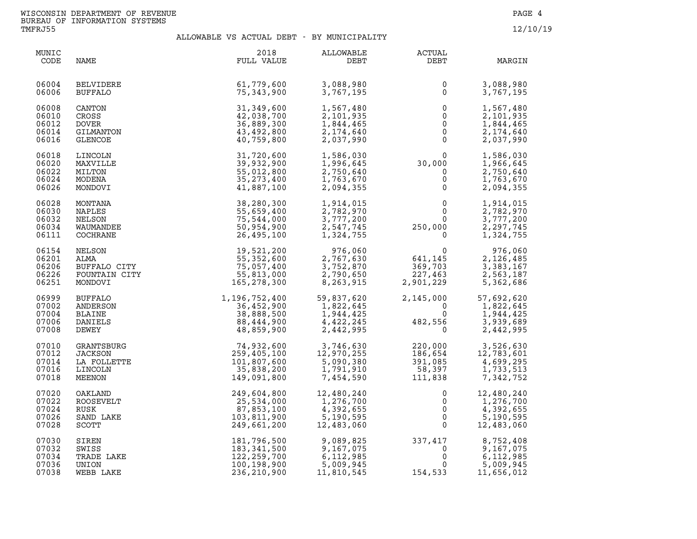| MUNIC<br>CODE                             | NAME                                                       | 2018<br>FULL VALUE                                                    | ALLOWABLE<br>DEBT                                              | <b>ACTUAL</b><br>DEBT                                             | MARGIN                                                         |
|-------------------------------------------|------------------------------------------------------------|-----------------------------------------------------------------------|----------------------------------------------------------------|-------------------------------------------------------------------|----------------------------------------------------------------|
| 06004<br>06006                            | <b>BELVIDERE</b><br><b>BUFFALO</b>                         | 61,779,600<br>75,343,900                                              | 3,088,980<br>3,767,195                                         | 0<br>$\mathbf 0$                                                  | 3,088,980<br>3,767,195                                         |
| 06008                                     | CANTON                                                     | 31,349,600                                                            | 1,567,480                                                      | $\overline{0}$                                                    | 1,567,480                                                      |
| 06010                                     | CROSS                                                      | 42,038,700                                                            | 2,101,935                                                      | $\mathsf{O}$                                                      | 2,101,935                                                      |
| 06012                                     | <b>DOVER</b>                                               | 36,889,300                                                            | 1,844,465                                                      | $\mathsf{O}\xspace$                                               | 1,844,465                                                      |
| 06014                                     | GILMANTON                                                  | 43,492,800                                                            | 2,174,640                                                      | $\overline{0}$                                                    | 2,174,640                                                      |
| 06016                                     | <b>GLENCOE</b>                                             | 40,759,800                                                            | 2,037,990                                                      | $\overline{0}$                                                    | 2,037,990                                                      |
| 06018<br>06020<br>06022<br>06024<br>06026 | LINCOLN<br>MAXVILLE<br>MILTON<br>MODENA<br>MONDOVI         | 31,720,600<br>39,932,900<br>55,012,800<br>35, 273, 400<br>41,887,100  | 1,586,030<br>1,996,645<br>2,750,640<br>1,763,670<br>2,094,355  | 0<br>30,000<br>$\mathsf{O}$<br>$\mathsf{O}\xspace$<br>$\mathbf 0$ | 1,586,030<br>1,966,645<br>2,750,640<br>1,763,670<br>2,094,355  |
| 06028                                     | MONTANA                                                    | 38,280,300                                                            | 1,914,015                                                      | $\mathsf 0$                                                       | 1,914,015                                                      |
| 06030                                     | NAPLES                                                     | 55,659,400                                                            | 2,782,970                                                      | $\mathbf 0$                                                       | 2,782,970                                                      |
| 06032                                     | NELSON                                                     | 75,544,000                                                            | 3,777,200                                                      | $\overline{0}$                                                    | 3,777,200                                                      |
| 06034                                     | WAUMANDEE                                                  | 50,954,900                                                            | 2,547,745                                                      | 250,000                                                           | 2,297,745                                                      |
| 06111                                     | COCHRANE                                                   | 26,495,100                                                            | 1,324,755                                                      | $\mathsf{O}$                                                      | 1,324,755                                                      |
| 06154<br>06201<br>06206<br>06226<br>06251 | NELSON<br>ALMA<br>BUFFALO CITY<br>FOUNTAIN CITY<br>MONDOVI | 19,521,200<br>55, 352, 600<br>75,057,400<br>55,813,000<br>165,278,300 | 976,060<br>2,767,630<br>3,752,870<br>2,790,650<br>8,263,915    | 641, 145<br>369,703<br>227,463<br>2,901,229                       | 976,060<br>2,126,485<br>3,383,167<br>2,563,187<br>5,362,686    |
| 06999<br>07002<br>07004<br>07006<br>07008 | BUFFALO<br>ANDERSON<br><b>BLAINE</b><br>DANIELS<br>DEWEY   | 1,196,752,400<br>36,452,900<br>38,888,500<br>88,444,900<br>48,859,900 | 59,837,620<br>1,822,645<br>1,944,425<br>4,422,245<br>2,442,995 | 2,145,000<br>$\mathbf 0$<br>0<br>0<br>482,556<br>$\mathbf{0}$     | 57,692,620<br>1,822,645<br>1,944,425<br>3,939,689<br>2,442,995 |
| 07010                                     | GRANTSBURG                                                 | 74,932,600                                                            | 3,746,630                                                      | 220,000                                                           | 3,526,630                                                      |
| 07012                                     | <b>JACKSON</b>                                             | 259,405,100                                                           | 12,970,255                                                     | 186,654                                                           | 12,783,601                                                     |
| 07014                                     | LA FOLLETTE                                                | 101,807,600                                                           | 5,090,380                                                      | 391,085                                                           | 4,699,295                                                      |
| 07016                                     | LINCOLN                                                    | 35,838,200                                                            | 1,791,910                                                      | 58,397                                                            | 1,733,513                                                      |
| 07018                                     | MEENON                                                     | 149,091,800                                                           | 7,454,590                                                      | 111,838                                                           | 7,342,752                                                      |
| 07020                                     | OAKLAND                                                    | 249,604,800                                                           | 12,480,240                                                     | 0                                                                 | 12,480,240                                                     |
| 07022                                     | ROOSEVELT                                                  | 25,534,000                                                            | 1,276,700                                                      | 0                                                                 | 1,276,700                                                      |
| 07024                                     | RUSK                                                       | 87,853,100                                                            | 4,392,655                                                      | $\mathsf{O}\xspace$                                               | 4,392,655                                                      |
| 07026                                     | SAND LAKE                                                  | 103,811,900                                                           | 5,190,595                                                      | $\overline{0}$                                                    | 5,190,595                                                      |
| 07028                                     | SCOTT                                                      | 249,661,200                                                           | 12,483,060                                                     | $\Omega$                                                          | 12,483,060                                                     |
| 07030                                     | SIREN                                                      | 181,796,500                                                           | 9,089,825                                                      | 337,417                                                           | 8,752,408                                                      |
| 07032                                     | SWISS                                                      | 183, 341, 500                                                         | 9,167,075                                                      | $\overline{0}$                                                    | 9,167,075                                                      |
| 07034                                     | TRADE LAKE                                                 | 122,259,700                                                           | 6,112,985                                                      | $\mathsf{O}$                                                      | 6,112,985                                                      |
| 07036                                     | UNION                                                      | 100,198,900                                                           | 5,009,945                                                      | 0                                                                 | 5,009,945                                                      |
| 07038                                     | WEBB LAKE                                                  | 236,210,900                                                           | 11,810,545                                                     | 154,533                                                           | 11,656,012                                                     |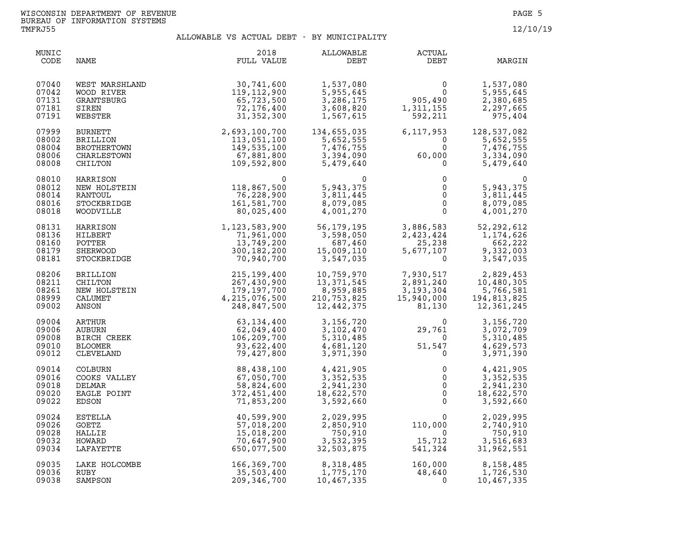| MUNIC<br>CODE                             | NAME                                                                                                               | 2018<br>FULL VALUE                                                                                  | ALLOWABLE<br>DEBT                                                                                | ACTUAL<br>DEBT                                                                                                                                                                    | MARGIN                                                                                                         |
|-------------------------------------------|--------------------------------------------------------------------------------------------------------------------|-----------------------------------------------------------------------------------------------------|--------------------------------------------------------------------------------------------------|-----------------------------------------------------------------------------------------------------------------------------------------------------------------------------------|----------------------------------------------------------------------------------------------------------------|
| 07040<br>07042<br>07131<br>07181<br>07191 | WEST MARSHLAND<br>WOOD RIVER<br>GRANTSBURG<br>SIREN<br>WEBSTER                                                     | AND<br>30,741,600<br>119,112,900<br>65,723,500<br>72,176,400<br>31.352.362                          | 1,537,080<br>5,955,645<br>3,286,175<br>3,608,820<br>1,567,615                                    | $\begin{array}{c}0\\0\\0\\1.311\ 155\end{array}$<br>$1, \frac{311}{150}$ , 155                                                                                                    | 1,537,080<br>5,955,645<br>2,380,685<br>2,297,665<br>975,404                                                    |
| 07999<br>08002<br>08004<br>08006<br>08008 | <b>BURNETT</b><br><b>BRILLION</b><br>BROTHERTOWN<br>CHARLESTOWN<br>CHILTON                                         | 31, 352, 300<br>2, 693, 100, 700<br>113, 051, 100<br>149, 535, 100<br>57, 881, 800<br>109, 592, 800 | 134,655,035<br>5,652,555<br>7,476,755<br>3,394,090<br>5,479,640                                  | 6,117,953<br>$\begin{smallmatrix}&&&0\\&&0\\60,000\end{smallmatrix}$<br>$\overline{0}$                                                                                            | 128,537,082<br>$\begin{bmatrix} 3 \\ 0 \\ 2 \end{bmatrix}$<br>5,652,555<br>7,476,755<br>3,334,090<br>5,479,640 |
| 08010<br>08012<br>08014<br>08016<br>08018 | HARRISON<br>NEW HOLSTEIN<br>RANTOUL<br>STOCKBRIDGE<br>WOODVILLE                                                    | 118,867,500<br>118,867,500<br>76,228,900<br>161,581,700<br>80,025.400                               | 0<br>5,943,375<br>3,811,445<br>8,079,085<br>4,001,270                                            | $\begin{matrix} 0 \\ 0 \end{matrix}$<br>$\begin{matrix} 0 \\ 0 \\ 0 \\ 0 \end{matrix}$<br>$\overline{0}$                                                                          | $\Omega$<br>5,943,375<br>3,811,445<br>8,079,085<br>4,001,270                                                   |
| 08131<br>08136<br>08160<br>08179<br>08181 | HARRISON<br>HILBERT<br>POTTER<br>SHERWOOD<br>STOCKBRIDGE                                                           | $1, 123, 583, 900$<br>$71, 961, 000$<br>$13, 749, 200$<br>$300, 182, 200$<br>$70, 940, 700$         | 56,179,195<br>3,598,050<br>687,460<br>15,009,110<br>3,547,035                                    | 3,886,583<br>2,423,424<br>25,238<br>5,677,107<br>$\Omega$                                                                                                                         | 52, 292, 612<br>1,174,626<br>662,222<br>9,332,003<br>3,547,035                                                 |
| 08206<br>08211<br>08261<br>08999<br>09002 |                                                                                                                    | 215,199,400<br>267,430,900<br>179,197,700<br>4, 215, 076, 500<br>248,847,500                        | 10,759,970<br>13, 3 / 1, 5<br>8, 959, 885<br>ספר הרה<br>210,753,825<br>$\overline{12, 442, 375}$ | 7,930,517                                                                                                                                                                         | 2,829,453<br>2, 891, 240<br>3, 193, 304<br>15, 940, 000<br>81, 130<br>12, 361, 245                             |
| 09004<br>09006<br>09008<br>09010<br>09012 | BRILLION<br>CHILTON<br>NEW HOLSTEIN<br>CALUMET<br>ANSON<br>ARTHUR<br>AUBURN<br>BIRCH CREEK<br>BLOOMER<br>CLEVELAND | 63,134,400<br>62,049,400<br>106,209,700<br>93,622,400<br>79,427,800                                 |                                                                                                  | $\begin{array}{llll} 3\,, 156\,, 720 & 0\\ 3\,, 102\,, 470 & 29\,, 761\\ 5\,, 310\,, 485 & 0\\ 4\,, 681\,, 120 & 51\,, 547\\ 3\,, 971\,, 390 & 0 \end{array}$<br>29,761<br>51,547 | 3,156,720<br>3,072,709<br>5,310,485<br>4,629,573<br>3,971,390                                                  |
| 09014<br>09016<br>09018<br>09020<br>09022 | COLBURN<br>COOKS VALLEY<br>DELMAR<br>EAGLE POINT<br>EDSON                                                          | 88,438,100<br>67,050,700<br>58,824,600<br>372,451,400<br>71,853,200                                 | 4,421,905<br>3,352,535<br>2,941,230<br>18,622,570<br>3,592,660                                   | 0<br>$\mathbf 0$<br>$\overline{0}$<br>$\overline{0}$<br>$\Omega$                                                                                                                  | 4,421,905<br>3,352,535<br>2,941,230<br>18,622,570<br>3,592,660                                                 |
| 09024<br>09026<br>09028<br>09032<br>09034 | ESTELLA<br>GOETZ<br>HALLIE<br>HOWARD<br>LAFAYETTE                                                                  | 40,599,900<br>57,018,200<br>15,018,200<br>70,647,900<br>650,077,500                                 | 2,029,995<br>2,850,910<br>750,910<br>3,532,395<br>32,503,875                                     | 110,000<br>$\overline{0}$<br>15,712<br>541,324                                                                                                                                    | 2,029,995<br>2,740,910<br>750,910<br>3,516,683<br>31,962,551                                                   |
| 09035<br>09036<br>09038                   | LAKE HOLCOMBE<br>RUBY<br>SAMPSON                                                                                   | 166,369,700<br>35,503,400<br>209,346,700                                                            | 8,318,485<br>1,775,170<br>10,467,335                                                             | $160,000 \ 48,640 \ 0$                                                                                                                                                            | 8,158,485<br>1,726,530<br>10,467,335                                                                           |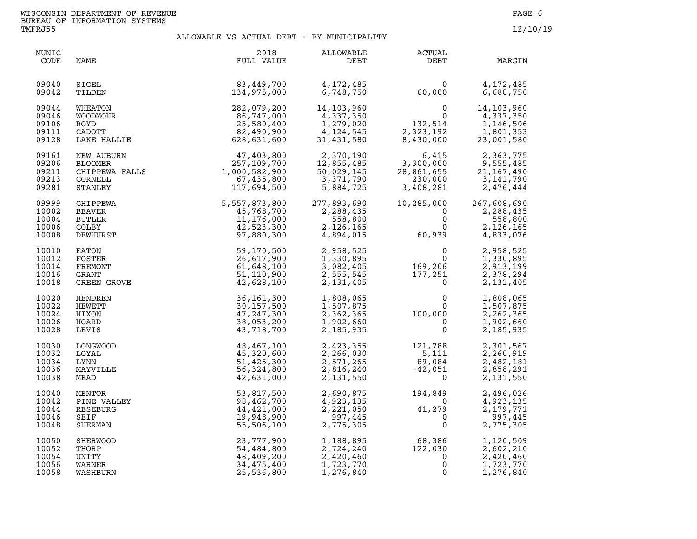| MUNIC<br>CODE                             | NAME                                                            | 2018<br>FULL VALUE                                                      | ALLOWABLE<br>DEBT                                                 | <b>ACTUAL</b><br>DEBT                                              | MARGIN                                                           |
|-------------------------------------------|-----------------------------------------------------------------|-------------------------------------------------------------------------|-------------------------------------------------------------------|--------------------------------------------------------------------|------------------------------------------------------------------|
| 09040                                     | SIGEL                                                           | 83,449,700                                                              | 4,172,485                                                         | $\mathbf{0}$                                                       | 4, 172, 485                                                      |
| 09042                                     | TILDEN                                                          | 134,975,000                                                             | 6,748,750                                                         | 60,000                                                             | 6,688,750                                                        |
| 09044<br>09046<br>09106<br>09111<br>09128 | WHEATON<br>WOODMOHR<br><b>BOYD</b><br>CADOTT<br>LAKE HALLIE     | 282,079,200<br>86,747,000<br>25,580,400<br>82,490,900<br>628,631,600    | 14,103,960<br>4,337,350<br>1,279,020<br>4, 124, 545<br>31,431,580 | 0<br>$\frac{0}{132,514}$<br>2,323,192<br>8,430,000                 | 14,103,960<br>4,337,350<br>1,146,506<br>1,801,353<br>23,001,580  |
| 09161<br>09206<br>09211<br>09213<br>09281 | NEW AUBURN<br>BLOOMER<br>CHIPPEWA FALLS<br>CORNELL<br>STANLEY   | 47,403,800<br>257,109,700<br>1,000,582,900<br>67,435,800<br>117,694,500 | 2,370,190<br>12,855,485<br>50,029,145<br>3,371,790<br>5,884,725   | 6,415<br>3,300,000<br>28,861,655<br>230,000<br>3,408,281           | 2,363,775<br>9,555,485<br>21, 167, 490<br>3,141,790<br>2,476,444 |
| 09999<br>10002<br>10004<br>10006<br>10008 | CHIPPEWA<br><b>BEAVER</b><br><b>BUTLER</b><br>COLBY<br>DEWHURST | 5,557,873,800<br>45,768,700<br>11,176,000<br>42,523,300<br>97,880,300   | 277,893,690<br>2,288,435<br>558,800<br>2,126,165<br>4,894,015     | 10,285,000<br>$\mathbf 0$<br>$\mathbf 0$<br>$\mathbf{0}$<br>60,939 | 267,608,690<br>2,288,435<br>558,800<br>2,126,165<br>4,833,076    |
| 10010                                     | EATON                                                           | 59,170,500                                                              | 2,958,525                                                         | 0                                                                  | 2,958,525                                                        |
| 10012                                     | FOSTER                                                          | 26,617,900                                                              | 1,330,895                                                         | $\mathbf 0$                                                        | 1,330,895                                                        |
| 10014                                     | FREMONT                                                         | 61,648,100                                                              | 3,082,405                                                         | 169,206                                                            | 2,913,199                                                        |
| 10016                                     | GRANT                                                           | 51,110,900                                                              | 2,555,545                                                         | 177,251                                                            | 2,378,294                                                        |
| 10018                                     | GREEN GROVE                                                     | 42,628,100                                                              | 2,131,405                                                         | $\mathbf 0$                                                        | 2,131,405                                                        |
| 10020                                     | HENDREN                                                         | 36, 161, 300                                                            | 1,808,065                                                         | 0                                                                  | 1,808,065                                                        |
| 10022                                     | HEWETT                                                          | 30, 157, 500                                                            | 1,507,875                                                         | $\Omega$                                                           | 1,507,875                                                        |
| 10024                                     | HIXON                                                           | 47, 247, 300                                                            | 2,362,365                                                         | 100,000                                                            | 2,262,365                                                        |
| 10026                                     | HOARD                                                           | 38,053,200                                                              | 1,902,660                                                         | $\mathbf 0$                                                        | 1,902,660                                                        |
| 10028                                     | LEVIS                                                           | 43,718,700                                                              | 2,185,935                                                         | $\mathbf{0}$                                                       | 2,185,935                                                        |
| 10030                                     | LONGWOOD                                                        | 48,467,100                                                              | 2,423,355                                                         | 121,788                                                            | 2,301,567                                                        |
| 10032                                     | LOYAL                                                           | 45,320,600                                                              | 2,266,030                                                         | 5,111                                                              | 2,260,919                                                        |
| 10034                                     | LYNN                                                            | 51,425,300                                                              | 2,571,265                                                         | 89,084                                                             | 2,482,181                                                        |
| 10036                                     | MAYVILLE                                                        | 56, 324, 800                                                            | 2,816,240                                                         | $-42,051$                                                          | 2,858,291                                                        |
| 10038                                     | MEAD                                                            | 42,631,000                                                              | 2,131,550                                                         | $\overline{0}$                                                     | 2,131,550                                                        |
| 10040                                     | MENTOR                                                          | 53,817,500                                                              | 2,690,875                                                         | 194,849                                                            | 2,496,026                                                        |
| 10042                                     | PINE VALLEY                                                     | 98,462,700                                                              | 4,923,135                                                         | $\overline{0}$                                                     | 4,923,135                                                        |
| 10044                                     | RESEBURG                                                        | 44,421,000                                                              | 2,221,050                                                         | 41,279                                                             | 2,179,771                                                        |
| 10046                                     | SEIF                                                            | 19,948,900                                                              | 997,445                                                           | $\mathbf{0}$                                                       | 997,445                                                          |
| 10048                                     | SHERMAN                                                         | 55,506,100                                                              | 2,775,305                                                         | $\mathsf{O}$                                                       | 2,775,305                                                        |
| 10050<br>10052<br>10054<br>10056<br>10058 | SHERWOOD<br>THORP<br>UNITY<br>WARNER<br>WASHBURN                | 23,777,900<br>54,484,800<br>48,409,200<br>34,475,400<br>25,536,800      | 1,188,895<br>2,724,240<br>2,420,460<br>1,723,770<br>1,276,840     | 68,386<br>122,030<br>0<br>0<br>0                                   | 1,120,509<br>2,602,210<br>2,420,460<br>1,723,770<br>1,276,840    |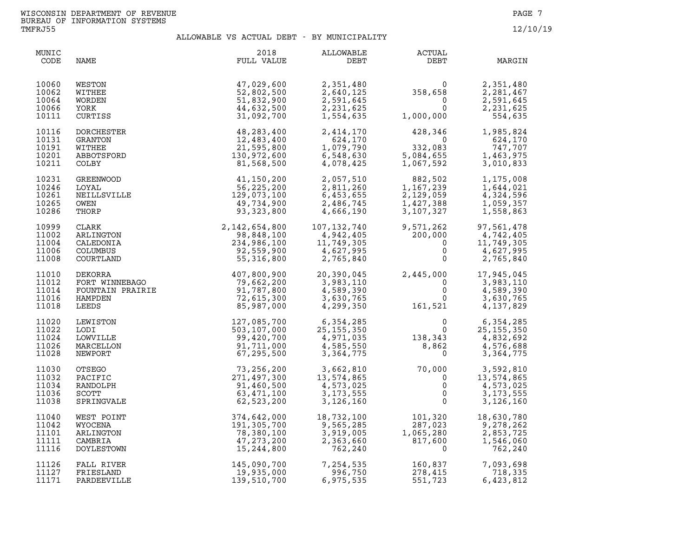| MUNIC<br>CODE                             | NAME                                                               | 2018<br>FULL VALUE                                                                                                                                                                                                                                                          | ALLOWABLE<br>DEBT                                                          | <b>ACTUAL</b><br>DEBT                                                                                               | MARGIN                                                                   |
|-------------------------------------------|--------------------------------------------------------------------|-----------------------------------------------------------------------------------------------------------------------------------------------------------------------------------------------------------------------------------------------------------------------------|----------------------------------------------------------------------------|---------------------------------------------------------------------------------------------------------------------|--------------------------------------------------------------------------|
| 10060<br>10062<br>10064<br>10066<br>10111 | WESTON<br>WITHEE<br>WORDEN<br>YORK<br>CURTISS                      | 47,029,600<br>52,802,500<br>51,832,900<br>44,632,500<br>31,092,700                                                                                                                                                                                                          | 2,351,480<br>2,640,125<br>2,591,645<br>2,231,625<br>1,554,635              | $358,658$<br>0<br>1,000,000<br>1,000,000<br>$\begin{matrix} & & & & 0 \\ 1,000,000 & & & 0 \\ & & & & \end{matrix}$ | 2,351,480<br>2,281,467<br>2,591,645<br>2,231,625<br>554,635              |
| 10116<br>10131<br>10191<br>10201<br>10211 | DORCHESTER<br>GRANTON<br>WITHEE<br>ABBOTSFORD<br>COLBY             | 48,283,400<br>12,483,400<br>21,595,800<br>130,972,600<br>81,568,500                                                                                                                                                                                                         | 2,414,170<br>624,170<br>1,079,790<br>6,548,630<br>4,078,425                | $\begin{array}{r} 428,348 \\ 0 \\ 332,083 \\ 5,084,655 \\ 1,067,592 \end{array}$<br>332,083                         | 1,985,824<br>624,170<br>747,707<br>1,463,975<br>3,010,833                |
| 10231<br>10246<br>10261<br>10265<br>10286 | GREENWOOD<br>LOYAL<br>NEILLSVILLE<br>OWEN<br>THORP                 | $\begin{array}{r} 41,150,200 \\ 56,225,200 \\ 129,073,100 \\ 49,734,900 \\ 93,323,800 \\ 2,142,654,800 \\ 98,848,100 \\ 234,986,100 \\ 92,559,900 \\ 92,559,900 \\ 55,316,800 \end{array}$                                                                                  | 2,057,510<br>2,811,260<br>6,453,655<br>2,486,745<br>4,666,190              | $882,502$<br>$1,167,239$<br>$2,129,059$<br>$1,427,388$<br>$3,107,327$                                               | 1,175,008<br>1,644,021<br>4,324,596<br>1,059,357<br>1,558,863            |
| 10999<br>11002<br>11004<br>11006<br>11008 | CLARK<br>ARLINGTON<br>CALEDONIA<br><b>COLUMBUS</b>                 |                                                                                                                                                                                                                                                                             | 107,132,740<br>4,942,405<br>11,749,305<br>4,627,995<br>2,765,840           | 9,571,262<br>200,000<br>0<br>0<br>9,571,262<br>200,000<br>0                                                         | 97,561,478<br>4,742,405<br>11,749,305<br>4,627,995<br>2,765,840          |
| 11010<br>11012<br>11014<br>11016<br>11018 |                                                                    | 900<br>FORT WINNEBAGO<br>FORT WINNEBAGO<br>FORT WINNEBAGO<br>FOUNTAIN PRAIRIE<br>FOUNTAIN PRAIRIE<br>91,787,800<br>HAMPDEN<br>72,615,300<br>LEEDS<br>85,987<br>CODT<br>CEWISTON<br>CODT                                                                                     | 20,390,045<br>3,983,110<br>4,589,390<br>3,630,765<br>4,299,350             | $2,445,000$<br>$0$<br>$0$<br>$161,521$                                                                              | 2,445,000 17,945,045<br>3,983,110<br>4,589,390<br>3,630,765<br>4,137,829 |
| 11020<br>11022<br>11024<br>11026<br>11028 | LODI<br>LOWVILLE<br>MARCELLON<br>NEWPORT                           | $\begin{array}{cccccc} 0.97,707,0100 & & 4,299,350 & & 161,521 \ 127,085,700 & & 6,354,285 & & 0 \ 503,107,000 & & 25,155,350 & & 0 \ 99,420,700 & & 4,971,035 & & 138,343 \ 91,711,000 & & 4,585,550 & & 8,862 \ 67,295,500 & & 3,364,775 & & 0 \ 73,256,200 & & 3,662,81$ |                                                                            |                                                                                                                     | 0<br>0<br>25, 155, 355<br>4, 832, 692<br>4, 576, 688<br>775<br>3,364,775 |
| 11030<br>11032<br>11034<br>11036<br>11038 | <b>OTSEGO</b><br>PACIFIC<br>RANDOLPH<br><b>SCOTT</b><br>SPRINGVALE |                                                                                                                                                                                                                                                                             |                                                                            |                                                                                                                     | 3,592,810<br>13,574,865<br>4,573,025<br>3, 173, 555<br>3,126,160         |
| 11040<br>11042<br>11101<br>11111<br>11116 | WEST POINT<br>WYOCENA<br>ARLINGTON<br>CAMBRIA<br>DOYLESTOWN        | 374,642,000<br>191,305,700<br>78,380,100<br>47,273,200<br>15,244,800                                                                                                                                                                                                        | 18,732,100<br>18,732,100<br>9,565,285<br>3,919,005<br>2,363,660<br>762,240 | $\begin{array}{c} 101,320\ 287,023\ 1,065,280\ 817,600\ 0 \end{array}$                                              | 18,630,780<br>9,278,262<br>2,853,725<br>1,546,060<br>762,240             |
| 11126<br>11127<br>11171                   | FALL RIVER<br>FRIESLAND<br>PARDEEVILLE                             | 145,090,700<br>19,935,000<br>139,510,700                                                                                                                                                                                                                                    | 7,254,535<br>996,750<br>6,975,535                                          | 160,837<br>278,415<br>551 723<br>551,723                                                                            | 7,093,698<br>718,335<br>6,423,812                                        |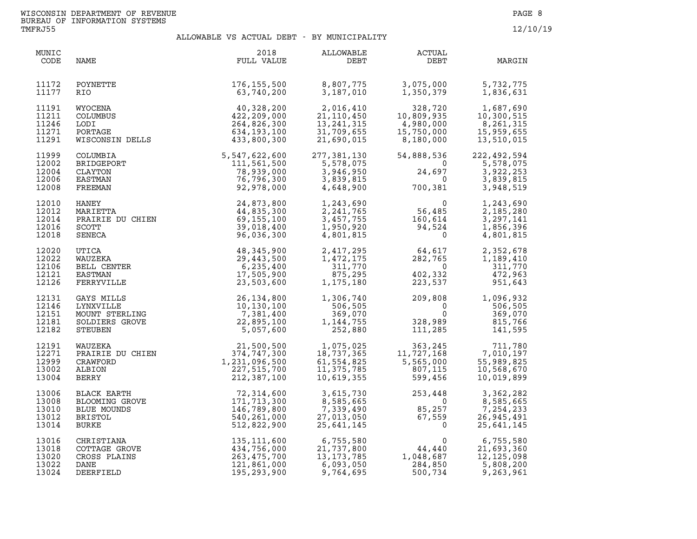| MUNIC<br>CODE                             | NAME                                                                   | 2018<br>FULL VALUE                                                                                                                                                                                        | ALLOWABLE<br>VABLE<br>DEBT                                                                                                                                                                                   | ACTUAL<br>DEBT                                                                                                                                                                                                                           | MARGIN                                                                       |
|-------------------------------------------|------------------------------------------------------------------------|-----------------------------------------------------------------------------------------------------------------------------------------------------------------------------------------------------------|--------------------------------------------------------------------------------------------------------------------------------------------------------------------------------------------------------------|------------------------------------------------------------------------------------------------------------------------------------------------------------------------------------------------------------------------------------------|------------------------------------------------------------------------------|
| 11172<br>11177                            | POYNETTE<br>RIO.                                                       | 176,155,500<br>63,740,200                                                                                                                                                                                 |                                                                                                                                                                                                              | 8,807,775             3,075,000<br>3,187,010            1,350,379                                                                                                                                                                        | 5,732,775<br>1,836,631                                                       |
| 11191<br>11211<br>11246<br>11271<br>11291 | WYOCENA<br><b>COLUMBUS</b><br>LODI<br>PORTAGE<br>WISCONSIN DELLS       | $\begin{array}{r} 40,328,200 \ 422,209,000 \ 264,826,300 \ 634,193,100 \ 233,800,300 \end{array}$                                                                                                         | 2,016,410<br>21,110,450<br>13,241,315<br>31,709,655<br>21,690,015                                                                                                                                            | 328,720<br>10,809,935<br>4,980,000<br>$328,720$ $1,687,690$<br>$10,809,935$ $10,300,515$<br>$4,980,000$ $8,261,315$<br>$15,750,000$ $15,959,655$<br>$8,180,000$ $13,510,015$                                                             |                                                                              |
| 11999<br>12002<br>12004<br>12006<br>12008 | COLUMBIA<br>BRIDGEPORT<br>CLAYTON<br>EASTMAN<br>FREEMAN                | $\begin{array}{r} 5,547,622,600 \ 111,561,500 \ 78,939,000 \ 92,978,000 \ \end{array}$                                                                                                                    | 277,381,130<br>5,578,075                                                                                                                                                                                     | $77,381,130$ 54,888,536 2<br>5,578,075 0<br>3,946,950 24,697<br>3,839,815 0<br>4,648,900 700,381                                                                                                                                         | 54,888,536 222,492,594<br>5,578,075 5<br>3,922,253<br>3,839,815<br>3,948,519 |
| 12010<br>12012<br>12014<br>12016<br>12018 | HANEY<br>MARIETTA<br>PRAIRIE DU CHIEN<br>SCOTT<br>SENECA<br>VITTA      | 24,873,800<br>44,835,300<br>69,155,100<br>39,018,400<br>96,036,300                                                                                                                                        |                                                                                                                                                                                                              | 1, 243, 690<br>2, 241, 765<br>3, 457, 755<br>1, 950, 920<br>4, 801, 815<br>1, 950, 920<br>1, 950, 920<br>1, 94, 524<br>1, 950, 920<br>1, 960, 920<br>1, 960, 920<br>1, 960, 920<br>2, 94, 524<br>0                                       | 1,243,690<br>2,185,280<br>3,297,141<br>1,856,396<br>4,801,815                |
| 12020<br>12022<br>12106<br>12121<br>12126 | UTICA<br>WAUZEKA<br>BELL CENTER<br>EASTMAN<br>FERRYVILLE               | 48,345,900<br>29,443,500<br>6,235,400<br>17,505,900<br>23,503,600                                                                                                                                         | 2,417,295<br>1,472,175<br>311,770<br>875,295<br>1,175,180                                                                                                                                                    | $\begin{array}{cccc} 2,417,295 & 64,617 & 2,352,678 \\ 1,472,175 & 282,765 & 1,189,410 \\ 311,770 & 0 & 311,770 \\ 875,295 & 402,332 & 472,963 \\ 1,175,180 & 223,537 & 951,643 \end{array}$                                             |                                                                              |
| 12131<br>12146<br>12151<br>12181<br>12182 | GAYS MILLS<br>LYNXVILLE<br>MOUNT STERLING<br>SOLDIERS GROVE<br>STEUBEN | 26, 134, 800<br>10, 130, 100<br>7, 381, 400<br>72, 895, 100<br>5, 057, 600                                                                                                                                | 1,306,740<br>506,505<br>369,070<br>1, 144, 755<br>252,880                                                                                                                                                    | $\begin{array}{cc} 209,808 & 1,096,932\ 0 & 506,505\ 0 & 369,070\ 328,989 & 815,766\ 111,285 & 141,595\ \end{array}$                                                                                                                     |                                                                              |
| 12191<br>12271<br>12999<br>13002<br>13004 |                                                                        | WAUZEKA 21,500,500<br>PRAIRIE DU CHIEN 374,747,300<br>CRAWFORD 1,231,096,500<br>ALBION 227,515,700<br>BERRY 212,387,100<br>21,500,500<br>374,747,300 1<br>231,096,500 6<br>227,515,700 1<br>212,387,100 1 | 18,737,365<br>61,554,825<br>11,375,785<br>10,619,355                                                                                                                                                         | $\begin{array}{lllllllllllllllllllll} 1,075,025 & 363,245 & 711,780 \\ 18,737,365 & 11,727,168 & 7,010,197 \\ 61,554,825 & 5,565,000 & 55,989,825 \\ 11,375,785 & 807,115 & 10,568,670 \\ 10,619,355 & 599,456 & 10,019,899 \end{array}$ |                                                                              |
| 13006<br>13008<br>13010<br>13012<br>13014 |                                                                        | ELACK EARTH<br>BLACK EARTH<br>BLOOMING GROVE<br>BLUE MOUNDS<br>BLUE MOUNDS<br>BRISTOL<br>BURKE<br>BURKE<br>540,261,000<br>512,822,900                                                                     | 3,615,730<br>8,585,665<br>7,339,490<br>27,013,050<br>25,641,145<br>25,641,145<br>3                                                                                                                           |                                                                                                                                                                                                                                          | 3,362,282<br>8,585,665<br>7,254,233<br>26,945,491<br>25,641,145              |
| 13016<br>13018<br>13020<br>13022<br>13024 |                                                                        | CHRISTIANA 135,111,600<br>COTTAGE GROVE 434,756,000<br>CROSS PLAINS 263,475,700<br>DANE 121,861,000<br>DEERFIELD 195,293,900                                                                              | $\begin{array}{cccc} 6,755,580 & 0 & 6,755,580 \\ 21,737,800 & 44,440 & 21,693,360 \\ 13,173,785 & 1,048,687 & 12,125,098 \\ 6,093,050 & 284,850 & 5,808,200 \\ 9,764,695 & 500,734 & 9,263,961 \end{array}$ | 500,734                                                                                                                                                                                                                                  |                                                                              |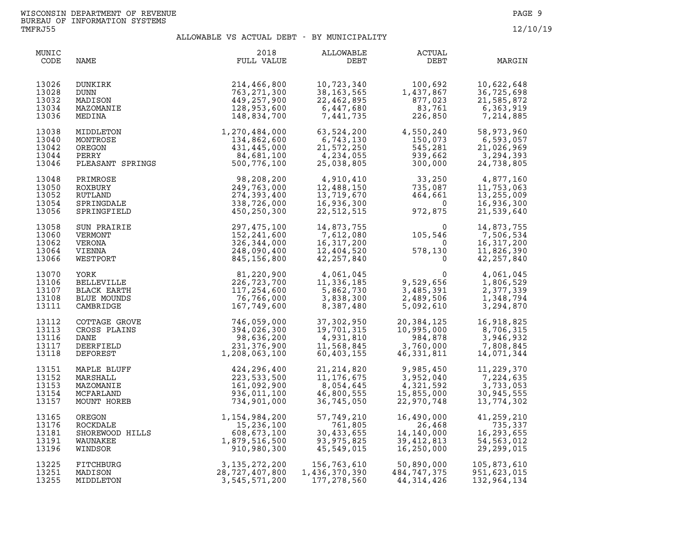| MUNIC<br>CODE                             | NAME                                                                  | 2018<br>FULL VALUE                                                                                                        | ALLOWABLE<br>DEBT                                                  | ACTUAL<br>DEBT                                                                       | MARGIN                                                           |
|-------------------------------------------|-----------------------------------------------------------------------|---------------------------------------------------------------------------------------------------------------------------|--------------------------------------------------------------------|--------------------------------------------------------------------------------------|------------------------------------------------------------------|
| 13026<br>13028<br>13032<br>13034<br>13036 | DUNKIRK<br><b>DUNN</b><br>MADISON<br>MAZOMANIE<br>MEDINA              | 214,466,800<br>763, 271, 300<br>449,257,900<br>128,953,600<br>148,834,700                                                 | 10,723,340<br>38, 163, 565<br>22,462,895<br>6,447,680<br>7,441,735 | $1,437,867$<br>$877,023$<br>$83,761$<br>$226,850$<br>1,437,867<br>83,761<br>226,850  | 10,622,648<br>36,725,698<br>21,585,872<br>6,363,919<br>7,214,885 |
| 13038<br>13040<br>13042<br>13044<br>13046 |                                                                       | MIDDLETON 1,270,484,000<br>MONTROSE 134,862,600<br>OREGON 431,445,000<br>PERRY 84,681,100<br>PLEASANT SPRINGS 500,776,100 | 63,524,200<br>6,743,130<br>21,572,250<br>4,234,055<br>25,038,805   | 4,550,240<br>150,073<br>545,281<br>545,281<br>939,662<br>300,000                     | 58,973,960<br>6,593,057<br>21,026,969<br>3,294,393<br>24,738,805 |
| 13048                                     | PRIMROSE                                                              | 98,208,200                                                                                                                | 4,910,410                                                          | $33, 250$<br>$735, 087$<br>$464, 661$<br>$972, 875$                                  | 4,877,160                                                        |
| 13050                                     | ROXBURY                                                               | 249,763,000                                                                                                               | 12,488,150                                                         |                                                                                      | 11,753,063                                                       |
| 13052                                     | RUTLAND                                                               | 274,393,400                                                                                                               | 13,719,670                                                         |                                                                                      | 13,255,009                                                       |
| 13054                                     | SPRINGDALE                                                            | 338,726,000                                                                                                               | 16,936,300                                                         |                                                                                      | 16,936,300                                                       |
| 13056                                     | SPRINGFIELD                                                           | 450,250,300                                                                                                               | 22,512,515                                                         |                                                                                      | 21,539,640                                                       |
| 13058                                     | SUN PRAIRIE                                                           | 297,475,100                                                                                                               | 14,873,755                                                         | $\begin{smallmatrix}&&&0\105,546\0\phantom{-}578,130\0\phantom{-}0\end{smallmatrix}$ | 14,873,755                                                       |
| 13060                                     | VERMONT                                                               | 152,241,600                                                                                                               | 7,612,080                                                          |                                                                                      | 7,506,534                                                        |
| 13062                                     | VERONA                                                                | 326,344,000                                                                                                               | 16,317,200                                                         |                                                                                      | 16,317,200                                                       |
| 13064                                     | VIENNA                                                                | 248,090,400                                                                                                               | 12,404,520                                                         |                                                                                      | 11,826,390                                                       |
| 13066                                     | WESTPORT                                                              | 845,156,800                                                                                                               | 42, 257, 840                                                       |                                                                                      | 42, 257, 840                                                     |
| 13070<br>13106<br>13107<br>13108<br>13111 | YORK<br><b>BELLEVILLE</b><br>BLACK EARTH<br>BLUE MOUNDS<br>CAMBRIDGE  | 81,220,900<br>226,723,700<br>117,254,600<br>76,766,000<br>167,749,600                                                     | 4,061,045<br>11,336,185<br>5,862,730<br>3,838,300<br>8,387,480     | $\overline{0}$<br>9,529,656<br>3,485,391<br>2,489,506<br>5,092,610                   | 4,061,045<br>1,806,529<br>2,377,339<br>1,348,794<br>3,294,870    |
| 13112<br>13113<br>13116<br>13117<br>13118 | COTTAGE GROVE<br>CROSS PLAINS<br>DANE<br>DEERFIELD<br>DEFOREST        | 746,059,000<br>198,636,200<br>98,636,200<br>98,636,200<br>1,208,063,100                                                   | 37,302,950<br>19,701,315<br>4,931,810<br>11,568,845<br>60,403,155  | 20,384,125<br>10,995,000<br>984,878<br>3,760,000<br>46,331,811                       | 16,918,825<br>8,706,315<br>3,946,932<br>7,808,845<br>14,071,344  |
| 13151                                     | MAPLE BLUFF                                                           | 424,296,400                                                                                                               | 21, 214, 820                                                       | 9,985,450                                                                            | 11,229,370                                                       |
| 13152                                     | MARSHALL                                                              | 223, 533, 500                                                                                                             | 11, 176, 675                                                       | 3,952,040                                                                            | 7,224,635                                                        |
| 13153                                     | MAZOMANIE                                                             | 161,092,900                                                                                                               | 8,054,645                                                          | 4,321,592                                                                            | 3,733,053                                                        |
| 13154                                     | MCFARLAND                                                             | 936,011,100                                                                                                               | 46,800,555                                                         | 15,855,000                                                                           | 30,945,555                                                       |
| 13157                                     | MOUNT HOREB                                                           | 734,901,000                                                                                                               | 36,745,050                                                         | 22,970,748                                                                           | 13,774,302                                                       |
| 13165                                     | OREGON<br>ROCKDALE<br>SHOREWOOD HILLS<br>WAUNAKEE<br>WINDSOR<br>RIEST | 1,154,984,200                                                                                                             | 57,749,210                                                         | 16,490,000                                                                           | 41,259,210                                                       |
| 13176                                     |                                                                       | 15,236,100                                                                                                                | 761,805                                                            | 26,468                                                                               | 735,337                                                          |
| 13181                                     |                                                                       | 608,673,100                                                                                                               | 30,433,655                                                         | 14,140,000                                                                           | 16,293,655                                                       |
| 13191                                     |                                                                       | 1,879,516,500                                                                                                             | 93,975,825                                                         | 39,412,813                                                                           | 54,563,012                                                       |
| 13196                                     |                                                                       | 910,980,300                                                                                                               | 45,549,015                                                         | 16,250,000                                                                           | 29, 299, 015                                                     |
| 13225                                     | FITCHBURG                                                             | 3, 135, 272, 200                                                                                                          | 156,763,610                                                        | 50,890,000                                                                           | 105,873,610                                                      |
| 13251                                     | MADISON                                                               | 28,727,407,800                                                                                                            | 1,436,370,390                                                      | 484,747,375                                                                          | 951,623,015                                                      |
| 13255                                     | MIDDLETON                                                             | 3,545,571,200                                                                                                             | 177,278,560                                                        | 44, 314, 426                                                                         | 132,964,134                                                      |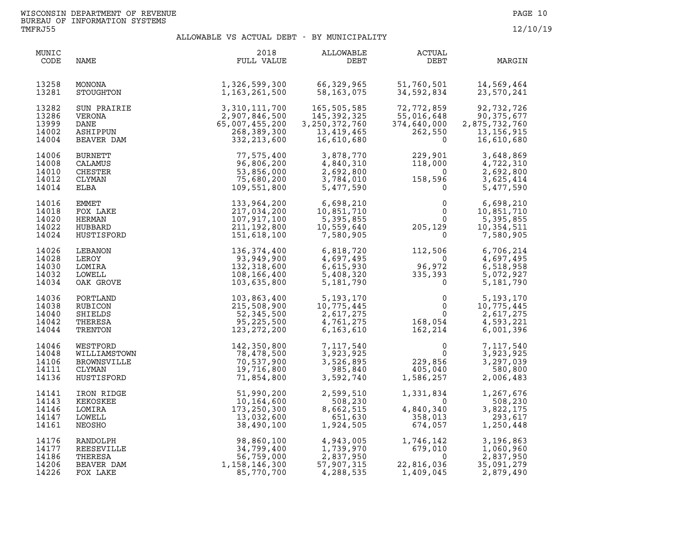| MUNIC<br>CODE                             | NAME                                                                   | 2018<br>FULL VALUE                                                                          | ALLOWABLE<br>DEBT                                                                                                  | ACTUAL<br>DEBT                                                                          | MARGIN                                                                  |
|-------------------------------------------|------------------------------------------------------------------------|---------------------------------------------------------------------------------------------|--------------------------------------------------------------------------------------------------------------------|-----------------------------------------------------------------------------------------|-------------------------------------------------------------------------|
| 13258<br>13281                            | MONONA<br>STOUGHTON                                                    | 1,326,599,300<br>1,163,261,500                                                              | 66,329,965<br>58,163,075                                                                                           | 51,760,501<br>34,592,834                                                                | 14,569,464<br>23,570,241                                                |
| 13282<br>13286<br>13999<br>14002<br>14004 | <b>SUN PRAIRIE</b><br>VERONA<br>DANE<br>ASHIPPUN<br>BEAVER DAM         | 3, 310, 111, 700<br>2, 907, 846, 500<br>65, 007, 455, 200<br>268, 389, 300<br>332, 213, 600 | 165,505,585<br>145,392,325<br>3, 250, 372, 760<br>13,419,465<br>16,610,680                                         | 72,772,859<br>55,016,648<br>374,640,000<br>262,550<br>$\Omega$                          | 92,732,726<br>90,375,677<br>2,875,732,760<br>13, 156, 915<br>16,610,680 |
| 14006<br>14008<br>14010<br>14012<br>14014 | <b>BURNETT</b><br>CALAMUS<br><b>CHESTER</b><br>CLYMAN<br>ELBA          | 77,575,400<br>96,806,200<br>53,856,000<br>75,680,200<br>109,551,800                         | 3,878,770<br>4,840,310<br>2,692,800<br>3,784,010<br>5,477,590                                                      | $229,901$<br>$118,000$<br>$158,596\n0$                                                  | 3,648,869<br>4,722,310<br>2,692,800<br>3,625,414<br>5,477,590           |
| 14016<br>14018<br>14020<br>14022<br>14024 | EMMET<br>FOX LAKE<br>HERMAN<br>HUBBARD<br>HUSTISFORD                   | 133,964,200<br>217,034,200<br>107,917,100<br>211,192,800<br>151,618,100                     | $6,698,210$<br>$10,851,710$<br>5,395,855<br>10,559,640<br>7,580,905                                                | $\frac{20}{3}$<br>$\Omega$<br>$\mathbf{0}$<br>$0 \qquad \qquad$<br>205, 129<br>$\Omega$ | 6,698,210<br>10,851,710<br>5,395,855<br>10,354,511<br>7,580,905         |
| 14026<br>14028<br>14030<br>14032<br>14034 | LEBANON<br>LEROY<br>LOMIRA<br>LOWELL<br>OAK GROVE                      | 136, 374, 400<br>93,949,900<br>132,318,600<br>108,166,400<br>103,635,800                    | 6,818,720<br>4,697,495<br>6,615,930<br>5,408,320<br>5,181,790                                                      | 112,506<br>$\overline{0}$<br>$96,972$<br>335,393<br>0                                   | 6,706,214<br>4,697,495<br>6,518,958<br>5,072,927<br>5,181,790           |
| 14036<br>14038<br>14040<br>14042<br>14044 | PORTLAND<br>RUBICON<br>SHIELDS<br>THERESA<br>TRENTON                   | 103,863,400<br>215,508,900<br>52,345,500<br>95,225,500<br>123, 272, 200                     | 5, 193, 170<br>10, 775, 445<br>2, 617, 275<br>4, 761, 275<br>6, 163, 610<br>6, 163, 610                            | $\begin{matrix} & & 0\\ & & 0\\ & & 0\\ 168,054\\ 162,214 \end{matrix}$                 | 5,193,170<br>10,775,445<br>2,617,275<br>4,593,221<br>6,001,396          |
| 14046<br>14048<br>14106<br>14111<br>14136 | WESTFORD<br>WILLIAMSTOWN<br><b>BROWNSVILLE</b><br>CLYMAN<br>HUSTISFORD | 142,350,800<br>78,478,500<br>70,537,900<br>19,716,800<br>71,854,800                         | 7,117,540<br>3,923,925<br>3,526,895<br>985,840<br>3,592,740                                                        | $\begin{array}{c} 0 \\ 0 \\ 229,856 \\ 405,040 \\ 1,586,257 \end{array}$                | 7,117,540<br>3,923,925<br>3,297,039<br>580,800<br>2,006,483             |
| 14141<br>14143<br>14146<br>14147<br>14161 | IRON RIDGE<br>KEKOSKEE<br>LOMIRA<br>LOWELL<br>NEOSHO                   | 51,990,200<br>10,164,600<br>173,250,300<br>13,032,600<br>38,490,100                         | 2,599,510<br>508,230<br>8,662,515<br>651,630<br>1,924,505                                                          | $1,331,834$<br>$0$<br>$358,013$<br>$674,057$                                            | 1,267,676<br>508,230<br>3,822,175<br>293,617<br>1,250,448               |
| 14176<br>14177<br>14186<br>14206<br>14226 | RANDOLPH<br>REESEVILLE<br>THERESA<br>BEAVER DAM<br>FOX LAKE            | 98,860,100<br>34,799,400<br>56,759,000<br>1,158,146,300<br>85,770,700                       | 4,943,005<br>1,739,970<br>2,837,950<br>57,907,315<br>4,900,515<br>4,943,005<br>1,739,970<br>2.837.050<br>4,288,535 | 1,746,142<br>679,010<br>$\Omega$<br>22,816,036<br>1,409,045                             | 3,196,863<br>1,060,960<br>2,837,950<br>35,091,279<br>2,879,490          |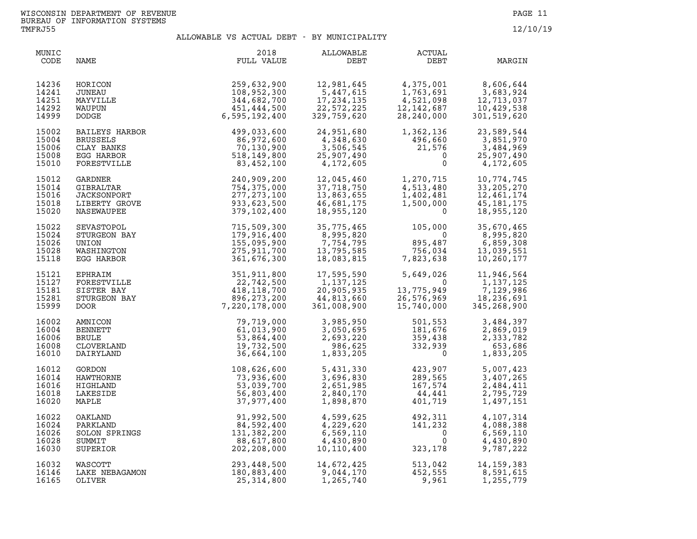| MUNIC<br>CODE                             | NAME                                                                         | 2018<br>FULL VALUE                                                        | ALLOWABLE<br>DEBT                                                                                        | <b>ACTUAL</b><br>DEBT                                                                                   | MARGIN                                                                                                                                                   |
|-------------------------------------------|------------------------------------------------------------------------------|---------------------------------------------------------------------------|----------------------------------------------------------------------------------------------------------|---------------------------------------------------------------------------------------------------------|----------------------------------------------------------------------------------------------------------------------------------------------------------|
| 14236<br>14241<br>14251<br>14292<br>14999 | HORICON<br>JUNEAU<br>MAYVILLE<br>WAUPUN<br>DODGE                             | 259,632,900<br>108,952,300<br>344,682,700<br>451,444,500<br>6,595,192,400 | 12,981,645<br>$12, 501, 5$<br>5,447,615<br>17, 234, 135<br>17, 234, 155<br>22, 572, 225<br>329, 759, 620 | 4,375,001<br>1,763,691<br>1,753,691<br>4,521,098<br>12,142,687<br>28,240,000                            | 8,600,<br>3,683,924<br>----- 037<br>12,713,037<br>10,429,538<br>301,519,620                                                                              |
| 15002<br>15004<br>15006<br>15008<br>15010 | BAILEYS HARBOR<br><b>BRUSSELS</b><br>CLAY BANKS<br>EGG HARBOR<br>FORESTVILLE | 499,033,600<br>86,972,600<br>70,130,900<br>518,149,800<br>83,452,100      | 24,951,680<br>4,348,630<br>3,506,545<br>25,907,490<br>4,172,605                                          | $1,362,136$<br>$496,660$<br>$21,576$<br>$\begin{array}{c} 490,000 \\ 21,576 \\ 0 \\ 0 \end{array}$      | 23,589,544<br>3,851,970<br>3,484,969<br>25,907,490<br>4,172,605                                                                                          |
| 15012<br>15014<br>15016<br>15018<br>15020 | GARDNER<br>GIBRALTAR<br>JACKSONPORT<br>LIBERTY GROVE<br>NASEWAUPEE           | 240,909,200<br>754,375,000<br>277, 273, 100<br>933,623,500<br>379,102,400 | 12,045,460<br>37,718,750<br>13,863,655<br>46,681,175<br>18,955,120                                       | 1,270,715<br>4,513,480<br>1,402,481<br>1,500,000<br>$\Omega$                                            | 10,774,745<br>33, 205, 270<br>12,461,174<br>45, 181, 175<br>18,955,120                                                                                   |
| 15022<br>15024<br>15026<br>15028<br>15118 | SEVASTOPOL<br>STURGEON BAY<br>UNION<br>WASHINGTON<br>EGG HARBOR              | 715,509,300<br>179,916,400<br>155,095,900<br>275,911,700<br>361,676,300   | 35,775,465<br>8,995,820<br>7,754,795<br>13,795,585<br>18,083,815                                         | $\begin{array}{r} 105,000 \\ 0 \\ 895,487 \\ 756,034 \\ 7,823,638 \end{array}$                          | 35,670,465<br>8,995,820<br>6,859,308<br>13,039,551<br>10,260,177                                                                                         |
| 15121<br>15127<br>15181<br>15281<br>15999 | EPHRAIM<br>FORESTVILLE<br>SISTER BAY<br>STURGEON BAY<br>DOOR.                | 351,911,800<br>22,742,500<br>418,118,700<br>896,273,200<br>7,220,178,000  | 17,595,590<br>1,137,125<br>1,137,125<br>20,905,935<br>44,813,660<br>361,008,900<br>20,905,935            |                                                                                                         | $\begin{array}{cc} 5,649,026 & 11,946,564 \\ 0 & 1,137,125 \\ 13,775,949 & 7,129,986 \\ 26,576,969 & 18,236,691 \\ 15,740,000 & 345,268,900 \end{array}$ |
| 16002<br>16004<br>16006<br>16008<br>16010 | AMNICON<br>BENNETT<br><b>BRULE</b><br>CLOVERLAND<br>DAIRYLAND                | 79,719,000<br>61,013,900<br>53,864,400<br>19,732,500<br>36,664,100        | 3,985,950<br>3,050,695<br>2,693,220<br>986,625<br>1,833,205                                              | 501,553<br>181,676<br>359,438<br>332,939                                                                | 3,484,397<br>2,869,019<br>2,333,782<br>653,686<br>1,833,205                                                                                              |
| 16012<br>16014<br>16016<br>16018<br>16020 | GORDON<br>HAWTHORNE<br>HIGHLAND<br>LAKESIDE<br>MAPLE                         | 108,626,600<br>73,936,600<br>53,039,700<br>56,803,400<br>37,977,400       | 5,431,330<br>3,696,830<br>2,651,985<br>2,840,170<br>1,898,870                                            | $423,907$<br>$289,565$<br>$167,574$<br>$44,441$<br>$401,719$<br>289,565<br>167,574<br>44,441<br>401,719 | 5,007,423<br>3,407,265<br>2,484,411<br>2,795,729<br>1,497,151                                                                                            |
| 16022<br>16024<br>16026<br>16028<br>16030 | OAKLAND<br>PARKLAND<br>SOLON SPRINGS<br>SUMMIT<br>SUPERIOR                   | 91,992,500<br>84,592,400<br>131,382,200<br>88,617,800<br>202, 208, 000    | 4,599,625<br>4,229,620<br>6,569,110<br>4,430,890<br>10,110,400                                           | 492,311<br>141,232<br>$\overline{0}$<br>0<br>323,178                                                    | 4,107,314<br>4,088,388<br>6,569,110<br>4,430,890<br>9,787,222                                                                                            |
| 16032<br>16146<br>16165                   | WASCOTT<br>LAKE NEBAGAMON<br>OLIVER                                          | 293,448,500<br>180,883,400<br>25,314,800                                  | 14,672,425<br>1,265,740                                                                                  | 9,961                                                                                                   | 513,042 14,159,383<br>452.555 8,591,615<br>1,255,779                                                                                                     |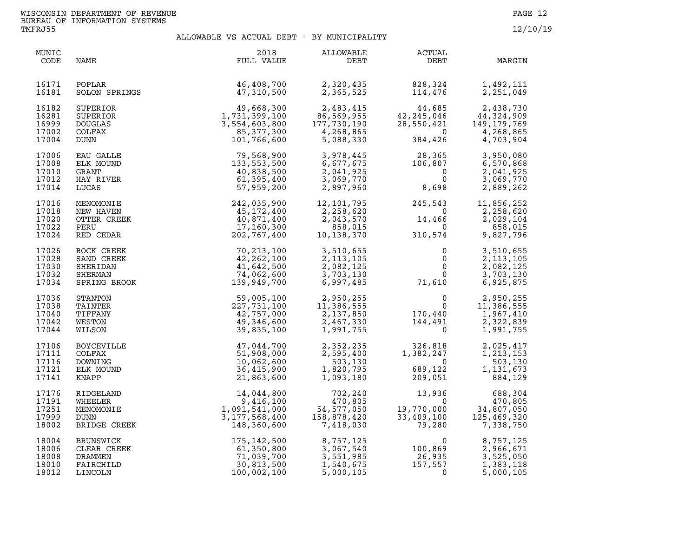| MUNIC<br>CODE                             | NAME                                                        | 2018<br>FULL VALUE                                                                                                                                                                                     | ALLOWABLE<br>DEBT                                                           | ACTUAL<br>DEBT                                                                                  | MARGIN                                                                           |
|-------------------------------------------|-------------------------------------------------------------|--------------------------------------------------------------------------------------------------------------------------------------------------------------------------------------------------------|-----------------------------------------------------------------------------|-------------------------------------------------------------------------------------------------|----------------------------------------------------------------------------------|
| 16171<br>16181                            | POPLAR<br>SOLON SPRINGS                                     | 46,408,700<br>47,310,500                                                                                                                                                                               | 2,320,435<br>2,365,525                                                      | 828,324<br>114,476                                                                              | 1,492,111<br>2,251,049                                                           |
| 16182<br>16281<br>16999<br>17002<br>17004 | SUPERIOR<br>SUPERIOR<br><b>DOUGLAS</b><br>COLFAX<br>DUNN    | $49,668,300$<br>$1,731,399,100$<br>$3,554,603,800$<br>$85,377,300$<br>$101,766$                                                                                                                        | 2,483,415<br>86,569,955<br>177,730,190<br>4,268,865<br>5,088,330            | $44,685$<br>$42,245,046$<br>$28,550,421$<br>$0$<br>$384,426$                                    | 2,438,730<br>44,324,909<br>149, 179, 769<br>4,268,865<br>4,703,904               |
| 17006<br>17008<br>17010<br>17012<br>17014 | EAU GALLE<br>ELK MOUND<br>GRANT<br>HAY RIVER<br>LUCAS       | $101, 766, 600$<br>$79, 568, 900$<br>$133, 553, 500$<br>$40, 838, 500$<br>$61, 395, 400$<br>$57, 959, 200$<br>$242, 035, 900$<br>$45, 172, 400$<br>$40, 871, 400$<br>$17, 160, 300$<br>$202, 767, 400$ |                                                                             | 3,978,445 28,365<br>6,677,675 106,807<br>2,041,925 0<br>3,069,770 0<br>2,897,960 8,698<br>8,698 | 3,950,080<br>6,570,868<br>2,041,925<br>3,069,770<br>2,889,262                    |
| 17016<br>17018<br>17020<br>17022<br>17024 | MENOMONIE<br>NEW HAVEN<br>OTTER CREEK<br>PERU<br>RED CEDAR  |                                                                                                                                                                                                        | 12,101,795<br>12,101,795<br>2,258,620<br>2,043,570<br>858,015<br>10,138,370 | $245,543$<br>0<br>14,466<br>$\begin{smallmatrix}&&&0\0&310\,,574\end{smallmatrix}$              | 11,856,252<br>2,258,620<br>2,029,104<br>858,015<br>9,827,796                     |
| 17026<br>17028<br>17030<br>17032<br>17034 |                                                             | ROCK CREEK<br>SAND CREEK<br>SHERIDAN<br>SHERIDAN<br>SHERMAN<br>SHERMAN<br>SHERMAN<br>TA, 062, 600<br>SPRING BROOK<br>139, 949, 700                                                                     | 3,510,655<br>2, 113, 105<br>2,082,125<br>3,703,130<br>6,997,485             | $\begin{smallmatrix} & & 0\ & & 0\ & & 0\ & & & 0\ & & & 0\ & & & 71,610 \end{smallmatrix}$     | 3,510,655<br>2, 113, 105<br>$\frac{0}{2}$<br>2,082,125<br>3,703,130<br>6,925,875 |
| 17036<br>17038<br>17040<br>17042<br>17044 | STANTON<br>TAINTER<br>TIFFANY<br>WESTON<br>WILSON           | 59,005,100<br>227,731,100<br>42,757,000<br>49,346,600<br>39,835,100                                                                                                                                    | 2,950,255<br>11,386,555<br>2,137,850<br>2,467,330<br>1,991,755              | $\begin{matrix}&&&0\\ &&&0\\ &&&1\\ 170,440\\ 144,491\\ 0\end{matrix}$                          | 2,950,255<br>11,386,555<br>1,967,410<br>2,322,839<br>1,991,755                   |
| 17106<br>17111<br>17116<br>17121<br>17141 | BOYCEVILLE<br>COLFAX<br>DOWNING<br>ELK MOUND<br>KNAPP       | 47,044,700<br>51,908,000<br>10,062,600<br>36,415,900<br>21,863,600                                                                                                                                     |                                                                             | 2,352,235<br>2,595,400<br>503,130<br>1,820,795<br>1,093,180<br>209,051                          | 2,025,417<br>1,213,153<br>503,130<br>1,131,673<br>884,129                        |
| 17176<br>17191<br>17251<br>17999<br>18002 | RIDGELAND<br>WHEELER<br>MENOMONIE<br>DUNN<br>BRIDGE CREEK   | $\begin{array}{r} 14,044,800 \\ 9,416,100 \\ 1,091,541,000 \\ 3,177,568,400 \\ 148,360,600 \end{array}$                                                                                                | 470,805<br>54,577,050<br>158,878,420<br>150,030<br>7,418,030                | $702,240$<br>$470,805$<br>$477,050$<br>$3,878,420$<br>$79,280$<br>$79,280$<br>$1$               | 688,304<br>470,805<br>34,807,050<br>125,469,320<br>7,338,750                     |
| 18004<br>18006<br>18008<br>18010<br>18012 | BRUNSWICK<br>CLEAR CREEK<br>DRAMMEN<br>FAIRCHILD<br>LINCOLN | 175,142,500<br>61,350,800<br>71,039,700<br>30,813,500<br>100,002,100                                                                                                                                   | 8,757,125<br>3,067,540<br>3,551,985<br>1,540,675<br>5,000,105               | $\begin{array}{c} 0 \\ 100,869 \\ 26,935 \\ 157,557 \\ 0 \end{array}$                           | 8,757,125<br>2,966,671<br>3,525,050<br>1,383,118<br>5,000,105                    |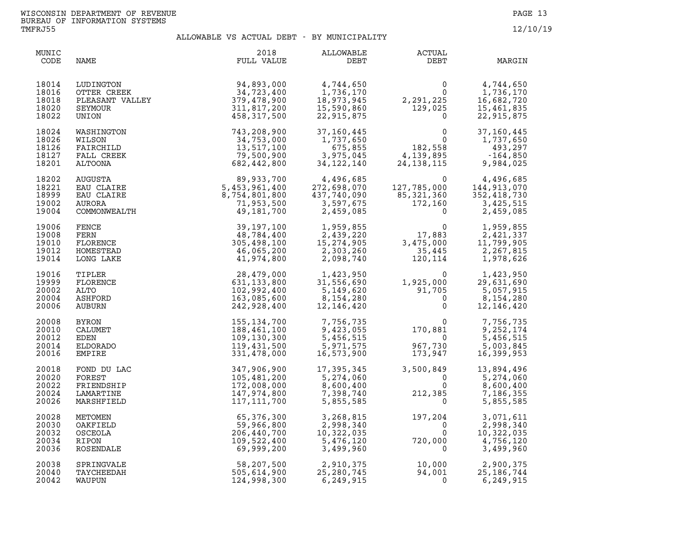| MUNIC<br>CODE                             | NAME                                                            | 2018<br>FULL VALUE                                                                 | ALLOWABLE<br>DEBT                                                              | ACTUAL<br>DEBT                                                                                   | MARGIN                                                            |
|-------------------------------------------|-----------------------------------------------------------------|------------------------------------------------------------------------------------|--------------------------------------------------------------------------------|--------------------------------------------------------------------------------------------------|-------------------------------------------------------------------|
| 18014<br>18016<br>18018<br>18020<br>18022 | LUDINGTON<br>OTTER CREEK<br>PLEASANT VALLEY<br>SEYMOUR<br>UNION | 94,893,000<br>34,723,400<br>379,478,900<br>311,817,200<br>458,317,500              | 4,744,650<br>1,736,170<br>18,973,945<br>15,590,860<br>22,915,875               | $\Omega$<br>$\overline{0}$<br>2,291,225<br>129,025<br>$2, 2, 3, 7, 6$<br>129,025<br>$\mathbf{0}$ | 4,744,650<br>1,736,170<br>16,682,720<br>15,461,835<br>22,915,875  |
| 18024<br>18026<br>18126<br>18127<br>18201 | WASHINGTON<br>WILSON<br>FAIRCHILD<br>FALL CREEK<br>ALTOONA      | 743,208,900<br>34,753,000<br>13,517,100<br>79,500,900<br>682,442,800               | 37,160,445<br>1,737,650<br>675,855<br>3,975,045<br>34, 122, 140                | 0<br>0<br>182,558<br>4,139,895<br>24,138,115                                                     | 37,160,445<br>1,737,650<br>493,297<br>$-164,850$<br>9,984,025     |
| 18202<br>18221<br>18999<br>19002<br>19004 | AUGUSTA<br>EAU CLAIRE<br>EAU CLAIRE<br>AURORA<br>COMMONWEALTH   | $89,933,700$<br>$5,453,961,400$<br>$8,754,801,800$<br>$71,953,500$<br>$49,181,700$ | 4,496,685<br>272,698,070<br>437,740,090<br>3,597,675<br>150,095<br>2,459,085   | $\Omega$<br>127,785,000<br>85,321,360<br>172,160<br>$\Omega$                                     | 4,496,685<br>144,913,070<br>352,418,730<br>3,425,515<br>2,459,085 |
| 19006<br>19008<br>19010<br>19012<br>19014 | FENCE<br>FERN<br>FLORENCE<br>HOMESTEAD<br>LONG LAKE             | 39,197,100<br>48,784,400<br>305,498,100<br>46,065,200<br>41,974,800                | 1,959,855<br>2,439,220<br>15, 274, 905<br>2,303,260<br>2,098,740               | $\mathbf 0$<br>17,883<br>3,475,000<br>35,445<br>120,114                                          | 1,959,855<br>2,421,337<br>11,799,905<br>2,267,815<br>1,978,626    |
| 19016<br>19999<br>20002<br>20004<br>20006 | TIPLER<br>FLORENCE<br>ALTO<br>ASHFORD<br>AUBURN                 | 28,479,000<br>631, 133, 800<br>102,992,400<br>163,085,600<br>242,928,400           | 1,423,950<br>31,556,690<br>5,149,620<br>5,149,620<br>8,154,280<br>12, 146, 420 | 0<br>1,925,000<br>91,705<br>0<br>0                                                               | 1,423,950<br>29,631,690<br>5,057,915<br>8,154,280<br>12,146,420   |
| 20008<br>20010<br>20012<br>20014<br>20016 | <b>BYRON</b><br>CALUMET<br>EDEN<br>ELDORADO<br><b>EMPIRE</b>    | 155,134,700<br>188,461,100<br>109,130,300<br>119,431,500<br>331,478,000            | 7,756,735<br>9,423,055<br>5,456,515<br>5,971,575<br>16,573,900                 | $170,881$<br>$377,730$<br>967,730<br>173,947                                                     | 7,756,735<br>9,252,174<br>5,456,515<br>5,003,845<br>16,399,953    |
| 20018<br>20020<br>20022<br>20024<br>20026 | FOND DU LAC<br>FOREST<br>FRIENDSHIP<br>LAMARTINE<br>MARSHFIELD  | 347,906,900<br>105,481,200<br>172,008,000<br>147,974,800<br>117,111,700            | 17,395,345<br>5,274,060<br>8,600,400<br>7,398,740<br>5,855,585                 | 3,500,849<br>$\Omega$<br>$\Omega$<br>$212,385$ $0$<br>$\mathbf{0}$                               | 13,894,496<br>5,274,060<br>8,600,400<br>7,186,355<br>5,855,585    |
| 20028<br>20030<br>20032<br>20034<br>20036 | METOMEN<br>OAKFIELD<br>OSCEOLA<br>RIPON<br>ROSENDALE            | 65,376,300<br>59,966,800<br>206,440,700<br>109,522,400<br>69,999,200               | 3,268,815<br>2,998,340<br>10,322,035<br>5,476,120<br>3,499,960                 | $197, 204$ <sup>0</sup><br>720,000<br>$\Omega$                                                   | 3,071,611<br>2,998,340<br>10,322,035<br>4,756,120<br>3,499,960    |
| 20038<br>20040<br>20042                   | SPRINGVALE<br>TAYCHEEDAH<br>WAUPUN                              | 58,207,500<br>505,614,900<br>124,998,300                                           | 2,910,375<br>25,280,745<br>6,249,915                                           | 10,000<br>94,001<br>$\Omega$                                                                     | 2,900,375<br>25, 186, 744<br>6,249,915                            |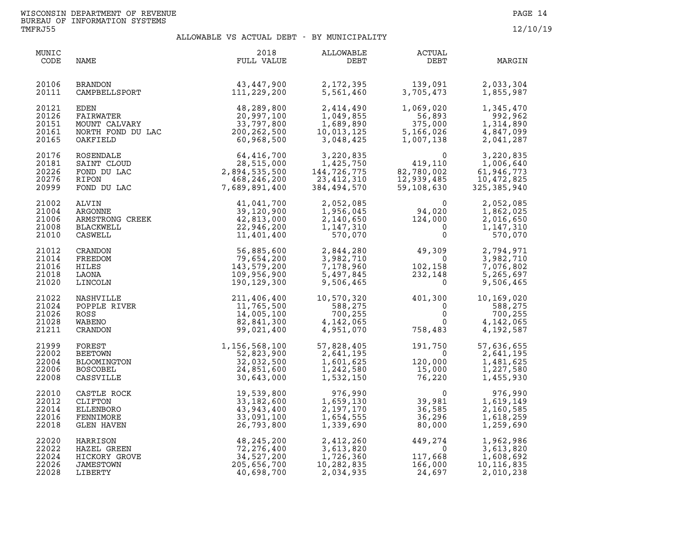| MUNIC<br>CODE                             | NAME                                                                     | 2018<br>FULL VALUE                                                                                                             | ALLOWABLE<br>DEBT                                              | <b>ACTUAL</b><br>DEBT                                                   | MARGIN                                                                                                   |
|-------------------------------------------|--------------------------------------------------------------------------|--------------------------------------------------------------------------------------------------------------------------------|----------------------------------------------------------------|-------------------------------------------------------------------------|----------------------------------------------------------------------------------------------------------|
| 20106<br>20111                            | BRANDON<br>CAMPBELLSPORT                                                 | $43,447,900$<br>$111,229,200$<br>111,229,200                                                                                   | 2,172,395<br>5,561,460                                         | 139,091<br>3,705.473                                                    | 2,033,304<br>1,855,987                                                                                   |
| 20121<br>20126<br>20151<br>20161<br>20165 | OAKFIELD                                                                 | EDEN 48,289,800<br>FAIRWATER 20,997,100<br>MOUNT CALVARY 33,797,800<br>NORTH FOND DU LAC 200,262,500<br>OAKFIELD<br>60,968,500 | 2,414,490<br>1,049,855<br>1,689,890<br>10,013,125<br>3,048,425 | 1,069,020<br>56,893<br>375,000<br>5,166,026<br>1,007,138                | 1,345,470<br>992,962<br>1,314,890<br>4,847,099<br>2,041,287                                              |
| 20176<br>20181<br>20226<br>20276<br>20999 | ROSENDALE<br>SAINT CLOUD<br>FOND DU LAC<br>RIPON<br>FOND DU LAC          | $64,416,700$ $28,515,000$ $2,894,535,500$ $468,246,200$ $7,689,891,400$                                                        | 3,220,835<br>1,425,750<br>144,726<br>23,412,310<br>384,494,570 | 0<br>110, 419<br>82, 780, 002<br>12, 939, 485<br>59, 108, 630           | 3,220,835<br>$419,110$<br>$82,780,002$<br>$12,939,485$<br>$59,108,630$<br>$325,385,940$<br>$325,385,940$ |
| 21002<br>21004<br>21006<br>21008<br>21010 | ARMSTRONG CREEK<br>BLACKWELL<br>CASWELL<br>CASWELL<br>'REFDON<br>'REFDON | 41,041,700<br>39,120,900<br>42,813,000<br>22,946,200<br>11,401,400                                                             | 2,052,085<br>1,956,045<br>2,140,650<br>1,147,310<br>570,070    | $\begin{smallmatrix}&&&0\94\, ,\,020\124\, ,\,000\0\0\end{smallmatrix}$ | 2,052,085<br>1,862,025<br>2,016,650<br>1,147,310<br>570,070                                              |
| 21012<br>21014<br>21016<br>21018<br>21020 | FREEDOM<br>HILES<br>LAONA<br>LINCOLN                                     | 56,885,600<br>79,654,200<br>143,579,200<br>109,956,900<br>190,129,300                                                          | 2,844,280<br>3,982,710<br>7,178,960<br>5,497,845<br>9,506,465  | $49,309$<br>0<br>$102,158$<br>232,148<br>0<br>158<br>148<br>0           | 2,794,971<br>3,982,710<br>7,076,802<br>5,265,697<br>9,506,465                                            |
| 21022<br>21024<br>21026<br>21028<br>21211 | NASHVILLE<br>POPPLE RIVER<br>ROSS<br>WABENO<br>CRANDON                   | 211,406,400<br>11,765,500<br>14,005,100<br>82,841,300<br>99,021,400                                                            | 10,570,320<br>588,275<br>700,255<br>4,142,065<br>4,951,070     | $401,300$<br>0<br>0<br>0<br>758,483                                     | 10,169,020<br>588,275<br>700,255<br>4,142,065<br>4,192,587                                               |
| 21999<br>22002<br>22004<br>22006<br>22008 | FOREST<br><b>BEETOWN</b><br>BLOOMINGTON<br><b>BOSCOBEL</b><br>CASSVILLE  | $1,156,568,100$<br>$52,823,900$<br>$32,032,500$<br>$24,851,600$<br>$30,643,000$                                                | 57,828,405<br>2,641,195<br>1,601,625<br>1,242,580<br>1,532,150 | 191,750<br>$\overline{0}$<br>120,000<br>120,000<br>15,000<br>76,220     | 57,636,655<br>2,641,195<br>1,481,625<br>1,227,580<br>1,455,930                                           |
| 22010<br>22012<br>22014<br>22016<br>22018 | CASTLE ROCK<br>CLIFTON<br>ELLENBORO<br>FENNIMORE<br><b>GLEN HAVEN</b>    | 19,539,800<br>33,182,600<br>43,943,400<br>33,091,100<br>26,793,800                                                             | 976,990<br>1,659,130<br>2,197,170<br>1,654,555<br>1,339,690    | $\mathbf 0$<br>$\frac{39,981}{36,505}$<br>36,585<br>36,296<br>80,000    | 976,990<br>1,619,149<br>2,160,585<br>1,618,259<br>1,259,690                                              |
| 22020<br>22022<br>22024<br>22026<br>22028 | HARRISON<br>HAZEL GREEN<br>HICKORY GROVE<br>JAMESTOWN<br>LIBERTY         | 48, 245, 200<br>72,276,400<br>34,527,200<br>205,656,700<br>40,698,700                                                          | 2,412,260<br>3,613,820<br>1,726,360<br>10,282,835<br>2,034,935 | $449, 274 \ 0 \ 117, 668 \ 166, 000 \ 24, 697$                          | 1,962,986<br>3,613,820<br>1,608,692<br>10, 116, 835<br>2,010,238                                         |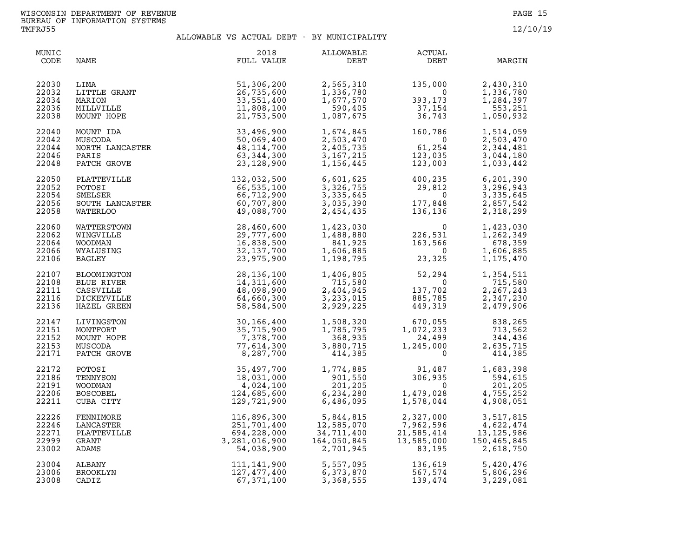| MUNIC<br>CODE                             | NAME                                                                 | 2018<br>FULL VALUE                                                                                                                    | ALLOWABLE<br>DEBT                                                                                                 | ACTUAL<br>DEBT                                                                                                                                                                                 | MARGIN                                                             |
|-------------------------------------------|----------------------------------------------------------------------|---------------------------------------------------------------------------------------------------------------------------------------|-------------------------------------------------------------------------------------------------------------------|------------------------------------------------------------------------------------------------------------------------------------------------------------------------------------------------|--------------------------------------------------------------------|
| 22030<br>22032<br>22034<br>22036<br>22038 | LITTLE GRANT<br>MARION<br>MILLVILLE<br>MUNT HOPE<br>MOUNT HOPE       | 51,306,200<br>26,735,600<br>33,551,400<br>11,808,100<br>21,753,500                                                                    | 2,565,310<br>1,336,780<br>1,677,570<br>590,405<br>1,087,675                                                       | $135,000$<br>0<br>393,173<br>37,154<br>36,743                                                                                                                                                  | 2,430,310<br>1,336,780<br>1,284,397<br>553,251<br>1,050,932        |
| 22040<br>22042<br>22044<br>22046<br>22048 | MOUNT IDA<br>MUSCODA<br>NORTH LANCASTER<br>PARIS<br>PATCH GROVE      | 33,496,900<br>50,069,400<br>48, 114, 700<br>63, 344, 300<br>23,128,900                                                                |                                                                                                                   | $\begin{array}{llll} 1,674,845 & 160,786 \\ 2,503,470 & 0 \\ 2,405,735 & 61,254 \\ 3,167,215 & 123,035 \\ 1,156,445 & 123,003 \end{array}$                                                     | 1,514,059<br>2,503,470<br>2,344,481<br>3,044,180<br>1,033,442      |
| 22050<br>22052<br>22054<br>22056<br>22058 |                                                                      | PLATTEVILLE 132,032,500<br>POTOSI 66,535,100<br>SMELSER 66,712,900<br>SOUTH LANCASTER 60,707,800<br>WATERLOO 49,088,700               |                                                                                                                   |                                                                                                                                                                                                |                                                                    |
| 22060<br>22062<br>22064<br>22066<br>22106 | WATTERSTOWN<br>WINGVILLE<br>WOODMAN<br>WYALUSING<br>BAGLEY           | 28,460,600<br>29,777,600<br>16,838,500<br>32,137,700<br>23,975,900                                                                    |                                                                                                                   | $\begin{array}{llll} 1,423,030 & 0 \\ 1,488,880 & 226,531 \\ 841,925 & 163,566 \\ 1,606,885 & 0 \\ 1,198,795 & 23,325 \end{array}$                                                             | 1,423,030<br>1,262,349<br>678,359<br>1,606,885<br>1,175,470        |
| 22107<br>22108<br>22111<br>22116<br>22136 | BLOOMINGTON<br>BLUE RIVER<br>CASSVILLE<br>DICKEYVILLE<br>HAZEL GREEN | 28,136,100<br>14,311,600<br>48,098,900<br>64,660,300<br>58,584,500                                                                    |                                                                                                                   | $\begin{array}{llll} 1,406,805 & 52,294 \\ 715,580 & 0 \\ 2,404,945 & 137,702 \\ 3,233,015 & 885,785 \\ 2,929,225 & 449,319 \end{array}$                                                       | 1,354,511<br>715,580<br>2,267,243<br>2,347,230<br>2,479,906        |
| 22147<br>22151<br>22152<br>22153<br>22171 | LIVINGSTON<br>MONTFORT<br>MOUNT HOPE<br>MUSCODA<br>PATCH GROVE       | 30,166,400<br>35,715,900<br>7,378,700<br>77,614,300<br>8,287,700                                                                      |                                                                                                                   | $\begin{array}{cccc} 1,508,320 & 670,055 & 838,265 \\ 1,785,795 & 1,072,233 & 713,562 \\ 368,935 & 24,499 & 344,436 \\ 3,880,715 & 1,245,000 & 2,635,715 \\ 414,385 & 0 & 414,385 \end{array}$ |                                                                    |
| 22172<br>22186<br>22191<br>22206<br>22211 | POTOSI<br>TENNYSON<br>WOODMAN<br><b>BOSCOBEL</b><br>CUBA CITY        | 35,497,700<br>18,031,000<br>4,024,100<br>124,685,600<br>129,721,900                                                                   | 201,205<br>234,280<br>486,095<br>6,234,280<br>6,486,095                                                           | 1,774,885 91,487 1,683,398<br>901,550 306,935 594,615<br>$1,479,028$<br>1,578,044                                                                                                              | 201,205<br>4,755,252<br>4,908,051                                  |
| 22226<br>22246<br>22271<br>22999<br>23002 | FENNIMORE<br>LANCASTER<br>PLATTEVILLE<br>GRANT<br>ADAMS              | 116, 896, 300<br>251, 701, 400<br>694, 228, 000<br>3, 281, 016, 900<br>54, 038, 900<br>111, 141, 900<br>127, 477, 400<br>67, 371, 100 | 5,844,815<br>12,585,070<br>34,711,400<br>$\begin{array}{c}\n\vdots \\ 1\n\end{array}$<br>164,050,845<br>2,701,945 | 2,327,000<br>7,962,596<br>2,327,000<br>7,962,596<br>21,585,414<br>13,585,000<br>83,195                                                                                                         | 3,517,815<br>4,622,474<br>13, 125, 986<br>150,465,845<br>2,618,750 |
| 23004<br>23006<br>23008                   | ALBANY<br>BROOKLYN<br>CADIZ                                          |                                                                                                                                       |                                                                                                                   |                                                                                                                                                                                                | 5,420,476<br>5,806,296<br>3,229,081                                |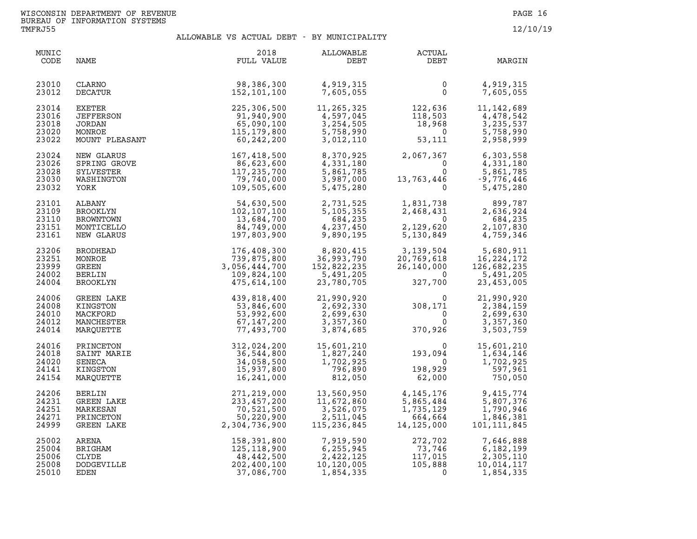| MUNIC<br>CODE                             | NAME                                                                           | 2018<br>FULL VALUE                                                                 | ALLOWABLE<br>DEBT                                                 | <b>ACTUAL</b><br>DEBT                                                                              | MARGIN                                                                                         |
|-------------------------------------------|--------------------------------------------------------------------------------|------------------------------------------------------------------------------------|-------------------------------------------------------------------|----------------------------------------------------------------------------------------------------|------------------------------------------------------------------------------------------------|
| 23010<br>23012                            | CLARNO<br>DECATUR                                                              | 98,386,300<br>152,101,100                                                          | 4,919,315<br>7,605,055                                            | $\mathbf 0$<br>$\Omega$                                                                            | 4,919,315<br>7,605,055                                                                         |
| 23014<br>23016<br>23018<br>23020<br>23022 | <b>EXETER</b><br><b>JEFFERSON</b><br><b>JORDAN</b><br>MONROE<br>MOUNT PLEASANT | 225,306,500<br>91,940,900<br>65,090,100<br>115,179,800<br>60,242,200               | 11,265,325<br>4,597,045<br>3,254,505<br>5,758,990<br>3,012,110    | 122,636<br>118,503<br>$\begin{smallmatrix} 118,503\ 18,968\ 18,968\ 0 \end{smallmatrix}$<br>53,111 | 11, 142, 689<br>4,478,542<br>3,235,537<br>5,758,990<br>2,958,999                               |
| 23024<br>23026<br>23028<br>23030<br>23032 | NEW GLARUS<br>SPRING GROVE<br>SYLVESTER<br>WASHINGTON<br>YORK                  | 167,418,500<br>86,623,600<br>117,235,700<br>79,740,000<br>109,505,600              | 8,370,925<br>4,331,180<br>5,861,785<br>3,987,000<br>5,475,280     | 2,067,367<br>$\Omega$                                                                              | 6,303,558<br>$\frac{0}{0}$<br>4,331,180<br>5,861,785<br>$13,763,446$ -9,776,446<br>0 5,475,280 |
| 23101<br>23109<br>23110<br>23151<br>23161 | ALBANY<br>BROOKLYN<br>BROWNTOWN<br>MONTICELLO<br>NEW GLARUS                    | 54,630,500<br>102,107,100<br>13,684,700<br>84,749,000<br>197,803,900               | 2,731,525<br>5,105,355<br>684,235<br>4,237,450<br>9,890,195       | 1,831,738<br>2,468,431<br>$\overline{0}$<br>2,129,620<br>5,130,849                                 | 899,787<br>2,636,924<br>684,235<br>2,107,830<br>4,759,346                                      |
| 23206<br>23251<br>23999<br>24002<br>24004 | <b>BRODHEAD</b><br>MONROE<br>GREEN<br>BERLIN<br>BROOKLYN                       | 176,408,300<br>739,875,800<br>3,056,444,700<br>109,824,100<br>475,614,100          | 8,820,415<br>36,993,790<br>152,822,235<br>5,491,205<br>23,780,705 | 3,139,504<br>20,769,618<br>26,140,000<br>0<br>327,700                                              | 5,680,911<br>5,680,911<br>16,224,172<br>126,682,235<br>5,491,205<br>23,453,005                 |
| 24006<br>24008<br>24010<br>24012<br>24014 | GREEN LAKE<br>KINGSTON<br>MACKFORD<br>MANCHESTER<br>MARQUETTE                  | 439,818,400<br>53,846,600<br>53,992,600<br>67,147,200<br>77,493,700                | 21,990,920<br>2,692,330<br>2,699,630<br>3,357,360<br>3,874,685    | $\begin{smallmatrix}&&&0\0&1&71\0&\phantom-0\0&370,926\end{smallmatrix}$                           | 21,990,920<br>2,384,159<br>2,699,630<br>3,357,360<br>3,503,759                                 |
| 24016<br>24018<br>24020<br>24141<br>24154 | PRINCETON<br>SAINT MARIE<br>SENECA<br>KINGSTON<br>MARQUETTE                    | 312,024,200<br>36,544,800<br>34,058,500<br>15,937,800<br>16,241,000                | 15,601,210<br>1,827,240<br>1,702,925<br>796,890<br>812,050        | $\Omega$<br>193,094<br>$\overline{0}$<br>198,929<br>62,000                                         | 15,601,210<br>1,634,146<br>1,702,925<br>597,961<br>750,050                                     |
| 24206<br>24231<br>24251<br>24271<br>24999 | <b>BERLIN</b><br>GREEN LAKE<br>MARKESAN<br>PRINCETON<br>GREEN LAKE             | 271, 219, 000<br>233, 457, 200<br>70, 521, 500<br>50, 220, 900<br>2, 304, 736, 900 | 13,560,950<br>11,672,860<br>3,526,075<br>2,511,045<br>115,236,845 | 4, 145, 176<br>5,865,484<br>1,735,129<br>664,664<br>14,125,000                                     | 9,415,774<br>5,807,376<br>1,790,946<br>1,846,381<br>101, 111, 845                              |
| 25002<br>25004<br>25006<br>25008<br>25010 | ARENA<br>BRIGHAM<br>CLYDE<br>DODGEVILLE<br>EDEN                                | 158,391,800<br>125,118,900<br>48,442,500<br>202,400,100<br>37,086,700              | 7,919,590<br>6, 255, 945<br>2,422,125<br>10,120,005<br>1,854,335  | 272,702<br>73,746<br>117,015<br>105,888<br>117,015<br>105,888<br>$\overline{0}$                    | 7,646,888<br>6,182,199<br>2,305,110<br>10,014,117<br>1,854,335                                 |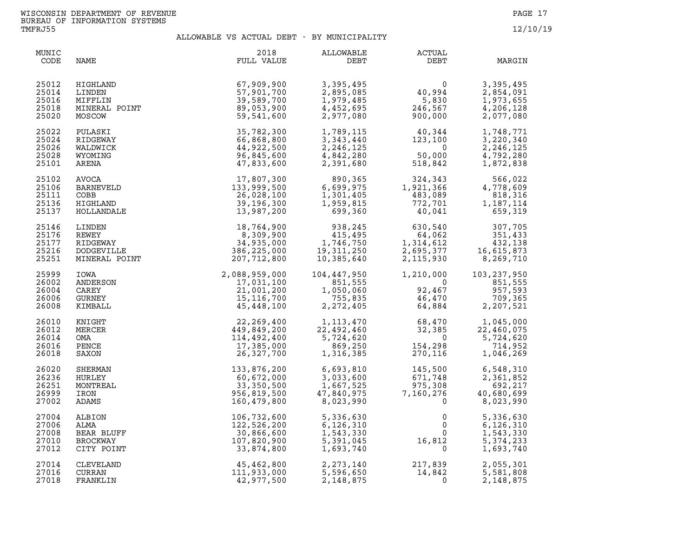| MUNIC<br>CODE                             | NAME                                                              | 2018<br>FULL VALUE                                                    | ALLOWABLE<br>DEBT                                                                                                                                                                                                                                                                                                                        | <b>ACTUAL</b><br>DEBT                                                                                                                                                                                 | MARGIN                                                          |
|-------------------------------------------|-------------------------------------------------------------------|-----------------------------------------------------------------------|------------------------------------------------------------------------------------------------------------------------------------------------------------------------------------------------------------------------------------------------------------------------------------------------------------------------------------------|-------------------------------------------------------------------------------------------------------------------------------------------------------------------------------------------------------|-----------------------------------------------------------------|
| 25012<br>25014<br>25016<br>25018<br>25020 | HIGHLAND<br>LINDEN<br>MIFFLIN<br>MINERAL POINT<br>MOSCOW          | 67,909,900<br>57,901,700<br>39,589,700<br>89,053,900<br>59,541,600    | 3,395,495<br>2,895,085<br>1,979,485<br>4,452,695<br>2,977,080                                                                                                                                                                                                                                                                            | $\begin{array}{c} 0 \ 40,994 \ 5,830 \ 246,567 \ 900,000 \end{array}$                                                                                                                                 | 3,395,495<br>2,854,091<br>1,973,655<br>4,206,128<br>2,077,080   |
| 25022<br>25024<br>25026<br>25028<br>25101 | PULASKI<br>RIDGEWAY<br>WALDWICK<br>WYOMING<br>ARENA               | 35,782,300<br>66,868,800<br>44,922,500<br>96,845,600<br>47,833,600    | 1,789,115<br>3,343,440<br>2,246,125<br>4,842,280<br>2,391,680                                                                                                                                                                                                                                                                            | $\begin{smallmatrix} 40,344\ 123,100\ 0\ 50,000\ 518,842 \end{smallmatrix}$                                                                                                                           | 1,748,771<br>3,220,340<br>2, 246, 125<br>4,792,280<br>1,872,838 |
| 25102<br>25106<br>25111<br>25136<br>25137 | AVOCA<br>BARNEVELD<br>COBB<br>HIGHLAND<br>HOLLANDALE              | 17,807,300<br>133,999,500<br>26,028,100<br>39,196,300<br>13,987,200   | 890,365<br>6,699,975<br>1,301,405<br>1,959,815<br>699,360                                                                                                                                                                                                                                                                                | $324, 343$<br>$1, 921, 366$<br>$483, 089$<br>$772, 701$<br>$40, 041$                                                                                                                                  | 566,022<br>4,778,609<br>818,316<br>1,187,114<br>659,319         |
| 25146<br>25176<br>25177<br>25216<br>25251 | LINDEN<br>REWEY<br>RIDGEWAY<br><b>DODGEVILLE</b><br>MINERAL POINT | 386,225,000<br>207,712,800                                            | $18,764,900$<br>$8,309,900$<br>$34,935,000$<br>$36,245$<br>$34,935,000$<br>$1,746,750$<br>$19,311,250$<br>$207,712,900$<br>$10,385,640$<br>10,385,640                                                                                                                                                                                    | $\begin{array}{llllll} 938,245 & 630,540 & 307,705 \\ 415,495 & 64,062 & 351,433 \\ 746,750 & 1,314,612 & 432,138 \\ 311,250 & 2,695,377 & 16,615,873 \\ 385,640 & 2,115,930 & 8,269,710 \end{array}$ |                                                                 |
| 25999<br>26002<br>26004<br>26006<br>26008 | IOWA<br>ANDERSON<br>CAREY<br>GURNEY<br>KIMBALL                    | 2,088,959,000<br>17,031,100<br>21,001,200<br>15,116,700<br>45,448,100 | $\begin{array}{llll} 104, 447, 950 & & 1, 210, \\ 851, 555 & & \\ 1, 050, 060 & & 92, \\ 755, 835 & & 46, \\ 2, 272, 405 & & & 64, \end{array}$                                                                                                                                                                                          | $\begin{array}{cc} 1,210,000 & 103\,, \cr & 92,467 & \\ 46,470 & \\ 64,884 & 2\,, \end{array}$                                                                                                        | 103, 237, 950<br>851,555<br>957,593<br>709,365<br>2,207,521     |
| 26010<br>26012<br>26014<br>26016<br>26018 | KNIGHT<br>MERCER<br>OMA<br>PENCE<br>SAXON                         | 22,269,400<br>449,849,200<br>114,492,400<br>17,385,000<br>26,327,700  | $\begin{array}{cccc} 1,113\,,470 & \phantom{00} & 68\,,470 & \phantom{00} & 1,045\,,000 \\ 22,492\,,460 & \phantom{00} & 32\,,385 & \phantom{0} & 22\,,460\,,075 \\ 5,724\,,620 & \phantom{00} & 0 & \phantom{0} & 5\,,724\,,620 \\ 869\,,250 & \phantom{00} & 154\,,298 & \phantom{0} & 714\,,952 \\ 1,316\,,385 & \phantom{00} & 270\$ |                                                                                                                                                                                                       |                                                                 |
| 26020<br>26236<br>26251<br>26999<br>27002 | SHERMAN<br>HURLEY<br>MONTREAL<br>IRON<br>ADAMS                    | 60,672,000<br>33,350,500<br>956,819,500<br>160,479,800                | 133,876,200 6,693,810<br>$\begin{array}{c} 3,033,600\ 1,667,525\ 47,840,975\ 8,023,990 \end{array}$<br>1,667,525<br>47,840,975                                                                                                                                                                                                           | $145,500$<br>$671,748$<br>$975,308$<br>$7,160,276$<br>7,160,276                                                                                                                                       | 6,548,310<br>2,361,852<br>692,217<br>40,680,699<br>8,023,990    |
| 27004<br>27006<br>27008<br>27010<br>27012 | ALBION<br>ALMA<br>BEAR BLUFF<br><b>BROCKWAY</b><br>CITY POINT     | 106,732,600<br>122,526,200<br>30,866,600<br>107,820,900<br>33,874,800 | 5,336,630<br>6, 126, 310<br>1,543,330<br>5,391,045<br>1,693,740                                                                                                                                                                                                                                                                          | $\begin{smallmatrix}0&&&0\0&&&0\0&0&0\0&&&0\end{smallmatrix}$<br>$\overline{0}$                                                                                                                       | 5,336,630<br>6,126,310<br>1,543,330<br>5, 374, 233<br>1,693,740 |
| 27014<br>27016<br>27018                   | CLEVELAND<br>CURRAN<br>FRANKLIN                                   | 45,462,800<br>111,933,000<br>42,977,500                               | 2, 273, 140<br>5,596,650<br>2,148,875                                                                                                                                                                                                                                                                                                    | $217,839$<br>$14,842$<br>0                                                                                                                                                                            | 2,055,301<br>5,581,808<br>2,148,875                             |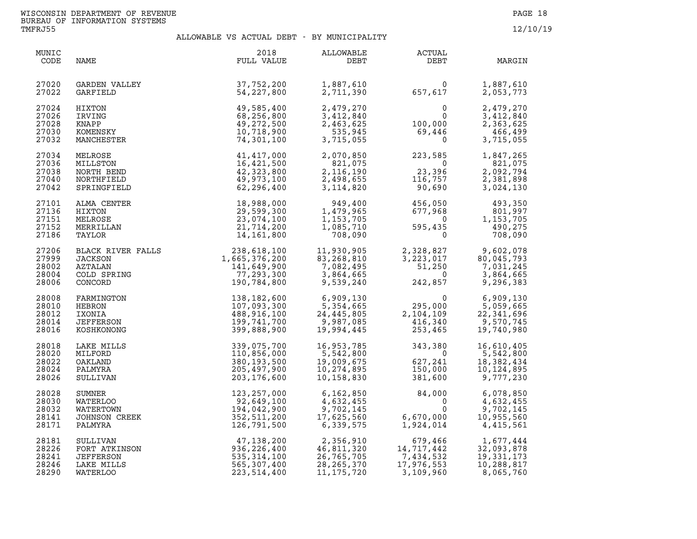| MUNIC<br>CODE                             | NAME                                                                                                 | 2018<br>FULL VALUE                                                        | ALLOWABLE<br>DEBT                                                     | ACTUAL<br>DEBT                                                                                      | MARGIN                                                           |
|-------------------------------------------|------------------------------------------------------------------------------------------------------|---------------------------------------------------------------------------|-----------------------------------------------------------------------|-----------------------------------------------------------------------------------------------------|------------------------------------------------------------------|
| 27020<br>27022                            | GARDEN VALLEY<br>GARFIELD                                                                            | 37,752,200<br>54, 227, 800                                                | 1,887,610<br>2,711,390                                                | $\begin{array}{c} 0 \ 657,617 \end{array}$                                                          | 1,887,610<br>2,053,773                                           |
| 27024<br>27026<br>27028<br>27030<br>27032 | HIXTON<br>IRVING<br>KNAPP<br>KOMENSKY<br>MANCHESTER                                                  | 49,585,400<br>68,256,800<br>49,272,500<br>10,718,900<br>74,301,100        | 2,479,270<br>3,412,840<br>2,463,625<br>535,945<br>3,715,055           | $\begin{smallmatrix}&&&0\0&&&0\0&100\,69\,446\0\end{smallmatrix}$                                   | 2,479,270<br>3,412,840<br>2,363,625<br>466,499<br>3,715,055      |
| 27034<br>27036<br>27038<br>27040<br>27042 | MELROSE<br>MILLSTON<br>NORTH BEND<br>NORTHFIELD<br>SPRINGFIELD                                       | 41, 417, 000<br>16,421,500<br>42,323,800<br>49,973,100<br>62,296,400      | 2,070,850<br>821,075<br>2,116,190<br>2,498,655<br>3,114,820           | $223,585$<br>0<br>$\begin{smallmatrix} 0 \\ 23,396 \end{smallmatrix}$<br>116,757<br>90,690          | 1,847,265<br>821,075<br>2,092,794<br>2,381,898<br>3,024,130      |
| 27101<br>27136<br>27151<br>27152<br>27186 | ALMA CENTER<br>HIXTON<br>MELROSE<br>MERRILLAN<br>TAYLOR                                              | 18,988,000<br>29,599,300<br>23,074,100<br>21,714,200<br>14,161,800        | 949,400<br>1,479,965<br>1,153,705<br>1,085,710<br>708,090             | 456,050<br>677,968<br>0<br>$677,968$<br>595,435<br>595,435                                          | 493,350<br>801,997<br>1,153,705<br>490,275<br>708,090            |
| 27206<br>27999<br>28002<br>28004<br>28006 | BLACK RIVER FALLS<br>JACKSON<br>AZTALAN 141,649,900<br>COLD SPRING 77,293,300<br>CONCORD 190,784,800 |                                                                           | 11,930,905<br>83,268,810<br>7,082,495<br>3,864,665<br>9,539,240       | 2,328,827<br>3,223,017<br>3,223,017<br>51,250<br>0<br>242,857                                       | 9,602,078<br>80,045,793<br>7,031,245<br>3,864,665<br>9,296,383   |
| 28008<br>28010<br>28012<br>28014<br>28016 | FARMINGTON<br>HEBRON<br>IXONIA<br>JEFFERSON<br>KOSHKONONG                                            | 138,182,600<br>107,093,300<br>488,916,100<br>199,741,700<br>399,888,900   | 6,909,130<br>5,354,665<br>24,445,805<br>9,987,085<br>19,994,445       | $0$<br>295,000<br>$2,104,109$<br>$416,340$<br>$253,465$                                             | 6,909,130<br>5,059,665<br>22,341,696<br>9,570,745<br>19,740,980  |
| 28018<br>28020<br>28022<br>28024<br>28026 | LAKE MILLS<br>MILFORD<br>OAKLAND<br>PALMYRA                                                          | 339,075,700<br>110,856,000<br>380,193,500<br>205,497,900<br>203, 176, 600 | 16,953,785<br>5,542,800<br>19,009,675<br>10,274,895<br>10,158,830     | 343,380<br>0<br>627,241<br>150,000<br>381,600<br>381,600                                            | 16,610,405<br>5,542,800<br>18,382,434<br>10,124,895<br>9,777,230 |
| 28028<br>28030<br>28032<br>28141<br>28171 | ALMIRA<br>;ULLIVAN<br>SUMNER<br>WATERLOO<br>WATERTOWN<br>JOHNSON CREEK<br>paLMYRA                    | 123, 257, 000<br>92,649,100<br>194,042,900<br>352,511,200<br>126,791,500  | 6,162,850<br>4,632,455<br>9,702,145<br>17,625,560<br>6,339,575        | 84,000<br>$6,670,000$ $0$ $1,924,014$<br>6,670,000<br>1,924,014                                     | 6,078,850<br>4,632,455<br>9,702,145<br>10,955,560<br>4,415,561   |
| 28181<br>28226<br>28241<br>28246<br>28290 | SULLIVAN<br>FORT ATKINSON<br><b>JEFFERSON</b><br>LAKE MILLS<br>WATERLOO                              | 47,138,200<br>936,226,400<br>535,314,100<br>565,307,400<br>223,514,400    | 2,356,910<br>46,811,320<br>26,765,705<br>28, 265, 370<br>11, 175, 720 | 679,466<br>679,466<br>14,717,442<br>7,434,532<br>17,976,553<br>7,434,532<br>17,976,553<br>3,109,960 | 1,677,444<br>32,093,878<br>19,331,173<br>10,288,817<br>8,065,760 |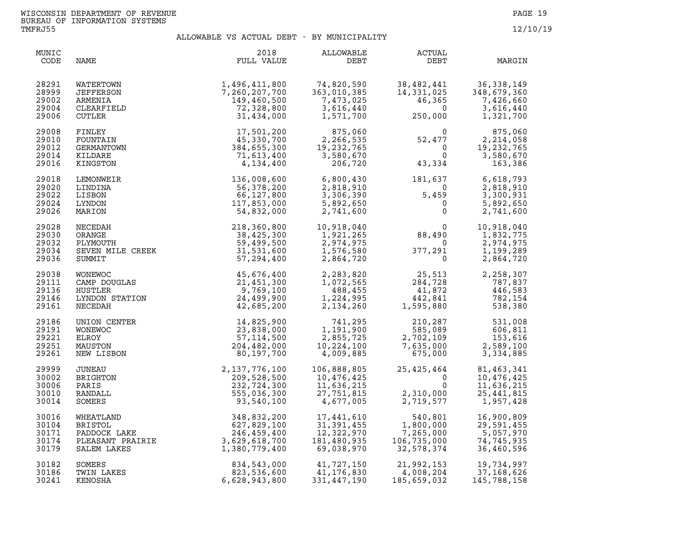| MUNIC<br>CODE                             | NAME                                                                                                                                                                                                                                                                 | 2018<br>FULL VALUE                                                                                                                                                                  | <b>ALLOWABLE</b><br>DEBT                                                                  | <b>ACTUAL</b><br>DEBT                                                                                                                                                                               | MARGIN                                                            |
|-------------------------------------------|----------------------------------------------------------------------------------------------------------------------------------------------------------------------------------------------------------------------------------------------------------------------|-------------------------------------------------------------------------------------------------------------------------------------------------------------------------------------|-------------------------------------------------------------------------------------------|-----------------------------------------------------------------------------------------------------------------------------------------------------------------------------------------------------|-------------------------------------------------------------------|
| 28291<br>28999<br>29002<br>29004<br>29006 | WATERTOWN<br>JEFFERSON<br>ARMENIA<br>CLEARFIELD<br>CUTLER                                                                                                                                                                                                            | 1, 496, 411, 800<br>7, 260, 207, 700<br>149, 460, 500<br>72, 328, 800<br>31, 434, 000<br>45, 330, 700<br>384, 655, 300<br>71, 613, 400<br>4, 134, 400<br>4, 134, 400<br>4, 134, 400 | $74,820,590$<br>363.010.00<br>7,473,025<br>3,616,440<br>1,571,700                         | 38, 482, 441 36, 338, 149<br>14, 331, 025 348, 679, 360<br>46, 365 7, 426, 660<br>250, 000 1, 321, 700                                                                                              |                                                                   |
| 29008<br>29010<br>29012<br>29014<br>29016 | FINLEY<br>FOUNTAIN<br>GERMANTOWN<br>KILDARE<br>KINGSTON                                                                                                                                                                                                              |                                                                                                                                                                                     | $\begin{array}{r} 875,060 \\ 2,266,535 \\ 19,232,765 \\ 3,580,670 \\ 206,720 \end{array}$ | $52,477$<br>0 1<br>43,334                                                                                                                                                                           | 875,060<br>2,214,058<br>19, 232, 765<br>3,580,670<br>163,386      |
| 29018<br>29020<br>29022<br>29024<br>29026 | XINGSTON<br>LEMONWEIR<br>LINDINA<br>LINDINA<br>LISBON<br>LISBON<br>CON C6, 227, 800<br>3, 306, 390<br>LYNDON<br>MARION<br>MECEDAH<br>NECEDAH<br>ORANGE<br>ORANGE<br>PLYMOUTH<br>SEVEN MILE CREEK<br>CREER<br>SEVEN MILE CREEK<br>SEVEN MILE CREEK<br>SEVEN MILE CREE |                                                                                                                                                                                     |                                                                                           | $\begin{array}{ccc} 181,637 & 6,618,793\ 0 & 2,818,910\ 5,459 & 3,300,931\ 0 & 5,892,650\ 0 & 2,741,600 \end{array}$                                                                                |                                                                   |
| 29028<br>29030<br>29032<br>29034<br>29036 |                                                                                                                                                                                                                                                                      |                                                                                                                                                                                     |                                                                                           | $88,490$<br>0<br>377,291<br>0                                                                                                                                                                       | 10,918,040<br>1,832,775<br>2,974,975<br>1,199,289<br>2,864,720    |
| 29038<br>29111<br>29136<br>29146<br>29161 | WONEWOC<br>CAMP DOUGLAS<br>CAMP DOUGLAS<br>HUSTLER<br>1,451,300<br>HUSTLER<br>24,499,900<br>NECEDAH<br>24,685,200                                                                                                                                                    |                                                                                                                                                                                     |                                                                                           | $\begin{array}{cccc} 2,283,820 & 25,513 & 2,258,307 \\ 1,072,565 & 284,728 & 787,837 \\ 488,455 & 41,872 & 446,583 \\ 1,224,995 & 442,841 & 782,154 \\ 2,134,260 & 1,595,880 & 538,380 \end{array}$ |                                                                   |
| 29186<br>29191<br>29221<br>29251<br>29261 | UNION CENTER<br><b>WONEWOC</b><br>ELROY<br>MAUSTON<br>NEW LISBON                                                                                                                                                                                                     | 14,825,900<br>23,838,000<br>57, 114, 500<br>204,482,000<br>80,197,700                                                                                                               | 741,295<br>1,191,900<br>2,855,725<br>10, 224, 100<br>4,009,885                            | $\begin{array}{cc} 210, 287 & 531, 008 \ 585, 089 & 606, 811 \ 2, 702, 109 & 153, 616 \ 7, 635, 000 & 2, 589, 100 \ 675, 000 & 3, 334, 885 \end{array}$                                             |                                                                   |
| 29999<br>30002<br>30006<br>30010<br>30014 | JUNEAU<br>BRIGHTON<br>PARIS<br>RANDALL<br>SOMERS                                                                                                                                                                                                                     | 2, 137, 776, 100<br>209, 528, 500<br>232, 724, 300<br>555, 036, 300<br>93, 540, 100                                                                                                 | 106,888,805<br>10,476,425<br>11,636,215<br>27,751,815<br>4,677,005                        | 25,425,464<br>0<br>$\Omega$<br>$2,310,000$<br>$2.719.577$<br>2,719,577                                                                                                                              | 81,463,341<br>10,476,425<br>11,636,215<br>25,441,815<br>1,957,428 |
| 30016<br>30104<br>30171<br>30174<br>30179 | WHEATLAND 348,832,200<br>BRISTOL 627,829,100<br>PADDOCK LAKE 246,459,400<br>PLEASANT PRAIRIE 3,629,618,700<br>CLEASANT PRAIRIE 3,629,618,700<br>CLEASANT PRAIRIE 3,629,618,700<br>1,380,779,400<br>SALEM LAKES                                                       | 1,380,779,400                                                                                                                                                                       | 17,441,610<br>31, 391, 455<br>12,322,970<br>181,480,935<br>69,038,970                     | 540,801<br>540,801<br>1,800,000<br>7,265,000<br>106,735,000<br>32,578,374                                                                                                                           | 16,900,809<br>29,591,455<br>5,057,970<br>74,745,935<br>36,460,596 |
| 30182<br>30186<br>30241                   | SOMERS<br>TWIN LAKES<br>KENOSHA                                                                                                                                                                                                                                      | 834,543,000<br>823,536,600<br>6,628,943,800                                                                                                                                         | $41,727,150$<br>$41,176,930$<br>41,176,830<br>331,447,190                                 | 21,992,153<br>4,008,204<br>185,659,032                                                                                                                                                              | 19,734,997<br>37,168,626<br>145,788,158                           |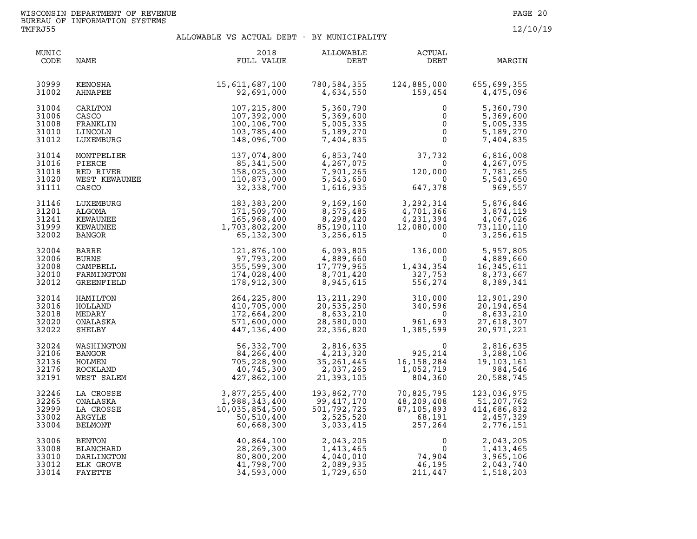| MUNIC<br>CODE                             | NAME                                                                    | 2018<br>FULL VALUE                                                                         | ALLOWABLE<br>DEBT                                                               | <b>ACTUAL</b><br>DEBT                                                                                             | MARGIN                                                             |
|-------------------------------------------|-------------------------------------------------------------------------|--------------------------------------------------------------------------------------------|---------------------------------------------------------------------------------|-------------------------------------------------------------------------------------------------------------------|--------------------------------------------------------------------|
| 30999<br>31002                            | KENOSHA<br>AHNAPEE                                                      | 15,611,687,100<br>92,691,000                                                               | 780,584,355<br>4,634,550                                                        | 124,885,000<br>159,454                                                                                            | 655,699,355<br>4,475,096                                           |
| 31004<br>31006<br>31008<br>31010<br>31012 | CARLTON<br>CASCO<br>FRANKLIN<br>LINCOLN<br>LUXEMBURG                    | 107,215,800<br>107,392,000<br>100,106,700<br>103,785,400<br>148,096,700                    | 5,360,790<br>5,369,600<br>5,005,335<br>5,189,270<br>7,404,835                   | $\mathbf{0}$<br>0<br>$0 \qquad \qquad$<br>0<br>$\overline{0}$                                                     | 5,360,790<br>5,369,600<br>5,005,335<br>5,189,270<br>7,404,835      |
| 31014<br>31016<br>31018<br>31020<br>31111 | MONTPELIER<br>PIERCE<br>RED RIVER<br>WEST KEWAUNEE<br>CASCO<br>CASCO    | 137,074,800<br>85,341,500<br>158,025,300<br>110,873,000<br>32,338,700                      | 6,853,740<br>4, 267, 075<br>7,901,265<br>5,543,650<br>1,616,935                 | $37,732$<br>$0$<br>$120,000$<br>$647,378$<br>120,000<br>647,378                                                   | 6,816,008<br>4,267,075<br>7,781,265<br>5,543,650<br>969,557        |
| 31146<br>31201<br>31241<br>31999<br>32002 | LUXEMBURG<br>ALGOMA<br>KEWAUNEE<br>KEWAUNEE<br>BANGOR                   | 183,383,200<br>171,509,700<br>165,968,400<br>1,703,802,200<br>65,132,300                   | 9,169,160<br>8,575,485<br>8,298,420<br>85,190,110<br>3,256,615                  | $3,292,314$<br>$4,701,366$<br>$4,231,394$<br>$12,080,000$<br>$0$                                                  | 5,876,846<br>3,874,119<br>4,067,026<br>73,110,110<br>3,256,615     |
| 32004<br>32006<br>32008<br>32010<br>32012 | BARRE<br><b>BURNS</b><br>CAMPBELL<br>FARMINGTON<br>GREENFIELD           | 121,876,100<br>97,793,200<br>355,599,300<br>174,028,400<br>178,912,300                     | 6,093,805<br>4,889,660<br>17,779,965<br>8,701,420<br>8,945,615                  | 136,000<br>$\overline{\mathbf{0}}$<br>$\overline{\phantom{a}}$<br>1,434,354<br>327,753<br>556,274                 | 5,957,805<br>4,889,660<br>16, 345, 611<br>8,373,667<br>8,389,341   |
| 32014<br>32016<br>32018<br>32020<br>32022 | HAMILTON<br>HOLLAND<br>MEDARY<br>ONALASKA<br>SHELBY                     | 264, 225, 800<br>410,705,000<br>172,664,200<br>571,600,000<br>447,136,400                  | 13, 211, 290<br>20,535,250<br>8,633,210<br>28,580,000<br>22,356,820             | 310,000<br>340,596<br>$\overline{0}$<br>961,693<br>1,385,599                                                      | 12,901,290<br>20,194,654<br>8,633,210<br>27,618,307<br>20,971,221  |
| 32024<br>32106<br>32136<br>32176<br>32191 | WASHINGTON<br>BANGOR<br>HOLMEN<br>ROCKLAND<br>WEST SALEM                | 56,332,700<br>84,266,400<br>705,228,900<br>40,745,300<br>427,862,100                       | 2,816,635<br>4,213,320<br>35, 201, <del>11</del><br>2, 037, 265<br>21, 393, 105 | $\mathbf 0$<br>$925, 214$<br>16, 158, 284<br>1, 052, 719<br>804, 360                                              | 2,816,635<br>3,288,106<br>19,103,161<br>984,546<br>20,588,745      |
| 32246<br>32265<br>32999<br>33002<br>33004 | LA CROSSE<br>ONALASKA<br>LA CROSSE<br>ARGYLE<br>BELMONT                 | 3,877,255,400<br>1,988,343,400<br>10,035,854,500<br>50,510,400<br>50,510,400<br>60,668,300 | 193,862,770<br>99,417,170<br>501,792,725<br>2,525,520<br>3,033,415              | 70,825,795<br>48,209,408<br>, 209, 408<br>, 105, 893<br>, 105, 893<br>68, 191<br>257, 264<br>87,105,893<br>68,191 | 123,036,975<br>51,207,762<br>414,686,832<br>2,457,329<br>2,776,151 |
| 33006<br>33008<br>33010<br>33012<br>33014 | <b>BENTON</b><br><b>BLANCHARD</b><br>DARLINGTON<br>ELK GROVE<br>FAYETTE | 40,864,100<br>28, 269, 300<br>80,800,200<br>41,798,700<br>34,593,000                       | 2,043,205<br>1,413,465<br>4,040,010<br>2,089,935<br>1,729,650                   | $\begin{array}{c}0\\0\\74,904\\46,195\end{array}$<br>$\overline{0}$<br>46,195<br>211,447                          | 2,043,205<br>1,413,465<br>3,965,106<br>2,043,740<br>1,518,203      |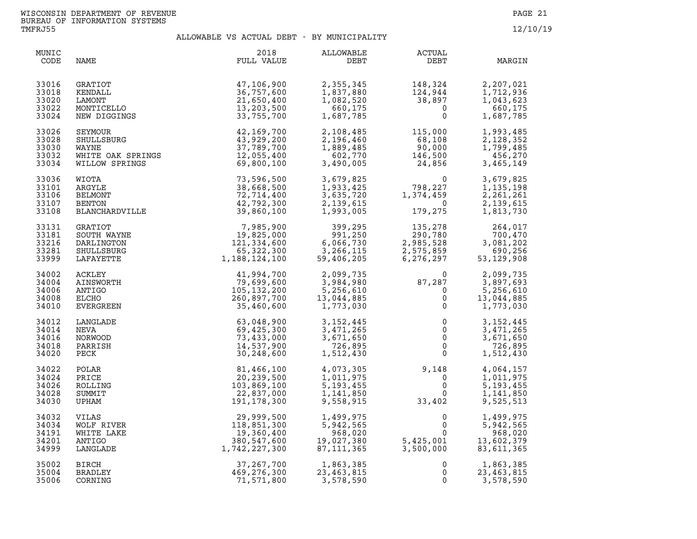| MUNIC<br>CODE                             | NAME                                                                   | 2018<br>FULL VALUE                                                       | ALLOWABLE<br>DEBT                                                                       | ACTUAL<br>DEBT                                                                             | MARGIN                                                          |
|-------------------------------------------|------------------------------------------------------------------------|--------------------------------------------------------------------------|-----------------------------------------------------------------------------------------|--------------------------------------------------------------------------------------------|-----------------------------------------------------------------|
| 33016<br>33018<br>33020<br>33022<br>33024 | <b>GRATIOT</b><br>KENDALL<br>LAMONT<br>MONTICELLO<br>NEW DIGGINGS      | 47,106,900<br>36,757,600<br>21,650,400<br>13,203,500<br>33,755,700       | 2,355,345<br>1,837,880<br>1,082,520<br>660,175<br>1,687,785                             | 148,324<br>$124,944\n38,897\n0$                                                            | 2,207,021<br>1,712,936<br>1,043,623<br>660,175<br>1,687,785     |
| 33026<br>33028<br>33030<br>33032<br>33034 | SEYMOUR<br>SHULLSBURG<br>WAYNE<br>WHITE OAK SPRINGS<br>WILLOW SPRINGS  | 42,169,700<br>43,929,200<br>37,789,700<br>12,055,400<br>69,800,100       | 2,108,485<br>2,196,460<br>1,889,485<br>602,770<br>3,490,005                             | 115,000<br>$\begin{array}{r} 113,000 \\ 68,108 \\ 90,000 \\ 146,500 \\ 24,856 \end{array}$ | 1,993,485<br>2,128,352<br>1,799,485<br>456,270<br>3,465,149     |
| 33036<br>33101<br>33106<br>33107<br>33108 | WIOTA<br>ARGYLE<br>BELMONT<br>BENTON<br>BLANCHARDVILLE                 | 73,596,500<br>38,668,500<br>72,714,400<br>42,792,300<br>39,860,100       | 1,993,005                                                                               | 3,679,825<br>1,933,425<br>3,635,720<br>2,139,615<br>1,993,005<br>179,275<br>179,275        | 3,679,825<br>1,135,198<br>2,261,261<br>2,139,615<br>1,813,730   |
| 33131<br>33181<br>33216<br>33281<br>33999 | <b>GRATIOT</b><br>SOUTH WAYNE<br>DARLINGTON<br>SHULLSBURG<br>LAFAYETTE | 7,985,900<br>19,825,000<br>121,334,600<br>65,322,300<br>1, 188, 124, 100 | $399, 295$<br>$991, 250$<br>$6, 066, 730$<br>$3, 266, 115$<br>$59, 406, 205$<br>991,250 | $135, 278$<br>$290, 780$<br>$2, 985, 528$<br>$2, 575, 859$<br>$6, 276, 297$                | 264,017<br>700,470<br>3,081,202<br>690,256<br>53, 129, 908      |
| 34002<br>34004<br>34006<br>34008<br>34010 | ACKLEY<br>AINSWORTH<br>ANTIGO<br>ELCHO<br>EVERGREEN                    | 41,994,700<br>79,699,600<br>105, 132, 200<br>260,897,700<br>35,460,600   | 2,099,735<br>3,984,980<br>5,256,610<br>13,044,885<br>1,773,030                          | $87,287$<br>0<br>0<br>0<br>0                                                               | 2,099,735<br>3,897,693<br>5,256,610<br>13,044,885<br>1,773,030  |
| 34012<br>34014<br>34016<br>34018<br>34020 | LANGLADE<br>NEVA<br>NORWOOD<br>PARRISH<br>PECK                         | 63,048,900<br>69,425,300<br>73,433,000<br>14,537,900<br>30,248,600       | 3, 152, 445<br>3,471,265<br>3,671,650<br>726,895<br>1,512,430                           | $\begin{array}{c} 0 \\ 0 \\ 0 \\ 0 \\ 0 \end{array}$<br>$\overline{0}$                     | 3, 152, 445<br>3,471,265<br>3,671,650<br>726,895<br>1,512,430   |
| 34022<br>34024<br>34026<br>34028<br>34030 | POLAR<br>PRICE<br>ROLLING<br>SUMMIT<br>UPHAM                           | 81,466,100<br>20,239,500<br>103,869,100<br>22,837,000<br>191,178,300     | 4,073,305<br>1,011,975<br>5,193,455<br>1,141,850<br>9,558,915                           | $9,148$<br>0<br>0<br>0<br>33,402                                                           | 4,064,157<br>1,011,975<br>5, 193, 455<br>1,141,850<br>9,525,513 |
| 34032<br>34034<br>34191<br>34201<br>34999 | VILAS<br>WOLF RIVER<br>WHITE LAKE<br>ANTIGO<br>LANGLADE                | 29,999,500<br>118,851,300<br>19,360,400<br>380,547,600<br>1,742,227,300  | 1,499,975<br>5,942,565<br>968,020<br>19,027,380<br>87,111,365                           | 0<br>$\Omega$<br>$\mathsf{O}$<br>5,425,001<br>3,500,000<br>3,500,000                       | 1,499,975<br>5,942,565<br>968,020<br>13,602,379<br>83,611,365   |
| 35002<br>35004<br>35006                   | <b>BIRCH</b><br>BRADLEY<br>CORNING                                     | 37, 267, 700<br>469,276,300<br>71,571,800                                | 1,863,385<br>23.463.815<br>23,463,815<br>3,578,590                                      | 0<br>0<br>0                                                                                | 1,863,385<br>23,463,815<br>3,578,590                            |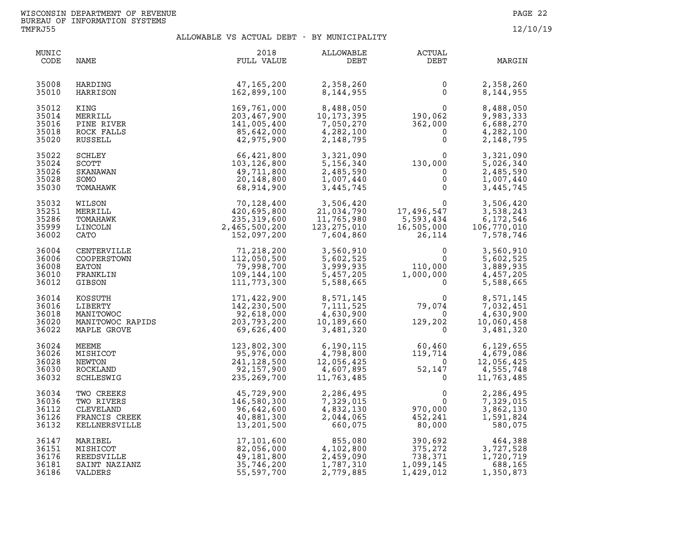| MUNIC<br>CODE                             | NAME                                                                    | 2018<br>FULL VALUE                                                                                                                              | ALLOWABLE<br>DEBT                                                                          | <b>ACTUAL</b><br>DEBT                                                          | MARGIN                                                          |
|-------------------------------------------|-------------------------------------------------------------------------|-------------------------------------------------------------------------------------------------------------------------------------------------|--------------------------------------------------------------------------------------------|--------------------------------------------------------------------------------|-----------------------------------------------------------------|
| 35008<br>35010                            | HARDING<br>HARRISON                                                     | 47,165,200<br>162,899,100                                                                                                                       | 2,358,260<br>8,144,955                                                                     | 0<br>$\mathsf{O}$                                                              | 2,358,260<br>8,144,955                                          |
| 35012<br>35014<br>35016<br>35018<br>35020 | KING<br>MERRILL<br>PINE RIVER<br>ROCK FALLS<br>RUSSELL                  | 169,761,000<br>203,467,900<br>141,005,400<br>85,642,000<br>42,975,900                                                                           | 8,488,050<br>10,173,395<br>7,050,270<br>4,282,100<br>2,148,795                             | $\begin{matrix}0\0\190,062\362,000\end{matrix}$<br>$\Omega$<br>$\mathbf 0$     | 8,488,050<br>9,983,333<br>6,688,270<br>4,282,100<br>2,148,795   |
| 35022<br>35024<br>35026<br>35028<br>35030 | SCHLEY<br>SCOTT<br>SKANAWAN<br>SOMO<br>TOMAHAWK                         | 66,421,800<br>103, 126, 800<br>49,711,800<br>20,148,800<br>68,914,900                                                                           | 3,321,090<br>5,156,340<br>2,485,590<br>1,007,440<br>3,445,745                              | $130,000$<br>0<br>0<br>0<br>0<br>$\mathbf 0$                                   | 3,321,090<br>5,026,340<br>2,485,590<br>1,007,440<br>3,445,745   |
| 35032<br>35251<br>35286<br>35999<br>36002 | WILSON<br>MERRILL<br>TOMAHAWK<br>LINCOLN<br>CATO                        | 70,128,400<br>420,695,800<br>235,319,600<br>2,465,500,200<br>152,097,200                                                                        | 3,506,420<br>21,034,790<br>11,765,980<br>123, 275, 010<br>7,604,860                        | $\mathbf{0}$<br>17,496,547<br>5,593,434<br>16,505,000<br>26,114                | 3,506,420<br>3,538,243<br>6,172,546<br>106,770,010<br>7,578,746 |
| 36004<br>36006<br>36008<br>36010<br>36012 | CENTERVILLE<br>COOPERSTOWN<br>EATON<br>FRANKLIN<br>GIBSON               | 71,218,200<br>112,050,500<br>79,998,700<br>109,144,100<br>111,773,300                                                                           | 3,560,910<br>5,602,525<br>3,999,935<br>5,457,205<br>5,588,665                              | 0<br>$\Omega$<br>110,000<br>1,000,000<br>$\overline{0}$                        | 3,560,910<br>5,602,525<br>3,889,935<br>4,457,205<br>5,588,665   |
| 36014<br>36016<br>36018<br>36020<br>36022 |                                                                         | XOSSUTH<br>XOSSUTH 171,422,900<br>LIBERTY 142,230,500<br>MANITOWOC RAPIDS 203,793,200<br>MANITOWOC RAPIDS 203,793,200<br>MAPLE GROVE 69,626,400 | 8,571,145<br>7, 111, 525<br>1,111,325<br>4,630,900<br>10,189,660<br>3,481,320<br>3,481,320 | $\overline{0}$<br>79,074<br>$\Omega$<br>129,202<br>$\Omega$                    | 8,571,145<br>7,032,451<br>4,630,900<br>10,060,458<br>3,481,320  |
| 36024<br>36026<br>36028<br>36030<br>36032 | MEEME<br>MISHICOT<br>NEWTON<br>ROCKLAND<br>SCHLESWIG                    | 123,802,300<br>95,976,000<br>241,128,500<br>92,157,900<br>235, 269, 700                                                                         | 6,190,115<br>4,798,800<br>12,056,425<br>4,607,895<br>11,763,485                            | 60,460<br>$\begin{array}{r} 0.07 \\ 119, 714 \\ 0 \\ 52, 147 \\ 0 \end{array}$ | 6,129,655<br>4,679,086<br>12,056,425<br>4,555,748<br>11,763,485 |
| 36034<br>36036<br>36112<br>36126<br>36132 | TWO CREEKS<br>TWO RIVERS<br>CLEVELAND<br>FRANCIS CREEK<br>KELLNERSVILLE | 45,729,900<br>146,580,300<br>96,642,600<br>40,881,300<br>13,201,500                                                                             | 2,286,495<br>7,329,015<br>4,832,130<br>2,044,065<br>660,075                                | 0<br>$\mathbf 0$<br>970,000<br>452,241<br>80,000                               | 2,286,495<br>7,329,015<br>3,862,130<br>1,591,824<br>580,075     |
| 36147<br>36151<br>36176<br>36181<br>36186 | MARIBEL<br>MISHICOT<br>REEDSVILLE<br>SAINT NAZIANZ<br>VALDERS           | 17,101,600<br>82,056,000<br>49,181,800<br>35,746,200<br>55,597,700                                                                              | 855,080<br>4,102,800<br>2,459,090<br>1,787,310<br>2,779,885                                | 390,692<br>375,272<br>738,371<br>375,272<br>1,099,145<br>1,429,012             | 464,388<br>3,727,528<br>1,720,719<br>688,165<br>1,350,873       |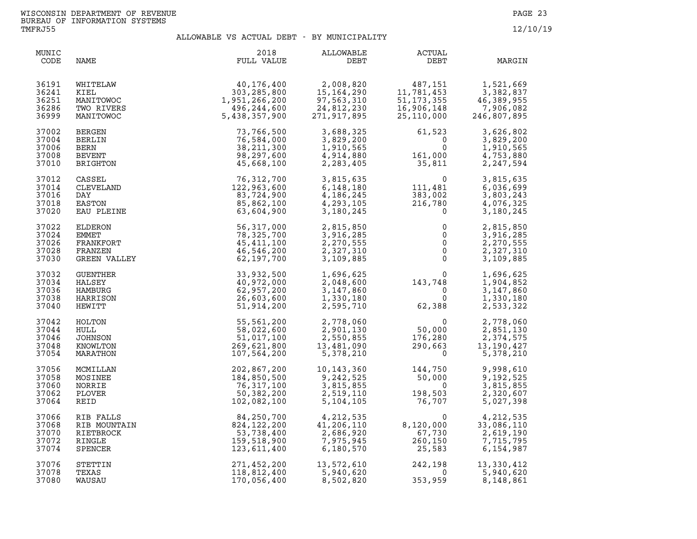| MUNIC<br>CODE                             | NAME                                                            | 2018<br>FULL VALUE                                                           | ALLOWABLE<br>DEBT                                                      | ACTUAL<br>DEBT                                                                          | MARGIN                                                           |
|-------------------------------------------|-----------------------------------------------------------------|------------------------------------------------------------------------------|------------------------------------------------------------------------|-----------------------------------------------------------------------------------------|------------------------------------------------------------------|
| 36191<br>36241<br>36251<br>36286<br>36999 | WHITELAW<br>KIEL<br>MANITOWOC<br>TWO RIVERS<br>MANITOWOC        | 40,176,400<br>303, 285, 800<br>1,951,266,200<br>496,244,600<br>5,438,357,900 | 2,008,820<br>15, 164, 290<br>97,563,310<br>24,812,230<br>271, 917, 895 | 487,151<br>11,781,453<br>51, 173, 355<br>16,906,148<br>25,110,000                       | 1,521,669<br>3,382,837<br>46,389,955<br>7,906,082<br>246,807,895 |
| 37002<br>37004<br>37006<br>37008<br>37010 | BERGEN<br>BERLIN<br>BERN<br><b>BEVENT</b><br>BRIGHTON           | 73,766,500<br>76,584,000<br>38, 211, 300<br>98,297,600<br>45,668,100         | 3,688,325<br>3,829,200<br>1,910,565<br>4,914,880<br>2,283,405          | 61,523<br>$\overline{0}$<br>$\mathbf 0$<br>161,000<br>35,811                            | 3,626,802<br>3,829,200<br>1,910,565<br>4,753,880<br>2,247,594    |
| 37012<br>37014<br>37016<br>37018<br>37020 | CASSEL<br>CLEVELAND<br>DAY<br>EASTON<br>EAU PLEINE              | 76,312,700<br>122,963,600<br>83,724,900<br>85,862,100<br>63,604,900          | 3,815,635<br>6,148,180<br>4,186,245<br>4,293,105<br>3,180,245          | $\begin{smallmatrix}&&&0\111,481\end{smallmatrix}$<br>383,002<br>216,780<br>$\mathbf 0$ | 3,815,635<br>6,036,699<br>3,803,243<br>4,076,325<br>3,180,245    |
| 37022<br>37024<br>37026<br>37028<br>37030 | ELDERON<br><b>EMMET</b><br>FRANKFORT<br>FRANZEN<br>GREEN VALLEY | 56, 317, 000<br>78,325,700<br>45, 411, 100<br>46,546,200<br>62,197,700       | 2,815,850<br>3,916,285<br>2,270,555<br>2,327,310<br>3,109,885          | $\begin{array}{c} 0 \\ 0 \\ 0 \\ 0 \\ 0 \end{array}$<br>0                               | 2,815,850<br>3,916,285<br>2,270,555<br>2,327,310<br>3,109,885    |
| 37032<br>37034<br>37036<br>37038<br>37040 | GUENTHER<br>HALSEY<br>HAMBURG<br>HARRISON<br>HEWITT             | 33,932,500<br>40,972,000<br>62,957,200<br>26,603,600<br>51,914,200           | 1,696,625<br>2,048,600<br>3,147,860<br>1,330,180<br>2,595,710          | $\begin{smallmatrix}&&&0\143\, , 748\ 0\ 0\end{smallmatrix}$<br>62,388                  | 1,696,625<br>1,904,852<br>3,147,860<br>1,330,180<br>2,533,322    |
| 37042<br>37044<br>37046<br>37048<br>37054 | HOLTON<br>HULL<br>JOHNSON<br>KNOWLTON<br>MARATHON               | 55,561,200<br>58,022,600<br>51,017,100<br>269,621,800<br>107,564,200         | 2,778,060<br>2,901,130<br>2,550,855<br>13,481,090<br>5,378,210         | 0<br>50,000<br>176,280<br>290,663                                                       | 2,778,060<br>2,851,130<br>2,374,575<br>13, 190, 427<br>5,378,210 |
| 37056<br>37058<br>37060<br>37062<br>37064 | MCMILLAN<br>MOSINEE<br>NORRIE<br>PLOVER<br>REID                 | 202,867,200<br>184,850,500<br>76,317,100<br>50,382,200<br>102,082,100        | 10,143,360<br>9,242,525<br>3,815,855<br>2,519,110<br>5,104,105         |                                                                                         | 9,998,610<br>9,192,525<br>3,815,855<br>2,320,607<br>5,027,398    |
| 37066<br>37068<br>37070<br>37072<br>37074 | RIB FALLS<br>RIB MOUNTAIN<br>RIETBROCK<br>RINGLE<br>SPENCER     | 84,250,700<br>824,122,200<br>53,738,400<br>159,518,900<br>123,611,400        | 4,212,535<br>41,206,110<br>2,686,920<br>7,975,945<br>6,180,570         | $\begin{smallmatrix}0\8,120,000\end{smallmatrix}$<br>67,730<br>260,150<br>25,583        | 4,212,535<br>33,086,110<br>2,619,190<br>7,715,795<br>6,154,987   |
| 37076<br>37078<br>37080                   | STETTIN<br>TEXAS<br>WAUSAU                                      | 271,452,200<br>118,812,400<br>170,056,400                                    | $13,5,2,5$<br>5,940,620<br>5,940,820<br>8,502,820                      | 242,198<br>$\overline{0}$<br>353,959                                                    | 13,330,412<br>5,940,620<br>8,148,861                             |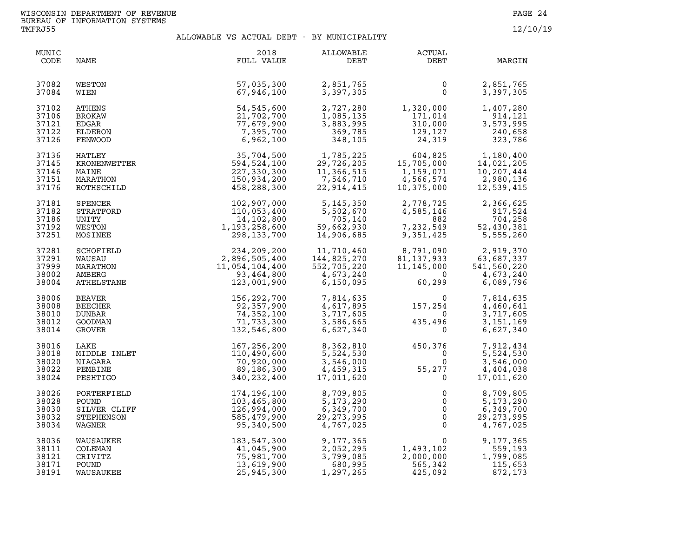| MUNIC<br>CODE | NAME           | 2018<br>FULL VALUE | ALLOWABLE<br>DEBT | <b>ACTUAL</b><br>DEBT | MARGIN       |
|---------------|----------------|--------------------|-------------------|-----------------------|--------------|
| 37082         | WESTON         | 57,035,300         | 2,851,765         | 0                     | 2,851,765    |
| 37084         | WIEN           | 67,946,100         | 3,397,305         | $\Omega$              | 3,397,305    |
| 37102         | ATHENS         | 54,545,600         | 2,727,280         | 1,320,000             | 1,407,280    |
| 37106         | <b>BROKAW</b>  | 21,702,700         | 1,085,135         | 171,014               | 914,121      |
| 37121         | EDGAR          | 77,679,900         | 3,883,995         | 310,000               | 3,573,995    |
| 37122         | ELDERON        | 7,395,700          | 369,785           | 129,127               | 240,658      |
| 37126         | FENWOOD        | 6,962,100          | 348,105           | 24,319                | 323,786      |
| 37136         | HATLEY         | 35,704,500         | 1,785,225         | 604,825               | 1,180,400    |
| 37145         | KRONENWETTER   | 594,524,100        | 29,726,205        | 15,705,000            | 14,021,205   |
| 37146         | MAINE          | 227,330,300        | 11,366,515        | 1,159,071             | 10,207,444   |
| 37151         | MARATHON       | 150,934,200        | 7,546,710         | 4,566,574             | 2,980,136    |
| 37176         | ROTHSCHILD     | 458,288,300        | 22,914,415        | 10,375,000            | 12,539,415   |
| 37181         | SPENCER        | 102,907,000        | 5, 145, 350       | 2,778,725             | 2,366,625    |
| 37182         | STRATFORD      | 110,053,400        | 5,502,670         | 4,585,146             | 917,524      |
| 37186         | UNITY          | 14,102,800         | 705,140           | 882                   | 704,258      |
| 37192         | WESTON         | 1,193,258,600      | 59,662,930        | 7,232,549             | 52,430,381   |
| 37251         | MOSINEE        | 298,133,700        | 14,906,685        | 9,351,425             | 5,555,260    |
| 37281         | SCHOFIELD      | 234,209,200        | 11,710,460        | 8,791,090             | 2,919,370    |
| 37291         | WAUSAU         | 2,896,505,400      | 144,825,270       | 81, 137, 933          | 63,687,337   |
| 37999         | MARATHON       | 11,054,104,400     | 552,705,220       | 11, 145, 000          | 541,560,220  |
| 38002         | AMBERG         | 93,464,800         | 4,673,240         | $\overline{0}$        | 4,673,240    |
| 38004         | ATHELSTANE     | 123,001,900        | 6,150,095         | 60,299                | 6,089,796    |
| 38006         | BEAVER         | 156,292,700        | 7,814,635         | 0                     | 7,814,635    |
| 38008         | <b>BEECHER</b> | 92,357,900         | 4,617,895         | 157,254               | 4,460,641    |
| 38010         | DUNBAR         | 74,352,100         | 3,717,605         | $\overline{0}$        | 3,717,605    |
| 38012         | GOODMAN        | 71,733,300         | 3,586,665         | 435,496               | 3, 151, 169  |
| 38014         | GROVER         | 132,546,800        | 6,627,340         | $\Omega$              | 6,627,340    |
| 38016         | LAKE           | 167,256,200        | 8,362,810         | 450,376               | 7,912,434    |
| 38018         | MIDDLE INLET   | 110,490,600        | 5,524,530         | $\Omega$              | 5,524,530    |
| 38020         | NIAGARA        | 70,920,000         | 3,546,000         | $\mathbf 0$           | 3,546,000    |
| 38022         | PEMBINE        | 89,186,300         | 4,459,315         | 55,277                | 4,404,038    |
| 38024         | PESHTIGO       | 340, 232, 400      | 17,011,620        | $\mathbf{0}$          | 17,011,620   |
| 38026         | PORTERFIELD    | 174,196,100        | 8,709,805         | $\mathbf 0$           | 8,709,805    |
| 38028         | POUND          | 103,465,800        | 5, 173, 290       | $\mathbf 0$           | 5,173,290    |
| 38030         | SILVER CLIFF   | 126,994,000        | 6,349,700         | $\mathsf{O}$          | 6,349,700    |
| 38032         | STEPHENSON     | 585,479,900        | 29, 273, 995      | $\overline{0}$        | 29, 273, 995 |
| 38034         | WAGNER         | 95,340,500         | 4,767,025         | $\overline{0}$        | 4,767,025    |
| 38036         | WAUSAUKEE      | 183,547,300        | 9,177,365         | $\mathbf 0$           | 9,177,365    |
| 38111         | COLEMAN        | 41,045,900         | 2,052,295         | 1,493,102             | 559,193      |
| 38121         | CRIVITZ        | 75,981,700         | 3,799,085         | 2,000,000             | 1,799,085    |
| 38171         | POUND          | 13,619,900         | 680,995           | 565,342               | 115,653      |
| 38191         | WAUSAUKEE      | 25,945,300         | 1,297,265         | 425,092               | 872,173      |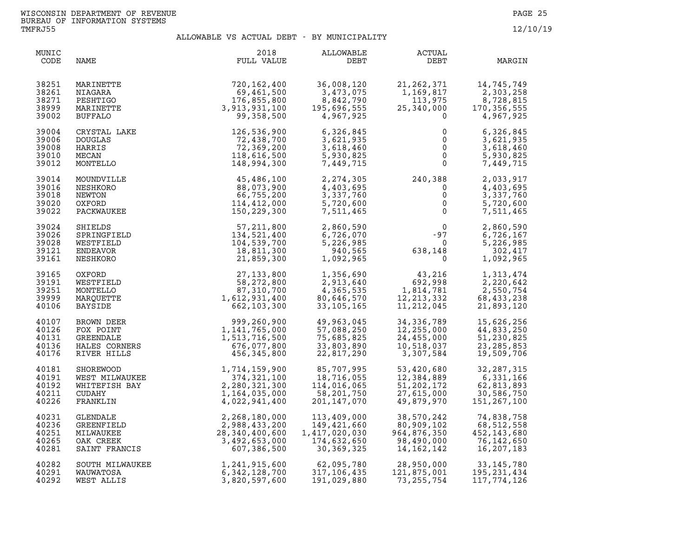| MUNIC<br>CODE                             | NAME                                                            | 2018<br>FULL VALUE                                                                                                                                    | ALLOWABLE<br>DEBT                                                                | ACTUAL<br>DEBT                                                                         | MARGIN                                                                         |
|-------------------------------------------|-----------------------------------------------------------------|-------------------------------------------------------------------------------------------------------------------------------------------------------|----------------------------------------------------------------------------------|----------------------------------------------------------------------------------------|--------------------------------------------------------------------------------|
| 38251<br>38261<br>38271<br>38999<br>39002 | MARINETTE<br>NIAGARA<br>PESHTIGO<br>MARINETTE<br><b>BUFFALO</b> | 720,162,400<br>69,461,500<br>176,855,800<br>3,913,931,100<br>99,358,500                                                                               | 36,008,120<br>3,473,075<br>8,842,790<br>$\mathbf{1}$<br>195,696,555<br>4,967,925 | 21, 262, 371<br>1,169,817<br>$\frac{113,975}{25,340,000}$<br>$\Omega$                  | 14,745,749<br>2,303,258<br>8,728,815<br>170, 356, 555<br>4,967,925             |
| 39004<br>39006<br>39008<br>39010<br>39012 | CRYSTAL LAKE<br><b>DOUGLAS</b><br>HARRIS<br>MECAN<br>MONTELLO   | 126,536,900<br>72,438,700<br>72,369,200<br>118,616,500<br>148,994,300                                                                                 | 6,326,845<br>3,621,935<br>3,618,460<br>5,930,825<br>7,449,715                    | 0<br>$\mathbf{0}$<br>$\mathbf 0$<br>$\mathbf 0$                                        | 6,326,845<br>3,621,935<br>3,618,460<br>$\frac{0}{0}$<br>5,930,825<br>7,449,715 |
| 39014<br>39016<br>39018<br>39020<br>39022 | MOUNDVILLE<br>NESHKORO<br>NEWTON<br>OXFORD<br>PACKWAUKEE        | 45,486,100<br>88,073,900<br>66,755,200<br>114,412,000<br>150,229,300                                                                                  | 2, 274, 305<br>4,403,695<br>3,337,760<br>5,720,600<br>7,511,465                  | $240,388$<br>0<br>0<br>0<br>0<br>0                                                     | 2,033,917<br>4,403,695<br>3,337,760<br>5,720,600<br>7,511,465                  |
| 39024<br>39026<br>39028<br>39121<br>39161 | SHIELDS<br>SPRINGFIELD<br>WESTFIELD<br>ENDEAVOR<br>NESHKORO     | 57,211,800<br>134,521,400<br>104,539,700<br>18,811,300<br>21,859,300                                                                                  | 2,860,590<br>6,726,070<br>5,226,985<br>940,565<br>1,092,965                      | $0$<br>-97<br>638,148<br>0                                                             | 2,860,590<br>6,726,167<br>5,226,985<br>302,417<br>1,092,965                    |
| 39165<br>39191<br>39251<br>39999<br>40106 | OXFORD<br>WESTFIELD<br>MONTELLO<br>MARQUETTE<br><b>BAYSIDE</b>  | $27, 133, 800$<br>$58, 272, 800$<br>$87, 310, 700$<br>$1, 612, 931, 400$<br>$662, 103, 300$                                                           | 1,356,690<br>2,913,640<br>4,365,535<br>80,646,570<br>33,105,165                  | $\frac{43,216}{692,999}$<br>$43,216$<br>692,998<br>1,814<br>12, 213, 332<br>11,212,045 | 1,313,474<br>2,220,642<br>2,550,754<br>68,433,238<br>21,893,120                |
| 40107<br>40126<br>40131<br>40136<br>40176 | BROWN DEER<br>FOX POINT<br><b>GREENDALE</b><br>HALES CORNERS    | $\begin{array}{r} -1,331,400 \\ 662,103,300 \\ 999,260,900 \\ 1,141,765,000 \\ 1,513,716,500 \\ 676,077,800 \\ 1,523,730,800 \\ 0,75,800 \end{array}$ | 49,963,045<br>57,088,250<br>75,685,825<br>33,803,890<br>22,817,290               | 34, 336, 789<br>12,255,000<br>24,455,000<br>10,518,037<br>3,307,584                    | 15,626,256<br>44,833,250<br>51,230,825<br>23, 285, 853<br>19,509,706           |
| 40181<br>40191<br>40192<br>40211<br>40226 |                                                                 | WEST MILWAUKEE<br>WEST MILWAUKEE<br>WHITEFISH BAY<br>WHITEFISH BAY<br>CUDAHY<br>FRANKLIN<br>TENDALE<br>TENDALE<br>REFERENCE                           | 85,707,995<br>18,716,055<br>114,016,065<br>58,201,750<br>201,147,070             | 53,420,680<br>12,384,889<br>51, 202, 172<br>27,615,000<br>49,879,970                   | 32, 287, 315<br>6,331,166<br>62,813,893<br>30,586,750<br>151, 267, 100         |
| 40231<br>40236<br>40251<br>40265<br>40281 | GREENFIELD<br>MILWAUKEE<br>OAK CREEK<br>SAINT FRANCIS           | 2,988,433,200<br>28,340,400,600<br>3,492,653,000<br>607,386,500                                                                                       | 113,409,000<br>149,421,660<br>1,417,020,030<br>174,632,650<br>30,369,325         | 38,570,242<br>80,909,102<br>964,876,350<br>98,490,000<br>14,162,142                    | 74,838,758<br>68,512,558<br>452, 143, 680<br>76,142,650<br>16,207,183          |
| 40282<br>40291<br>40292                   | SOUTH MILWAUKEE<br>WAUWATOSA<br>WEST ALLIS                      | 1,241,915,600<br>6,342,128,700<br>3,820,597,600                                                                                                       | 62,095,780<br>317,106,435<br>191,029,880                                         | 28,950,000<br>121,875,001<br>73, 255, 754                                              | 33,145,780<br>195, 231, 434<br>117,774,126                                     |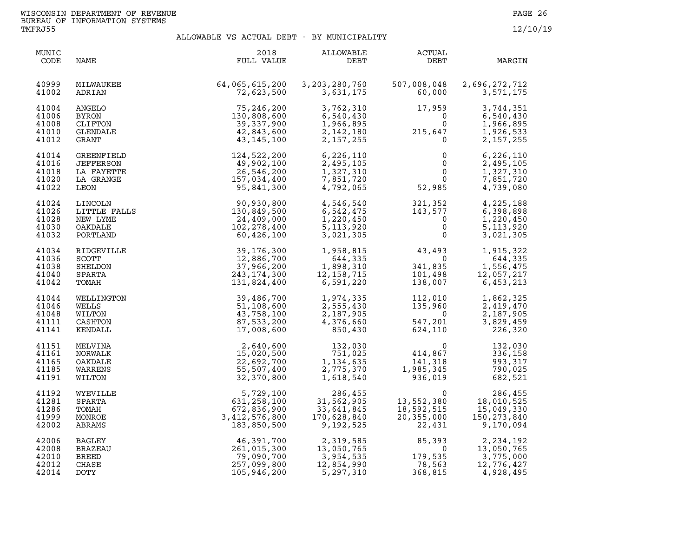| MUNIC<br>CODE                             | NAME                                                       | 2018<br>FULL VALUE                                                                                                                                                                | ALLOWABLE<br>DEBT                                                             | <b>ACTUAL</b><br>DEBT                                                                                                                  | MARGIN                                                                          |
|-------------------------------------------|------------------------------------------------------------|-----------------------------------------------------------------------------------------------------------------------------------------------------------------------------------|-------------------------------------------------------------------------------|----------------------------------------------------------------------------------------------------------------------------------------|---------------------------------------------------------------------------------|
| 40999<br>41002                            | MILWAUKEE<br>ADRIAN                                        | 64,065,615,200<br>72,623,500                                                                                                                                                      | 3,203,280,760<br>3,631,175                                                    | 507,008,048<br>60,000                                                                                                                  | 2,696,272,712<br>3,571,175                                                      |
| 41004<br>41006<br>41008<br>41010<br>41012 | ANGELO<br><b>BYRON</b><br>CLIFTON<br>GLENDALE<br>GRANT     | 75,246,200<br>130,808,600<br>39,337,900<br>42,843,600<br>43,145,100                                                                                                               | 3,762,310<br>6,540,430<br>1,966,895<br>2,142,180<br>2,157,255                 | 17,959                                                                                                                                 | 3,744,351<br>6,540,430<br>1,966,895<br>1,926,533<br>2, 157, 255                 |
| 41014<br>41016<br>41018<br>41020<br>41022 | GREENFIELD<br>JEFFERSON<br>LA FAYETTE<br>LA GRANGE<br>LEON | $124, 522, 200\nonumber\ \begin{array}{c} 49, 902, 100\nonumber\ 26, 546, 200\nonumber\ \begin{array}{c} 157, 034, 400\nonumber\ 95, 841, 300\nonumber \end{array}$<br>95,841,300 | 6,226,110<br>2,495,105<br>1,327,310<br>7,851,720<br>4,792,065                 | $\mathbf 0$<br>$\mathbf{0}$<br>$\mathsf{O}$<br>52,985                                                                                  | 6,226,110<br>2,495,105<br>1,327,310<br>$\overline{0}$<br>7,851,720<br>4,739,080 |
| 41024<br>41026<br>41028<br>41030<br>41032 | LINCOLN<br>LITTLE FALLS<br>NEW LYME<br>OAKDALE<br>PORTLAND | 90,930,800<br>130,849,500<br>24,409,000<br>102,278,400<br>60,426,100                                                                                                              | 4,546,540<br>6,542,475<br>1,220,450<br>5, 113, 920<br>3,021,305               | 321, 352<br>143, 577<br>0<br>0                                                                                                         | 4,225,188<br>6,398,898<br>1,220,450<br>5, 113, 920<br>3,021,305                 |
| 41034<br>41036<br>41038<br>41040<br>41042 | RIDGEVILLE<br>SCOTT<br>SHELDON<br>SPARTA<br>TOMAH          | 39,176,300<br>12,886,700<br>37,966,200<br>243, 174, 300<br>131,824,400                                                                                                            | 1,958,815<br>644,335<br>1,898,310<br>12,158,715<br>6,591,220                  | $43,493$<br>0<br>$\overline{0}$<br>341,835<br>101.498<br>341,835<br>101,498<br>138,007                                                 | 1,915,322<br>644,335<br>1,556,475<br>12,057,217<br>6,453,213                    |
| 41044<br>41046<br>41048<br>41111<br>41141 | WELLINGTON<br>WELLS<br>WILTON<br>CASHTON<br>KENDALL        | 39,486,700<br>51,108,600<br>43,758,100<br>87,533,200<br>17,008,600                                                                                                                | 1,974,335<br>2, 555, 430<br>2, 187, 905<br>4, 376, 660<br>850, 430            | $\begin{array}{c} 112, \\ 135, \\ 547, \\ 624, \end{array}$<br>112,010<br>135,960<br>$\overline{0}$<br>547,201                         | 1,862,325<br>2,419,470<br>2,187,905<br>3,829,459<br>226,320                     |
| 41151<br>41161<br>41165<br>41185<br>41191 | MELVINA<br>NORWALK<br>OAKDALE<br>WARRENS<br>WILTON         | 2,640,600<br>15,020,500<br>22,692,700<br>55,507,400<br>32,370,800                                                                                                                 | 132,030<br>751,025<br>1,134,635<br>2,775,370<br>1,618,540                     | 624, 1.<br>$^{6}$<br>$^{14}$ , 867<br>5<br>$^{141}$ , 31 <sup>9</sup><br>$^{141}$ , 31 <sup>9</sup><br>141,318<br>1,985,345<br>936,019 | 132,030<br>336,158<br>993,317<br>790,025<br>682,521                             |
| 41192<br>41281<br>41286<br>41999<br>42002 | WYEVILLE<br>SPARTA<br>TOMAH<br>MONROE<br>ABRAMS            | 5,729,100<br>631,258,100<br>672,836,900<br>3,412,576,800<br>183,850,500                                                                                                           | 286,455<br>31,562,905<br>33,641,845<br>170,628,840<br>9,192,525               | 0<br>13,552,380<br>18,592,515<br>20,355,000<br>22,431                                                                                  | 286,455<br>18,010,525<br>15,049,330<br>150, 273, 840<br>9,170,094               |
| 42006<br>42008<br>42010<br>42012<br>42014 | BAGLEY<br><b>BRAZEAU</b><br><b>BREED</b><br>CHASE<br>DOTY  | 46,391,700<br>261,015,300<br>79,090,700<br>257,099,800<br>105,946,200                                                                                                             | 2,319,585<br>13,050,765<br>13,050,765<br>3,954,535<br>12,854,990<br>5,297,310 | $65,393$<br>0<br>179 F<br>78,563<br>368,815                                                                                            | 2,234,192<br>13,050,765<br>3,775,000<br>12,776,427<br>4,928,495                 |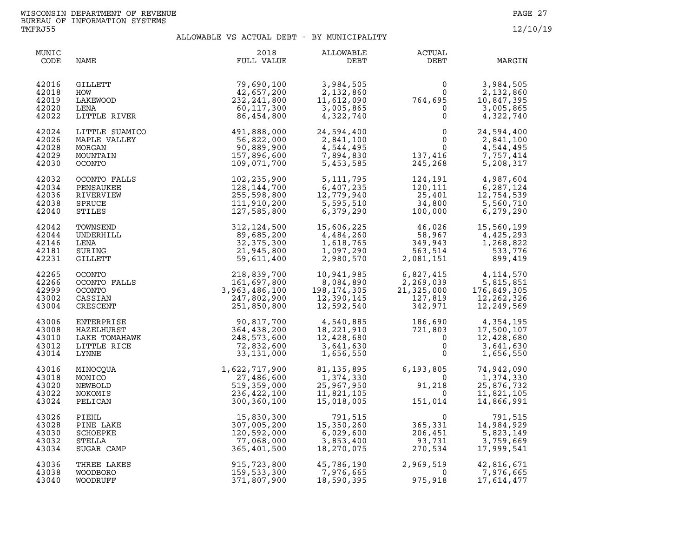| MUNIC<br>CODE                             | NAME                                                              | 2018<br>FULL VALUE                                                                                                                                                                               | ALLOWABLE<br>DEBT                                                                                                                                                                          | ACTUAL<br>DEBT                                                                                                                                                                                                             | MARGIN                                                            |
|-------------------------------------------|-------------------------------------------------------------------|--------------------------------------------------------------------------------------------------------------------------------------------------------------------------------------------------|--------------------------------------------------------------------------------------------------------------------------------------------------------------------------------------------|----------------------------------------------------------------------------------------------------------------------------------------------------------------------------------------------------------------------------|-------------------------------------------------------------------|
| 42016<br>42018<br>42019<br>42020<br>42022 | GILLETT<br>HOW<br>LAKEWOOD<br>LENA<br>LITTLE RIVER                | 79,690,100<br>42,657,200<br>232, 241, 800<br>60,117,300<br>86,454,800                                                                                                                            | 3,984,505<br>2,132,860<br>11,612,090<br>3,005,865<br>4,322,740                                                                                                                             | $\begin{smallmatrix}&&&0\0&\phantom-0&0\0&0\phantom-0&0\end{smallmatrix}$                                                                                                                                                  | 3,984,505<br>2,132,860<br>10,847,395<br>3,005,865<br>4,322,740    |
| 42024<br>42026<br>42028<br>42029<br>42030 | LITTLE SUAMICO<br>MAPLE VALLEY<br>MORGAN<br>MOUNTAIN<br>OCONTO    | $\begin{array}{cccc} 120 & 491,888,000 & 24,594,400 \ 56,822,000 & 2,841,100 \ 90,889,900 & 4,544,495 \ 157,896,600 & 7,894,830 \ 109,071,700 & 5,453,585 \end{array}$                           |                                                                                                                                                                                            | $\begin{matrix}0&&2\\&&0\\0&&&&0\\137,416\\245,268\end{matrix}$                                                                                                                                                            | 24,594,400<br>2,841,100<br>4,544,495<br>7,757,414<br>5,208,317    |
| 42032<br>42034<br>42036<br>42038<br>42040 | OCONTO FALLS<br>PENSAUKEE<br>RIVERVIEW<br>SPRUCE<br>STILES        |                                                                                                                                                                                                  | $\begin{array}{llll} 102, 235, 900 & 5, 111, 795 \\ 128, 144, 700 & 6, 407, 235 \\ 255, 598, 800 & 12, 779, 940 \\ 111, 910, 200 & 5, 595, 510 \\ 127, 585, 800 & 6, 379, 290 \end{array}$ | $\begin{array}{cc} 124\,, 191 \ 120\,, 111 \ 25\,, 401 \ 14\,, 800 \ 100\,, 000 \end{array} \qquad \begin{array}{cc} 4\,, 987\,, 604 \ 6\,, 287\,, 124 \ 12\,, 754\,, 539 \ 5\,, 560\,, 710 \ 6\,, 279\,, 290 \end{array}$ |                                                                   |
| 42042<br>42044<br>42146<br>42181<br>42231 | TOWNSEND<br>UNDERHILL<br>LENA<br>SURING<br><b>GILLETT</b>         | 312, 124, 500<br>89,685,200<br>32, 375, 300<br>21,945,800<br>59,611,400                                                                                                                          |                                                                                                                                                                                            | $\begin{array}{cccc} 15,606,225 & 46,026 & 15,560,199 \\ 4,484,260 & 58,967 & 4,425,293 \\ 1,618,765 & 349,943 & 1,268,822 \\ 1,097,290 & 563,514 & 533,776 \\ 2,980,570 & 2,081,151 & 899,419 \end{array}$                |                                                                   |
| 42265<br>42266<br>42999<br>43002<br>43004 | OCONTO<br>OCONTO FALLS<br>OCONTO<br>CASSIAN<br>CRESCENT           | LS<br>161, 697, 800<br>3, 963, 486, 100<br>3, 963, 486, 100<br>247, 802, 900<br>251, 850, 800                                                                                                    | 10,941,985<br>8,084,890<br>$8,084,050$ $198,174,305$ $12,390,145$<br>12,592,540                                                                                                            | $\begin{array}{cccc} 6,827,415 & 4,114,570 \\ 2,269,039 & 5,815,851 \\ 21,325,000 & 176,849,305 \\ 127,819 & 12,262,326 \\ 342,971 & 12,249,569 \end{array}$                                                               |                                                                   |
| 43006<br>43008<br>43010<br>43012<br>43014 | ENTERPRISE<br>HAZELHURST<br>LAKE TOMAHAWK<br>LITTLE RICE<br>LYNNE | $\begin{array}{cccc} 90,817,700 & 4,540,885 & 186,690 \ 364,438,200 & 18,221,910 & 721,803 \ 248,573,600 & 12,428,680 & 0 \ 72,832,600 & 3,641,630 & 0 \ 33,131,000 & 1,656,550 & 0 \end{array}$ |                                                                                                                                                                                            |                                                                                                                                                                                                                            | 4,354,195<br>17,500,107<br>12,428,680<br>3,641,630<br>1,656,550   |
| 43016<br>43018<br>43020<br>43022<br>43024 | MINOCQUA<br>MONICO<br>NEWBOLD<br>NOKOMIS<br>PELICAN               | 1,622,717,900<br>27,486,600<br>519,359,000<br>236,422,100<br>300,360,100                                                                                                                         | 81,135,895<br>1,374,330<br>25,967,950<br>11,821,105<br>15,018,005                                                                                                                          | 6,193,805<br>$0, 1, 3, 0, 0, 0$<br>91, 218<br>0<br>151, 014                                                                                                                                                                | 74,942,090<br>1,374,330<br>25,876,732<br>11,821,105<br>14,866,991 |
| 43026<br>43028<br>43030<br>43032<br>43034 | PIEHL<br>PINE LAKE<br>SCHOEPKE<br>STELLA<br>SUGAR CAMP            | 15,830,300<br>307,005,200<br>120,592,000<br>77,068,000<br>365,401,500                                                                                                                            | 791,515<br>15,350,260<br>6,029,600<br>3,853,400<br>18,270,075                                                                                                                              | $\begin{array}{c} 0 \ 365,331 \ 206,451 \ 93,731 \ 270,534 \end{array}$<br>206,451<br>93,731<br>270,534                                                                                                                    | 791,515<br>14,984,929<br>5,823,149<br>3,759,669<br>17,999,541     |
| 43036<br>43038<br>43040                   | THREE LAKES<br>WOODBORO<br>WOODRUFF                               | 915,723,800<br>159,533,300<br>371,807,900                                                                                                                                                        | 45,786,190 2,969<br>7,976,665<br>45,786,190<br>7,976,665<br>-00.005<br>18,590,395                                                                                                          | 2,969,519<br>$\Omega$<br>975,918                                                                                                                                                                                           | 42,816,671<br>7,976,665<br>17,614,477                             |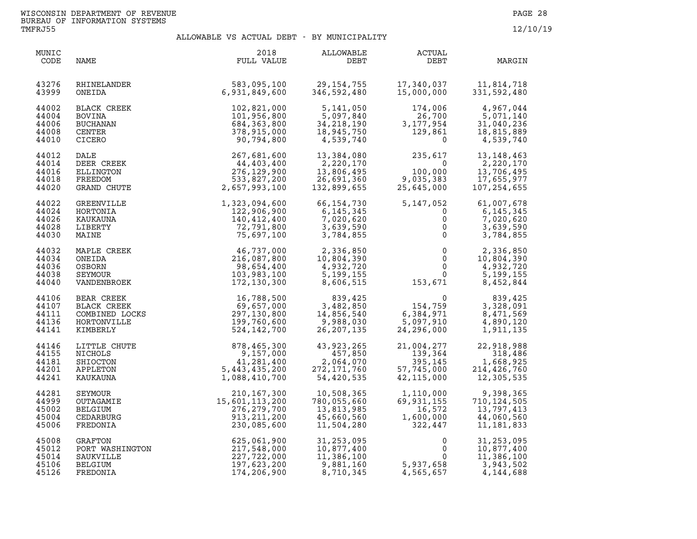| MUNIC<br>CODE                             | NAME                                                                   | 2018<br>FULL VALUE                                                               | ALLOWABLE<br>DEBT                                                   | <b>ACTUAL</b><br>DEBT                                     | MARGIN                                                                 |
|-------------------------------------------|------------------------------------------------------------------------|----------------------------------------------------------------------------------|---------------------------------------------------------------------|-----------------------------------------------------------|------------------------------------------------------------------------|
| 43276                                     | RHINELANDER                                                            | 583,095,100                                                                      | 29,154,755                                                          | 17,340,037                                                | 11,814,718                                                             |
| 43999                                     | ONEIDA                                                                 | 6,931,849,600                                                                    | 346,592,480                                                         | 15,000,000                                                | 331,592,480                                                            |
| 44002                                     | BLACK CREEK                                                            | 102,821,000                                                                      | 5,141,050                                                           | 174,006                                                   | 4,967,044                                                              |
| 44004                                     | <b>BOVINA</b>                                                          | 101,956,800                                                                      | 5,097,840                                                           | 26,700                                                    | 5,071,140                                                              |
| 44006                                     | BUCHANAN                                                               | 684,363,800                                                                      | 34, 218, 190                                                        | 3,177,954                                                 | 31,040,236                                                             |
| 44008                                     | <b>CENTER</b>                                                          | 378,915,000                                                                      | 18,945,750                                                          | 129,861                                                   | 18,815,889                                                             |
| 44010                                     | CICERO                                                                 | 90,794,800                                                                       | 4,539,740                                                           | $\Omega$                                                  | 4,539,740                                                              |
| 44012                                     | DALE                                                                   | 267,681,600                                                                      | 13,384,080                                                          | 235,617                                                   | 13, 148, 463                                                           |
| 44014                                     | DEER CREEK                                                             | 44,403,400                                                                       | 2,220,170                                                           | 0                                                         | 2,220,170                                                              |
| 44016                                     | ELLINGTON                                                              | 276, 129, 900                                                                    | 13,806,495                                                          | 100,000                                                   | 13,706,495                                                             |
| 44018                                     | FREEDOM                                                                | 533,827,200                                                                      | 26,691,360                                                          | 9,035,383                                                 | 17,655,977                                                             |
| 44020                                     | GRAND CHUTE                                                            | 2,657,993,100                                                                    | 132,899,655                                                         | 25,645,000                                                | 107, 254, 655                                                          |
| 44022                                     | GREENVILLE                                                             | 1,323,094,600                                                                    | 66, 154, 730                                                        | 5,147,052                                                 | 61,007,678                                                             |
| 44024                                     | HORTONIA                                                               | 122,906,900                                                                      | 6, 145, 345                                                         | $\mathbf{0}$                                              | 6,145,345                                                              |
| 44026                                     | KAUKAUNA                                                               | 140,412,400                                                                      | 7,020,620                                                           | 0                                                         | 7,020,620                                                              |
| 44028                                     | LIBERTY                                                                | 72,791,800                                                                       | 3,639,590                                                           | $\mathbf 0$                                               | 3,639,590                                                              |
| 44030                                     | MAINE                                                                  | 75,697,100                                                                       | 3,784,855                                                           | $\mathsf{O}$                                              | 3,784,855                                                              |
| 44032                                     | MAPLE CREEK                                                            | 46,737,000                                                                       | 2,336,850                                                           | $\mathsf{O}$                                              | 2,336,850                                                              |
| 44034                                     | ONEIDA                                                                 | 216,087,800                                                                      | 10,804,390                                                          | $\mathsf{O}$                                              | 10,804,390                                                             |
| 44036                                     | OSBORN                                                                 | 98,654,400                                                                       | 4,932,720                                                           | $\mathsf{O}$                                              | 4,932,720                                                              |
| 44038                                     | SEYMOUR                                                                | 103,983,100                                                                      | 5, 199, 155                                                         | $\mathbf 0$                                               | 5, 199, 155                                                            |
| 44040                                     | VANDENBROEK                                                            | 172,130,300                                                                      | 8,606,515                                                           | 153,671                                                   | 8,452,844                                                              |
| 44106<br>44107<br>44111<br>44136<br>44141 | BEAR CREEK<br>BLACK CREEK<br>COMBINED LOCKS<br>HORTONVILLE<br>KIMBERLY | 16,788,500<br>69,657,000<br>297,130,800<br>199,760,600<br>524,142,700            | 839,425<br>3,482,850<br>14,856,540<br>9,988,030<br>26, 207, 135     | 154, 759<br>6,384,971<br>5,097,910<br>24,296,000          | 839,425<br>3,328,091<br>8,471,569<br>4,890,120<br>1,911,135            |
| 44146                                     | LITTLE CHUTE                                                           | 878,465,300                                                                      | 43,923,265                                                          | 21,004,277                                                | 22,918,988                                                             |
| 44155                                     | <b>NICHOLS</b>                                                         | 9,157,000                                                                        | 457,850                                                             | 139,364                                                   | 318,486                                                                |
| 44181                                     | SHIOCTON                                                               | 41,281,400                                                                       | 2,064,070                                                           | 395,145                                                   | 1,668,925                                                              |
| 44201                                     | APPLETON                                                               | 5,443,435,200                                                                    | 272, 171, 760                                                       | 395,145<br>57,745,000<br>42.115.000                       | 214,426,760                                                            |
| 44241                                     | KAUKAUNA                                                               | 1,088,410,700                                                                    | 54,420,535                                                          | 42, 115, 000                                              | 12,305,535                                                             |
| 44281<br>44999<br>45002<br>45004<br>45006 | SEYMOUR<br>OUTAGAMIE<br>BELGIUM<br>CEDARBURG<br>FREDONIA               | 210, 167, 300<br>15,601,113,200<br>276, 279, 700<br>913, 211, 200<br>230,085,600 | 10,508,365<br>780,055,660<br>13,813,985<br>45,660,560<br>11,504,280 | 1,110,000<br>69,931,155<br>16,572<br>1,600,000<br>322,447 | 9,398,365<br>710, 124, 505<br>13,797,413<br>44,060,560<br>11, 181, 833 |
| 45008                                     | GRAFTON                                                                | 625,061,900                                                                      | 31,253,095                                                          | 0                                                         | 31, 253, 095                                                           |
| 45012                                     | PORT WASHINGTON                                                        | 217,548,000                                                                      | 10,877,400                                                          | $\mathbf 0$                                               | 10,877,400                                                             |
| 45014                                     | SAUKVILLE                                                              | 227,722,000                                                                      | 11,386,100                                                          | $\mathbf{0}$                                              | 11,386,100                                                             |
| 45106                                     | BELGIUM                                                                | 197,623,200                                                                      | 9,881,160                                                           | 5,937,658                                                 | 3,943,502                                                              |
| 45126                                     | FREDONIA                                                               | 174,206,900                                                                      | 8,710,345                                                           | 4,565,657                                                 | 4,144,688                                                              |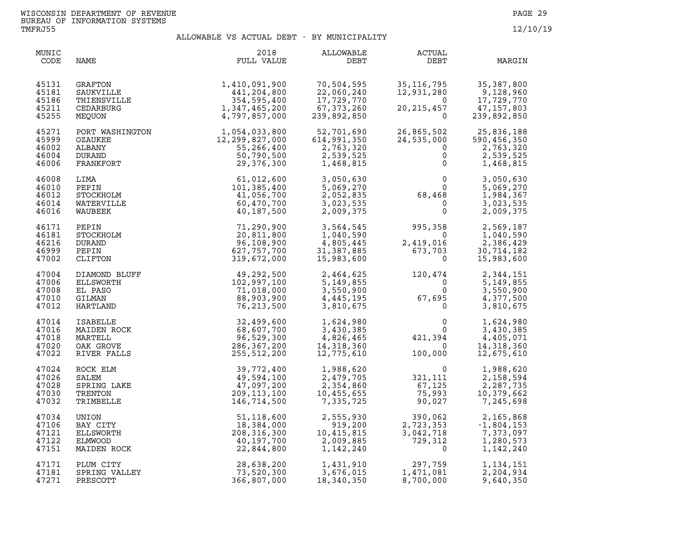| MUNIC<br>CODE                             | NAME                                                                                                                    | 2018<br>FULL VALUE                                                            | ALLOWABLE<br>DEBT                                                     | ACTUAL<br>DEBT                                                                               | MARGIN                                                                                                                             |
|-------------------------------------------|-------------------------------------------------------------------------------------------------------------------------|-------------------------------------------------------------------------------|-----------------------------------------------------------------------|----------------------------------------------------------------------------------------------|------------------------------------------------------------------------------------------------------------------------------------|
| 45131<br>45181<br>45186<br>45211<br>45255 | GRAFTON<br>SAUKVILLE<br>THIENSVILLE<br>CEDARBURG<br>MEQUON                                                              | 1,410,091,900<br>441,204,800<br>354,595,400<br>1,347,465,200<br>4,797,857,000 | 70,504,595<br>22,060,240<br>17,729,770<br>67, 373, 260<br>239,892,850 | 35, 116, 795<br>12,931,280<br>$\Omega$<br>20, 215, 457<br>$\Omega$                           | 35, 387, 800<br>9,128,960<br>17,729,770<br>47,157,803<br>239,892,850                                                               |
| 45271<br>45999<br>46002<br>46004<br>46006 | PORT WASHINGTON<br>OZAUKEE<br>ALBANY<br><b>DURAND</b><br>FRANKFORT                                                      | 1,054,033,800<br>12,299,827,000<br>55,266,400<br>50,790,500<br>29,376,300     | 52,701,690<br>614,991,350<br>2,763,320<br>2,539,525<br>1,468,815      | 26,865,502<br>24,535,000<br>$\mathbf 0$<br>$\mathbf{0}$                                      | 25,836,188<br>$\begin{array}{c}\n\stackrel{\cancel{2}}{0} \\ 0\n\end{array}$<br>590,456,350<br>2,763,320<br>2,539,525<br>1,468,815 |
| 46008<br>46010<br>46012<br>46014<br>46016 | LIMA<br>PEPIN<br>STOCKHOLM<br>WATERVILLE<br>WAUBEEK                                                                     | 61,012,600<br>101,385,400<br>41,056,700<br>60,470,700<br>40,187,500           | 3,050,630<br>5,069,270<br>2,052,835<br>3,023,535<br>2,009,375         | $\begin{smallmatrix}&&&0\0&&&&0\68\,468\0&&&&0\end{smallmatrix}$                             | 3,050,630<br>5,069,270<br>1,984,367<br>3,023,535<br>2,009,375                                                                      |
| 46171<br>46181<br>46216<br>46999<br>47002 | PEPIN<br>STOCKHOLM<br><b>DURAND</b><br>PEPIN<br>CLIFTON                                                                 | 71,290,900<br>20,811,800<br>96,108,900<br>627,757,700<br>319,672,000          | 3,564,545<br>1,040,590<br>4,805,445<br>31,387,885<br>15,983,600       | $995,358$<br>0<br>2,419,016<br>2,419,016<br>673,703<br>$\Omega$                              | 2,569,187<br>1,040,590<br>2,386,429<br>30,714,182<br>15,983,600                                                                    |
| 47004<br>47006<br>47008<br>47010<br>47012 |                                                                                                                         | 49,292,500<br>102,997,100<br>71,018,000<br>88,903,900<br>76,213,500           |                                                                       | 2, 464, 625<br>5, 149, 855<br>3, 550, 900<br>4, 445, 195<br>3, 810, 675<br>0<br>0<br>0       | 2,344,151<br>5, 149, 855<br>3,550,900<br>4,377,500<br>3,810,675                                                                    |
| 47014<br>47016<br>47018<br>47020<br>47022 | DIAMOND BLUFF<br>ELLSWORTH<br>EL PASO<br>GILMAN<br>HARTLAND<br>ISABELLE<br>MARTELL<br>MARTELL<br>OAK GROVE<br>OAK GROVE | 32,499,600<br>68,607,700<br>96,529,300<br>286,367,200<br>255,512,200          | 1,624,980<br>3,430,385<br>4,826,465<br>14,318,360<br>12,775,610       | $\begin{smallmatrix}&&&0\&&0\&421,394\0\end{smallmatrix}$<br>100,000                         | 1,624,980<br>3,430,385<br>4,405,071<br>14,318,360<br>12,675,610                                                                    |
| 47024<br>47026<br>47028<br>47030<br>47032 | ROCK ELM<br>SALEM<br>SPRING LAKE<br>TRENTON<br>TRIMBELLE                                                                | 39,772,400<br>49,594,100<br>47,097,200<br>209, 113, 100<br>146,714,500        | 1,988,620<br>2,479,705<br>2,354,860<br>10,455,655<br>7,335,725        | $\begin{array}{c} 0 \\ 321,111 \\ 67,125 \\ -7,023 \end{array}$<br>1،145<br>75,993<br>90,027 | 1,988,620<br>2,158,594<br>2,287,735<br>10,379,662<br>7,245,698                                                                     |
| 47034<br>47106<br>47121<br>47122<br>47151 | UNION<br>BAY CITY<br>ELLSWORTH<br>ELMWOOD<br>MAIDEN ROCK                                                                | 51,118,600<br>18,384,000<br>208, 316, 300<br>40,197,700<br>22,844,800         | 2,555,930<br>919,200<br>10,415,815<br>2,009,885<br>1,142,240          | 390,062<br>2,723,353<br>3,042,718<br>729,312<br>$\overline{0}$                               | 2,165,868<br>$-1,804,153$<br>7,373,097<br>1,280,573<br>1,142,240                                                                   |
| 47171<br>47181<br>47271                   | PLUM CITY<br>SPRING VALLEY<br>PRESCOTT                                                                                  | 28,638,200<br>73,520,300<br>366,807,000                                       | 1,431,910<br>3,676,015<br>18,340,350                                  | 297,759<br>1,471,081<br>8,700,000                                                            | 1, 134, 151<br>2,204,934<br>9,640,350                                                                                              |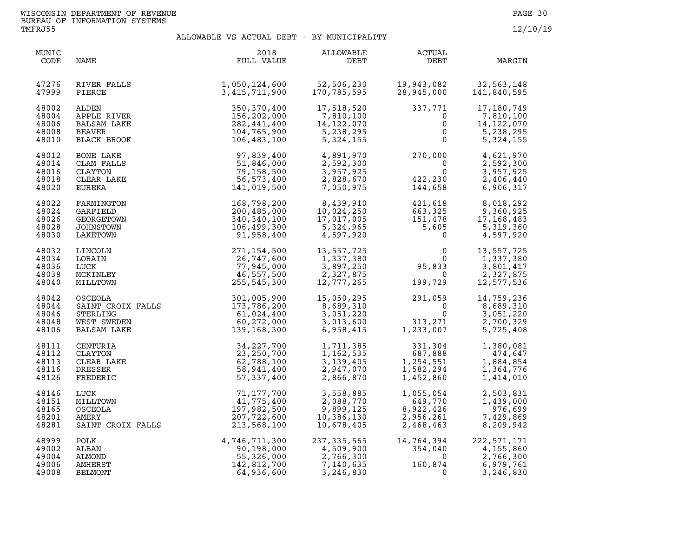| MUNIC<br>CODE                             | NAME                                                                               | 2018<br>FULL VALUE                                                                                                                                                                                             | ALLOWABLE<br>DEBT                                                                                                                                                                                                                                                                   | ACTUAL<br>DEBT                                                                                                                                                                                                              | MARGIN                                                          |
|-------------------------------------------|------------------------------------------------------------------------------------|----------------------------------------------------------------------------------------------------------------------------------------------------------------------------------------------------------------|-------------------------------------------------------------------------------------------------------------------------------------------------------------------------------------------------------------------------------------------------------------------------------------|-----------------------------------------------------------------------------------------------------------------------------------------------------------------------------------------------------------------------------|-----------------------------------------------------------------|
| 47276<br>47999                            | RIVER FALLS<br>PIERCE                                                              | 1,050,124,600   52,506,230   19,943,082<br>3,415,711,900   170,785,595   28,945,000                                                                                                                            |                                                                                                                                                                                                                                                                                     | 19,943,082          32,563,148<br>28,945,000        141,840,595                                                                                                                                                             |                                                                 |
| 48002<br>48004<br>48006<br>48008<br>48010 | ALDEN<br>APPLE RIVER<br>BALSAM LAKE<br>BEAVER<br>BLACK BROOK                       | 350,370,400<br>156,202,000<br>150,202,000<br>282,441,400<br>104,765,900<br>106,483,100                                                                                                                         | 17,518,520<br>7,810,100<br>1,810,100<br>14,122,070<br>5,238,295<br>5,324,155                                                                                                                                                                                                        | 337,771<br>$\overline{0}$<br>$\mathsf{O}$<br>$\overline{0}$<br>$\Omega$                                                                                                                                                     | 17,180,749<br>7,810,100<br>14,122,070<br>5,238,295<br>5,324,155 |
| 48012<br>48014<br>48016<br>48018<br>48020 | BONE LAKE<br>CLAM FALLS<br>CLAYTON<br>CLEAR LAKE<br>EUREKA                         | 97,839,400<br>51,846,000<br>79,158,500<br>56, 573, 400<br>141,019,500                                                                                                                                          |                                                                                                                                                                                                                                                                                     | $\begin{array}{llll} 4\, ,\, 891\, ,\, 970 & 270\, ,\, 000\, \\ 2\, ,\, 592\, ,\, 300 & 0\, \\ 3\, ,\, 957\, ,\, 925 & 0\, \\ 2\, ,\, 828\, ,\, 670 & 422\, ,\, 230\, \\ 7\, ,\, 050\, ,\, 975 & 144\, ,\, 658 \end{array}$ | 4,621,970<br>2,592,300<br>3,957,925<br>2,406,440<br>6,906,317   |
| 48022<br>48024<br>48026<br>48028<br>48030 | FARMINGTON<br>GARFIELD<br>GEORGETOWN<br>JOHNSTOWN<br>LAKETOWN                      | 168,798,200<br>200,485,000<br>340,340,100<br>106,499,300<br>91,958,400                                                                                                                                         | $\begin{array}{cccc} 8,439,910 \\ 10,024,250 \\ 17,017,005 \\ 5,324,965 \\ 4,597,920 \end{array} \qquad \begin{array}{cccc} 421,618 \\ 663,325 \\ -151,478 \\ 5,605 \\ 0 \end{array} \qquad \begin{array}{cccc} 8,018,292 \\ 9,360,925 \\ 17,168,483 \\ 5,319,360 \\ 0 \end{array}$ |                                                                                                                                                                                                                             |                                                                 |
| 48032<br>48034<br>48036<br>48038<br>48040 | LINCOLN<br>LORAIN<br>LUCK<br>MCKINLEY<br>MILLTOWN                                  | 271,154,500<br>26,747,600<br>77,945,000<br>46,557,500<br>255,545,300                                                                                                                                           | 13,557,725<br>1,337,380<br>3,897,250<br>2,327,875<br>12,777,265<br>2,327,875<br>12,777,265                                                                                                                                                                                          | $\begin{smallmatrix}&&&0\0&95,833\0&199,729\end{smallmatrix}$<br>199,729                                                                                                                                                    | 13,557,725<br>1,337,380<br>3,801,417<br>2,327,875<br>12,577,536 |
| 48042<br>48044<br>48046<br>48048<br>48106 | OSCEOLA<br>SAINT CROIX FALLS 173,786,200<br>STERLING<br>WEST SWEDEN<br>BALSAM LAKE | 301,005,900<br>61,024,400<br>$\begin{array}{c} 61,024\,,400\\ 60,272\,,000\\ 139,168\,,300 \end{array}$                                                                                                        | 15,050,295<br>$\begin{array}{r} -8,689,310\ 3,051,220\ 3,013,600\ 6,958,415 \end{array}$                                                                                                                                                                                            | 15,050,295<br>8,689,310<br>3,051,220<br>3,013,600<br>6,958,415<br>8,958,415<br>1,233,007                                                                                                                                    | 14,759,236<br>8,689,310<br>3,051,220<br>2,700,329<br>5,725,408  |
| 48111<br>48112<br>48113<br>48116<br>48126 | CENTURIA<br>CLAYTON<br>CLEAR LAKE<br>DRESSER<br>FREDERIC                           | 34,227,700<br>23,250,700<br>62,788,100<br>58,941,400<br>57,337,400                                                                                                                                             |                                                                                                                                                                                                                                                                                     | 1,711,385<br>1,162,535<br>3,139,405<br>2,947,070<br>2,866,870<br>1,452,860<br>1,452,860                                                                                                                                     | 1,380,081<br>474,647<br>1,884,854<br>1,364,776<br>1,414,010     |
| 48146<br>48151<br>48165<br>48201<br>48281 | LUCK<br>MILLTOWN<br>OSCEOLA<br>AMERY<br>SAINT CROIX FALLS                          | 71,177,700<br>41,775,400<br>197,982,500<br>207,722,600<br>213,568,100                                                                                                                                          | 3,558,885<br>2,088,770<br>9,899,125<br>10,386,130<br>10,678,405                                                                                                                                                                                                                     | $1,055,054$<br>649,770<br>8,922,426<br>2,956,261<br>2,468,463                                                                                                                                                               | 2,503,831<br>1,439,000<br>976,699<br>7,429,869<br>8,209,942     |
| 48999<br>49002<br>49004<br>49006<br>49008 | POLK<br>ALBAN<br>ALMOND<br>AMHERST<br><b>BELMONT</b>                               | $\begin{array}{r} 4,746,711,300 \ 90,198,000 \ 55,326,000 \ 142,812,700 \ 64,936,600 \end{array} \quad \begin{array}{r} 237,335,565 \ 4,509,900 \ 2,766,300 \ 7,140,635 \ 3,246,830 \end{array}$<br>64,936,600 | 3, 246, 830                                                                                                                                                                                                                                                                         | $14,764,394 \ 354,040 \ 0 \ 160,874 \ 0$                                                                                                                                                                                    | 222,571,171<br>4,155,860<br>2,766,300<br>6,979,761<br>3,246,830 |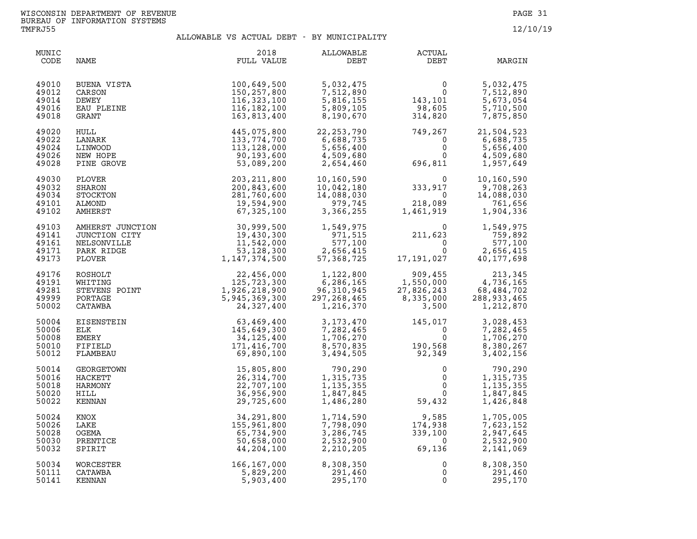| MUNIC<br>CODE                             | NAME                                                      | 2018<br>FULL VALUE                                                                                                                                                                                                                                                     | <b>ALLOWABLE</b><br>DEBT                                         | ACTUAL<br>DEBT                                                                                         | MARGIN                                                                                                       |
|-------------------------------------------|-----------------------------------------------------------|------------------------------------------------------------------------------------------------------------------------------------------------------------------------------------------------------------------------------------------------------------------------|------------------------------------------------------------------|--------------------------------------------------------------------------------------------------------|--------------------------------------------------------------------------------------------------------------|
| 49010<br>49012<br>49014<br>49016<br>49018 | BUENA VISTA<br>CARSON<br>DEWEY<br>EAU PLEINE<br>GRANT     | 100,649,500<br>150,257,800<br>116, 323, 100<br>116,182,100<br>163,813,400                                                                                                                                                                                              | 5,032,475<br>7,512,890<br>5,816,155<br>5,809,105<br>8,190,670    | $\begin{smallmatrix}&&&0\0&143\,,101\98\,,605\314\,,820\end{smallmatrix}$                              | 5,032,475<br>7,512,890<br>5,673,054<br>5,710,500<br>7,875,850                                                |
| 49020<br>49022<br>49024<br>49026<br>49028 | HULL<br>LANARK<br>LINWOOD<br>NEW HOPE<br>PINE GROVE       | 445,075,800<br>133,774,700<br>113, 128, 000<br>90,193,600<br>53,089,200                                                                                                                                                                                                | 22, 253, 790<br>6,688,735<br>5,656,400<br>4,509,680<br>2,654,460 | $749, 267$<br>0<br>0<br>696,811                                                                        | 21,504,523<br>6,688,735<br>$\overline{0}$<br>5,656,400<br>4,509,680<br>1,957,649                             |
| 49030<br>49032<br>49034<br>49101<br>49102 | PLOVER<br>SHARON<br>STOCKTON<br>ALMOND<br>AMHERST         | 203, 211, 800<br>200,843,600<br>281,760,600<br>19,594,900<br>67,325,100                                                                                                                                                                                                | 10,160,590<br>10,042,180<br>14,088,030<br>979,745<br>3,366,255   | $\begin{array}{ccc} & 0 & 10 \\ 333,917 & 9 \\ 0 & 14 \\ 218,089 \\ 1,461,919 & 1 \end{array}$         | 10,160,590<br>9,708,263<br>14,088,030<br>761,656<br>1,904,336                                                |
| 49103<br>49141<br>49161<br>49171<br>49173 |                                                           | AMHERST JUNCTION<br>MHERST JUNCTION<br>NELSONVILLE<br>PARK RIDGE<br>PARK RIDGE<br>PLOVER<br>PLOVER<br>ROSHOLT<br>WHITING<br>S3,128,300<br>PLOVER<br>ROSHOLT<br>WHITING<br>STREVENS POINT<br>PORTAGE<br>PORTAGE<br>PORTAGE<br>PORTAGE<br>PORTAGE<br>EISENSTEIN<br>EISEN | 1,549,975<br>971,515<br>577,100<br>2,656,415<br>57,368,725       | $211,623$<br>0<br>17,191,027                                                                           | $\overline{0}$<br>1,549,975<br>759,892<br>577,100                                                            |
| 49176<br>49191<br>49281<br>49999<br>50002 |                                                           |                                                                                                                                                                                                                                                                        | 1,122,800<br>6,286,165<br>96,310,945<br>297,268,465<br>1,216,370 | $909,455$<br>$1,550,000$<br>$27,826,243$<br>$8,335,000$<br>$288,933,465$<br>$1,212,870$<br>$1,212,870$ |                                                                                                              |
| 50004<br>50006<br>50008<br>50010<br>50012 |                                                           |                                                                                                                                                                                                                                                                        |                                                                  | 3,173,470<br>7,282,465 0<br>1,706,270 0<br>8,570,835 190,568<br>3,494,505 92,349                       | 3,028,453<br>7,282,465<br>1,706,270<br>8,380,267<br>3,402,156                                                |
| 50014<br>50016<br>50018<br>50020<br>50022 | GEORGETOWN<br><b>HACKETT</b><br>HARMONY<br>HILL<br>KENNAN | 15,805,800<br>26, 314, 700<br>22,707,100<br>36,956,900<br>29,725,600                                                                                                                                                                                                   | 790,290<br>1,315,735<br>1,135,355<br>1,847,845<br>1,486,280      | $\mathsf{O}$<br>59,432                                                                                 | 790,290<br>$\begin{bmatrix} 0 \\ 0 \\ 0 \end{bmatrix}$<br>1,315,735<br>1, 135, 355<br>1,847,845<br>1,426,848 |
| 50024<br>50026<br>50028<br>50030<br>50032 | KNOX<br>LAKE<br>OGEMA<br>PRENTICE<br>SPIRIT               | 34,291,800<br>155,961,800<br>65,734,900<br>50,658,000<br>44,204,100                                                                                                                                                                                                    | 1,714,590<br>7,798,090<br>3,286,745<br>2,532,900<br>2,210,205    | 9,585<br>174,938<br>339,100<br>$339,100$<br>0<br>69,136                                                | 1,705,005<br>7,623,152<br>2,947,645<br>2,532,900<br>2,141,069                                                |
| 50034<br>50111<br>50141                   | WORCESTER<br>CATAWBA<br>KENNAN                            | 166, 167, 000<br>5,829,200<br>5,903,400                                                                                                                                                                                                                                | 8,308,350<br>291,460<br>295,170                                  | 0<br>$\mathbf 0$<br>$\mathbf 0$                                                                        | 8,308,350<br>291,460<br>295,170                                                                              |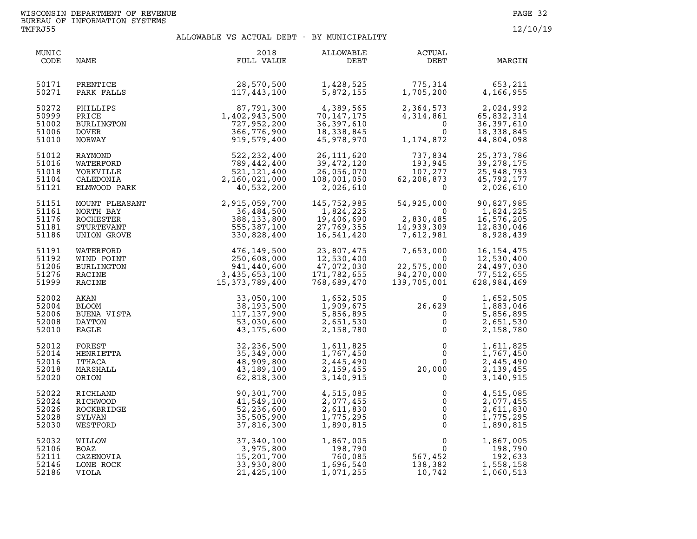| MUNIC<br>CODE                             | NAME                                                                  | 2018<br>FULL VALUE                                                         | ALLOWABLE<br>DEBT                                                    | <b>ACTUAL</b><br>DEBT                                                                         | MARGIN                                                                |
|-------------------------------------------|-----------------------------------------------------------------------|----------------------------------------------------------------------------|----------------------------------------------------------------------|-----------------------------------------------------------------------------------------------|-----------------------------------------------------------------------|
| 50171<br>50271                            | PRENTICE<br>PARK FALLS                                                | 28,570,500<br>117,443,100                                                  | 1,428,525<br>5,872,155                                               | 775,314<br>1,705,200                                                                          | 653,211<br>4,166,955                                                  |
| 50272<br>50999<br>51002<br>51006<br>51010 | PHILLIPS<br>PRICE<br>BURLINGTON<br><b>DOVER</b><br>NORWAY             | 87,791,300<br>1,402,943,500<br>727,952,200<br>366,776,900<br>919,579,400   | 4,389,565<br>70, 147, 175<br>36,397,610<br>18,338,845<br>45,978,970  | 2,364,573<br>4,314,861<br>$\Omega$<br>$\mathbf{0}$<br>1,174,872                               | 2,024,992<br>65,832,314<br>36, 397, 610<br>18,338,845<br>44,804,098   |
| 51012<br>51016<br>51018<br>51104<br>51121 | RAYMOND<br>WATERFORD<br>YORKVILLE<br>CALEDONIA<br>ELMWOOD PARK        | 522,232,400<br>789,442,400<br>521,121,400<br>2,160,021,000<br>40,532,200   | 26,111,620<br>39,472,120<br>26,056,070<br>108,001,050<br>2,026,610   | 737,834<br>193,2<br>107,277<br>^^ 873<br>62,208,873<br>$\Omega$                               | 25, 373, 786<br>39, 278, 175<br>25,948,793<br>45,792,177<br>2,026,610 |
| 51151<br>51161<br>51176<br>51181<br>51186 | MOUNT PLEASANT<br>NORTH BAY<br>ROCHESTER<br>STURTEVANT<br>UNION GROVE | 2,915,059,700<br>36,484,500<br>388, 133, 800<br>555,387,100<br>330,828,400 | 145,752,985<br>1,824,225<br>19,406,690<br>27,769,355<br>16,541,420   | 54,925,000<br>$\overline{0}$<br>2,830,485<br>14,939,309<br>7,612,981                          | 90,827,985<br>1,824,225<br>16,576,205<br>12,830,046<br>8,928,439      |
| 51191<br>51192<br>51206<br>51276<br>51999 | WATERFORD<br>WIND POINT<br>BURLINGTON<br>RACINE<br>RACINE             | $3,435,604$<br>$3,435,653,100$<br>$15,373,789,400$                         | 23,807,475<br>12,530,400<br>47,072,030<br>171,782,655<br>768,689,470 | 7,653,000<br>$\overline{\mathbf{0}}$<br>22,575,000<br>94,270,000<br>139,705,001               | 16, 154, 475<br>12,530,400<br>24,497,030<br>77,512,655<br>628,984,469 |
| 52002<br>52004<br>52006<br>52008<br>52010 | AKAN<br><b>BLOOM</b><br>BUENA VISTA<br>DAYTON<br>EAGLE                | 33,050,100<br>38,193,500<br>117, 137, 900<br>53,030,600<br>43,175,600      | 1,652,505<br>1,909,675<br>5,856,895<br>2,651,530<br>2,158,780        | $\Omega$<br>26,629<br>$\mathbf 0$<br>$\mathsf{O}\xspace$<br>$\Omega$                          | 1,652,505<br>1,883,046<br>5,856,895<br>2,651,530<br>2,158,780         |
| 52012<br>52014<br>52016<br>52018<br>52020 | FOREST<br>HENRIETTA<br>ITHACA<br>MARSHALL<br>ORION                    | 32,236,500<br>35, 349, 000<br>48,909,800<br>43,189,100<br>62,818,300       | 1,611,825<br>1,767,450<br>2,445,490<br>2,159,455<br>3,140,915        | $\mathsf{O}$<br>$\Omega$<br>$\frac{0}{20}$ , 000                                              | 1,611,825<br>1,767,450<br>2,445,490<br>2,139,455<br>3,140,915         |
| 52022<br>52024<br>52026<br>52028<br>52030 | RICHLAND<br>RICHWOOD<br>ROCKBRIDGE<br>SYLVAN<br>WESTFORD              | 90,301,700<br>41,549,100<br>52,236,600<br>35,505,900<br>37,816,300         | 4,515,085<br>2,077,455<br>2,611,830<br>1,775,295<br>1,890,815        | 0<br>$\mathbf 0$<br>$\mathsf{O}$<br>$\mathsf{O}$<br>$\mathsf 0$                               | 4,515,085<br>2,077,455<br>2,611,830<br>1,775,295<br>1,890,815         |
| 52032<br>52106<br>52111<br>52146<br>52186 | WILLOW<br>BOAZ<br>CAZENOVIA<br>LONE ROCK<br>VIOLA                     | 37,340,100<br>3,975,800<br>15,201,700<br>33,930,800<br>21,425,100          | 1,867,005<br>198,790<br>760,085<br>1,696,540<br>1,071,255            | $\begin{array}{c}0\\0\\0\\567,452\\120,002\end{array}$<br>$\overline{0}$<br>138,382<br>10,742 | 1,867,005<br>198,790<br>192,633<br>1,558,158<br>1,060,513             |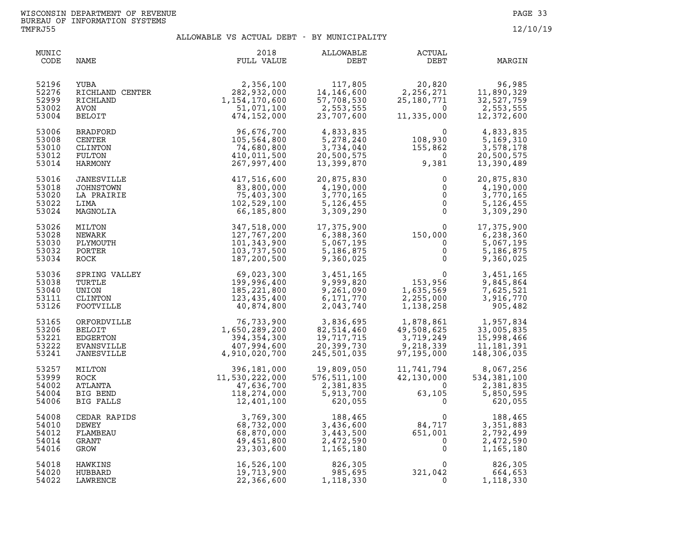| MUNIC<br>CODE                             | NAME                                                                 | 2018<br>FULL VALUE                                                              | ALLOWABLE<br>DEBT                                                                | <b>ACTUAL</b><br>DEBT                                                         | MARGIN                                                               |
|-------------------------------------------|----------------------------------------------------------------------|---------------------------------------------------------------------------------|----------------------------------------------------------------------------------|-------------------------------------------------------------------------------|----------------------------------------------------------------------|
| 52196<br>52276<br>52999<br>53002<br>53004 | YUBA<br>RICHLAND CENTER<br>RICHLAND<br>AVON<br><b>BELOIT</b>         | 2,356,100<br>282,932,000<br>1,154,170,600<br>51,071,100<br>474,152,000          | 117,805<br>14, 146, 600<br>57,708,530<br>2,553,555<br>23,707,600                 | 20,820<br>2, 256, 271<br>25, 180, 771<br>$\overline{0}$<br>11,335,000         | 96,985<br>11,890,329<br>32,527,759<br>2,553,555<br>12,372,600        |
| 53006<br>53008<br>53010<br>53012<br>53014 | <b>BRADFORD</b><br><b>CENTER</b><br>CLINTON<br>FULTON<br>HARMONY     | 96,676,700<br>105,564,800<br>74,680,800<br>410,011,500<br>267,997,400           | 4,833,835<br>5,278,240<br>3,734,040<br>20,500,575<br>13,399,870                  | $\frac{108,930}{155,862}$<br>9,381                                            | 4,833,835<br>5,169,310<br>3,578,178<br>20,500,575<br>13,390,489      |
| 53016<br>53018<br>53020<br>53022<br>53024 | JANESVILLE<br>JOHNSTOWN<br>LA PRAIRIE<br>LIMA<br>MAGNOLIA            | 417,516,600<br>83,800,000<br>75,403,300<br>102,529,100<br>66,185,800            | 20,875,830<br>4,190,000<br>3,770,165<br>5, 126, 455<br>3,309,290                 | $\mathbf{0}$<br>$\overline{0}$<br>$\mathbf 0$<br>$\Omega$<br>$\mathbf 0$      | 20,875,830<br>4,190,000<br>3,770,165<br>5, 126, 455<br>3,309,290     |
| 53026<br>53028<br>53030<br>53032<br>53034 | MILTON<br>NEWARK<br>PLYMOUTH<br>PORTER<br>ROCK                       | 347,518,000<br>127,767,200<br>101,343,900<br>103,737,500<br>187,200,500         | 17,375,900<br>6,388,360<br>5,067,195<br>5,186,875<br>9,360,025                   | $150,000$<br>0<br>0<br>0                                                      | 17,375,900<br>6,238,360<br>5,067,195<br>5,186,875<br>9,360,025       |
| 53036<br>53038<br>53040<br>53111<br>53126 | SPRING VALLEY<br>TURTLE<br>UNION<br>CLINTON<br>FOOTVILLE             | $69,023,300$<br>$199,996,400$<br>$185,221,800$<br>$123,435,400$<br>$40,874,800$ | 3,451,165<br>9,999,820<br>9,261,090<br>6,171,770<br>2,043,740                    | $\frac{0}{153,956}$<br>1,635,569<br>2,255,000<br>1,138,258                    | 3,451,165<br>9,845,864<br>7,625,521<br>3,916,770<br>905,482          |
| 53165<br>53206<br>53221<br>53222<br>53241 | ORFORDVILLE<br><b>BELOIT</b><br>EDGERTON<br>EVANSVILLE<br>JANESVILLE | 76,733,900<br>1,650,289,200<br>394,354,300<br>407,994,600<br>4,910,020,700      | 3,836,695<br>82,514,460<br>19,717,715<br>20,399.730<br>20,399,730<br>245,501,035 | 1,878,861<br>49 508 625<br>49,508,625<br>3,719,249<br>9,218,339<br>97,195,000 | 1,957,834<br>33,005,835<br>15,998,466<br>11, 181, 391<br>148,306,035 |
| 53257<br>53999<br>54002<br>54004<br>54006 | MILTON<br>ROCK<br>ATLANTA<br>BIG BEND<br>BIG FALLS                   | 396,181,000<br>11,530,222,000<br>47,636,700<br>118,274,000<br>12,401,100        | 19,809,050<br>576, 511, 100<br>2,381,835<br>5,913,700<br>620,055                 | 11,741,794<br>42,130,000<br>$\overline{0}$<br>63,105<br>$\Omega$              | 8,067,256<br>534,381,100<br>2,381,835<br>5,850,595<br>620,055        |
| 54008<br>54010<br>54012<br>54014<br>54016 | CEDAR RAPIDS<br>DEWEY<br>FLAMBEAU<br>GRANT<br>GROW                   | 3,769,300<br>68,732,000<br>68,870,000<br>49,451,800<br>23,303,600               | 188,465<br>3,436,600<br>3,443,500<br>2,472,590<br>1,165,180                      | $\Omega$<br>$84, 717$<br>651,001<br>0<br>0                                    | 188,465<br>3,351,883<br>2,792,499<br>2,472,590<br>1,165,180          |
| 54018<br>54020<br>54022                   | HAWKINS<br>HUBBARD<br>LAWRENCE                                       | 16,526,100<br>19,713,900<br>22,366,600                                          | 826,305<br>985,695<br>1,118,330                                                  | $0$<br>321,042<br>$\Omega$<br>$\Omega$                                        | 826,305<br>664,653<br>1,118,330                                      |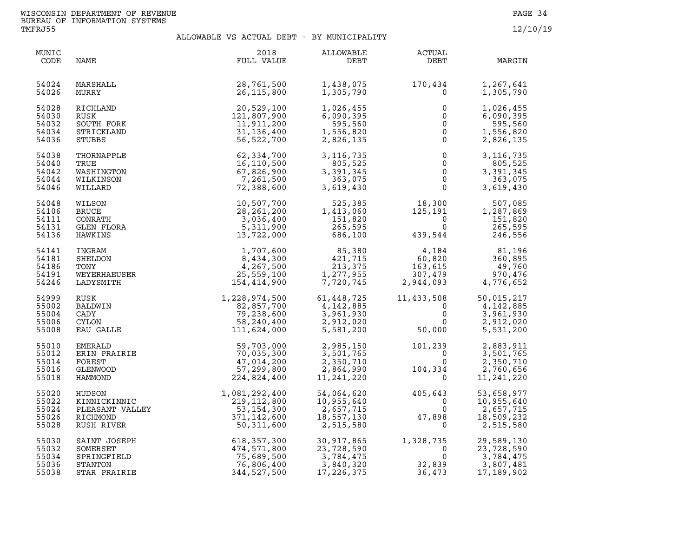| MUNIC<br>CODE                             | NAME                                                                                                                                                                                                         | 2018<br>FULL VALUE                                                                                                                                                                                                                    | ALLOWABLE<br>DEBT                                                                                                                                                                                                                                                                                                                              | ACTUAL<br>DEBT                                       | MARGIN                                                                                                                           |
|-------------------------------------------|--------------------------------------------------------------------------------------------------------------------------------------------------------------------------------------------------------------|---------------------------------------------------------------------------------------------------------------------------------------------------------------------------------------------------------------------------------------|------------------------------------------------------------------------------------------------------------------------------------------------------------------------------------------------------------------------------------------------------------------------------------------------------------------------------------------------|------------------------------------------------------|----------------------------------------------------------------------------------------------------------------------------------|
| 54024<br>54026                            | MARSHALL<br>MURRY                                                                                                                                                                                            | 28,761,500<br>26,115,800                                                                                                                                                                                                              | 1,438,075<br>1,305,790                                                                                                                                                                                                                                                                                                                         | $170, 434$ <sup>0</sup>                              | 1,267,641<br>1,305,790                                                                                                           |
| 54028<br>54030<br>54032<br>54034<br>54036 | RICHLAND<br>RUSK<br>SOUTH FORK<br>STRICKLAND<br>STUBBS                                                                                                                                                       | 20,529,100<br>121,807,900<br>11,911,200<br>31, 136, 400<br>56, 522, 700                                                                                                                                                               | 1,026,455<br>6,090,395<br>595,560<br>1,556,820<br>2,826,135                                                                                                                                                                                                                                                                                    | $\begin{array}{c} 0 \\ 0 \\ 0 \\ 0 \\ 0 \end{array}$ | 1,026,455<br>6,090,395<br>595,560<br>1,556,820<br>2,826,135                                                                      |
| 54038<br>54040<br>54042<br>54044<br>54046 | STUBBS<br>THORNAPPLE<br>TRUE<br>TRUE<br>WASHINGTON<br>WILLARD<br>WILLARD<br>WILLARD<br>WILSON<br>BRUCE<br>CONRATH<br>GLEN FLORA<br>HAWKINS<br>INGRAM<br>SHELDON<br>TONY<br>WEYERHAEUSER<br>LADYSMITH<br>PUGY | 62,334,700<br>$02,354,700$<br>16,110,500<br>67,826,900<br>7,261,500<br>72,388,600                                                                                                                                                     | 3, 116, 735<br>805,525<br>3,391,345<br>363,075<br>3,619,430                                                                                                                                                                                                                                                                                    | $\begin{array}{c} 0 \\ 0 \\ 0 \\ 0 \\ 0 \end{array}$ | 3, 116, 735<br>805,525<br>3,391,345<br>363,075<br>3,619,430                                                                      |
| 54048<br>54106<br>54111<br>54131<br>54136 |                                                                                                                                                                                                              |                                                                                                                                                                                                                                       | $\begin{array}{cccc} 10,507,700 \\ 28,261,200 \\ 3,036,400 \\ 1,300 \\ 1,413,060 \\ 5,311,900 \\ 13,722,000 \end{array} \qquad \begin{array}{cccc} 525,385 \\ 1,413,060 \\ 1,51,820 \\ 265,595 \\ 686,100 \end{array} \qquad \begin{array}{cccc} 18,300 \\ 125,191 \\ 0 \\ 125,191 \\ 0 \\ 151,820 \\ 265,595 \\ 439,544 \end{$                |                                                      |                                                                                                                                  |
| 54141<br>54181<br>54186<br>54191<br>54246 |                                                                                                                                                                                                              |                                                                                                                                                                                                                                       | $\begin{array}{cccc} 1,707,600 \\ 8,434,300 \\ 4,267,500 \\ 25,559,100 \\ 154,414,900 \end{array} \qquad \begin{array}{cccc} 85,380 \\ 421,715 \\ 213,375 \\ 7,720,745 \end{array} \qquad \begin{array}{cccc} 4,184 \\ 60,820 \\ 163,615 \\ 307,479 \\ 2,944,093 \end{array} \qquad \begin{array}{cccc} 81,196 \\ 360,895 \\ 49,760 \\ 4,776,$ |                                                      |                                                                                                                                  |
| 54999<br>55002<br>55004<br>55006<br>55008 | RUSK<br>BALDWIN<br>CADY<br><b>CYLON</b><br>EAU GALLE                                                                                                                                                         | $1,228,974,500$<br>$82,857,700$<br>$79,238,600$<br>$58,240,400$<br>$11,624,000$<br>$5,581,200$<br>$11,624,000$<br>$5,581,200$<br>50,                                                                                                  |                                                                                                                                                                                                                                                                                                                                                |                                                      | $\begin{array}{cc} 11,433,508 & 50,015,217 \\ 0 & 4,142,885 \\ 0 & 3,961,930 \\ 0 & 2,912,020 \\ 50,000 & 5,531,200 \end{array}$ |
| 55010<br>55012<br>55014<br>55016<br>55018 | EMERALD<br>ERIN PRAIRIE<br>FOREST<br>GLENWOOD<br>HAMMOND 2                                                                                                                                                   | 70,035,300<br>224,824,400                                                                                                                                                                                                             | $\begin{array}{cccc} 59,703,000 & 2,985,150 & 101,239 & 2,883,911 \\ 70,035,300 & 3,501,765 & 0 & 3,501,765 \\ 47,014,200 & 2,350,710 & 0 & 2,350,710 \\ 57,299,800 & 2,864,990 & 104,334 & 2,760,656 \\ 224,824,400 & 11,241,220 & 0 & 11,241,220 \end{array}$                                                                                |                                                      |                                                                                                                                  |
| 55020<br>55022<br>55024<br>55026<br>55028 |                                                                                                                                                                                                              | HUDSON 1,081,292,400<br>KINNICKINNIC 219,112,800<br>PLEASANT VALLEY 53,154,300<br>RICHMOND 371,142,600<br>RUSH RIVER 50,311,600                                                                                                       | 54,064,620<br>10,955,640<br>2,657,715<br>18,557,130<br>2,515,580<br>0                                                                                                                                                                                                                                                                          |                                                      | 53,658,977<br>10,955,640<br>2,657,715<br>18,509,232<br>2,515,580                                                                 |
| 55030<br>55032<br>55034<br>55036<br>55038 |                                                                                                                                                                                                              | SAINT JOSEPH 618, 357, 300 30, 917, 865 1, 328, 735<br>SOMERSET 474, 571, 800 23, 728, 590 0<br>SPRINGFIELD 75, 689, 500 3, 784, 475 0<br>STANTON 76, 806, 400 3, 840, 320 32, 839<br>STAR PRAIRIE 344, 527, 500 17, 226, 375 36, 473 |                                                                                                                                                                                                                                                                                                                                                |                                                      | 1,328,735 29,589,130<br>0 23,728,590 23,728<br>3,784,475<br>3,807,481<br>17,189,902                                              |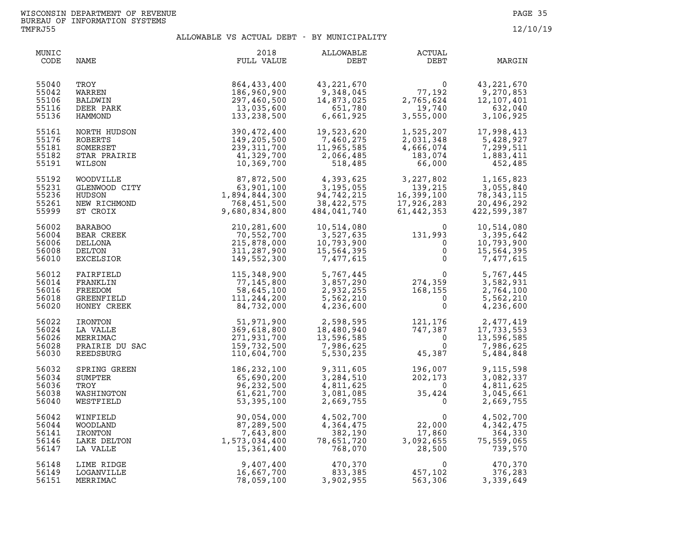| MUNIC<br>CODE                             | NAME                                                                         | 2018<br>FULL VALUE                                                                                                                                                                                                                                                   | ALLOWABLE<br>DEBT                                                 | <b>ACTUAL</b><br>DEBT                                                                                                          | MARGIN                                                                                                                                                             |
|-------------------------------------------|------------------------------------------------------------------------------|----------------------------------------------------------------------------------------------------------------------------------------------------------------------------------------------------------------------------------------------------------------------|-------------------------------------------------------------------|--------------------------------------------------------------------------------------------------------------------------------|--------------------------------------------------------------------------------------------------------------------------------------------------------------------|
| 55040<br>55042<br>55106<br>55116<br>55136 | TROY<br>WARREN<br>BALDWIN<br>DEER PARK<br>HAMMOND                            | 864,433,400<br>186,960,900<br>297,460,500<br>13,035,600<br>133,238,500                                                                                                                                                                                               | 43, 221, 670<br>9,348,045<br>$14,873,025$<br>$651,780$<br>$6.661$ | $\begin{array}{c} 0 \\ 77,192 \\ 2,765,624 \\ 19,740 \\ 3,555,000 \end{array}$                                                 | 43, 221, 670<br>9,270,853<br>$\begin{array}{cccc} 77,192 & & 9,270,853 \\ 2,765,624 & & 12,107,401 \\ & 19,740 & & 632,040 \\ 3,555,000 & & 3,106,925 \end{array}$ |
| 55161<br>55176<br>55181<br>55182<br>55191 |                                                                              | 133, 238, 50<br>NORTH HUDSON<br>ROBERTS<br>SOMERSET<br>SOMERSET<br>SOMERSET<br>STAR PRAIRIE<br>THE 239, 311, 700<br>STAR PRAIRIE<br>41, 329, 700<br>MULSON<br>HUDSON<br>GLENWOOD CITY<br>HUDSON<br>HUDSON<br>HUDSON<br>TCROIX<br>239, 311, 700<br>10, 369, 700<br>10 | 19,523,620<br>7,460,275<br>11,965,585<br>2,066,485<br>518,485     |                                                                                                                                | $\begin{array}{llll} 1,525,207 & 17,998,413 \\ 2,031,348 & 5,428,927 \\ 4,666,074 & 7,299,511 \\ 183,074 & 1,883,411 \\ 66,000 & 452,485 \end{array}$              |
| 55192<br>55231<br>55236<br>55261<br>55999 |                                                                              |                                                                                                                                                                                                                                                                      | 4,393,625<br>3,195,055<br>94,742,215<br>38,422,575<br>484,041,740 | 3,227,802<br>139,215<br>$16,399,100$<br>17,926,283<br>61,442,353                                                               | 1,165,823<br>3,055,840<br>78, 343, 115<br>20,496,292<br>422,599,387                                                                                                |
| 56002<br>56004<br>56006<br>56008<br>56010 | <b>BARABOO</b><br>BEAR CREEK<br>DELLONA<br>DELTON<br><b>EXCELSIOR</b>        | 210,281,600<br>70,552,700<br>215,878,000<br>311,287,900<br>149,552,300                                                                                                                                                                                               | 10,514,080<br>3,527,635<br>10,793,900<br>15,564,395<br>7,477,615  | $\begin{smallmatrix} & & & 0\ 131,993\ & & 0\ & & 0\ & & & 0\ & & & 0\end{smallmatrix}$                                        | 10,514,080<br>3,395,642<br>10,793,900<br>15,564,395<br>7,477,615                                                                                                   |
| 56012<br>56014<br>56016<br>56018<br>56020 | FAIRFIELD<br>FRANKLIN<br>FREEDOM<br>GREENFIELD<br>HONEY CREEK                | 115,348,900<br>77,145,800<br>58,645,100<br>111,244,200<br>84,732,000                                                                                                                                                                                                 |                                                                   | $5,767,445$<br>$3,857,290$<br>$2,932,255$<br>$5,562,210$<br>$4,236,600$<br>$3,562,5$<br>$5,62,210$<br>$6,236,600$<br>$7,562,7$ | 5,767,445<br>3,582,931<br>2,764,100<br>5,562,210<br>4,236,600                                                                                                      |
| 56022<br>56024<br>56026<br>56028<br>56030 | HONET CREEK<br>IRONTON<br>LA VALLE<br>MERRIMAC<br>PRAIRIE DU SAC<br>TERCEIPC | 51,971,900<br>369,618,800<br>271,931,700<br>159,732,500<br>110,604,700                                                                                                                                                                                               |                                                                   | $2,598,595$<br>$18,480,940$<br>$13,596,585$<br>$7,986,625$<br>$5,530,235$<br>$235$<br>$45,387$<br>45,387                       | 2,477,419<br>17,733,553<br>13,596,585<br>7,986,625<br>5,484,848                                                                                                    |
| 56032<br>56034<br>56036<br>56038<br>56040 | SPRING GREEN<br>SUMPTER<br>TROY<br>WASHINGTON<br>WESTFIELD                   | 186, 232, 100<br>65,690,200<br>96,232,500<br>61,621,700<br>53, 395, 100                                                                                                                                                                                              | 9,311,605<br>3,284,510<br>4,811,625<br>3,081,085<br>2,669,755     | $196,007$<br>$202,173$<br>$0$<br>$35,424$<br>$0$                                                                               | 9,115,598<br>3,082,337<br>4,811,625<br>3,045,661<br>2,669,755                                                                                                      |
| 56042<br>56044<br>56141<br>56146<br>56147 | WINFIELD<br>WOODLAND<br>IRONTON<br>LAKE DELTON<br>LA VALLE                   | 90,054,000<br>97,289,500<br>87,289,500<br>87,2643,800<br>1,573,034,400<br>15,361                                                                                                                                                                                     | 4,502,700<br>4,364,475<br>382,190<br>78,651,720<br>768,070        | $\mathbf 0$<br>22,000<br>17,860<br>3,092,655<br>28,500                                                                         | 4,502,700<br>4,342,475<br>364,330<br>75,559,065<br>739,570                                                                                                         |
| 56148<br>56149<br>56151                   | LIME RIDGE<br>LOGANVILLE<br>MERRIMAC                                         | 9,407,400<br>16,667,700<br>78,059,100                                                                                                                                                                                                                                | 470,370<br>833,385<br>3,902,955                                   | 0<br>457,102<br>563,306<br>563,306                                                                                             | 470,370<br>376,283<br>3,339,649                                                                                                                                    |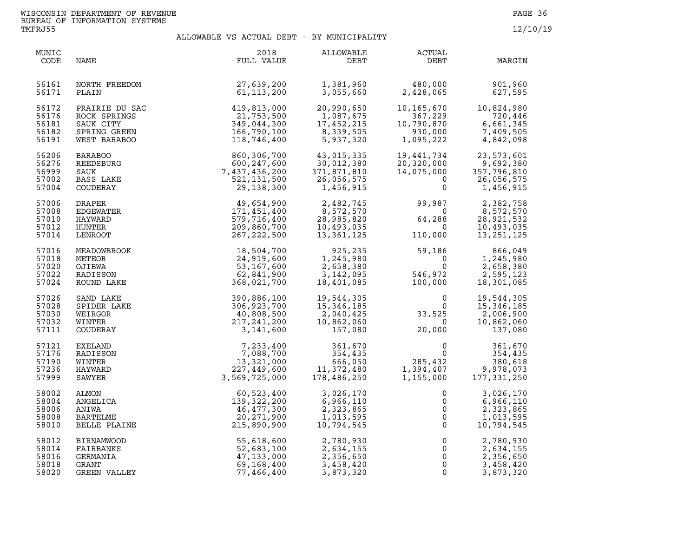| MUNIC<br>CODE                             | NAME                                                                        | 2018<br>FULL VALUE                                                                                                                                  | ALLOWABLE<br>DEBT                                                            | ACTUAL<br>DEBT                                                                      | MARGIN                                                            |
|-------------------------------------------|-----------------------------------------------------------------------------|-----------------------------------------------------------------------------------------------------------------------------------------------------|------------------------------------------------------------------------------|-------------------------------------------------------------------------------------|-------------------------------------------------------------------|
| 56161<br>56171                            | NORTH FREEDOM<br>PLAIN                                                      | 27,639,200<br>61,113,200                                                                                                                            | 1,381,960<br>3,055,660                                                       | 480,000<br>2,428,065                                                                | 901,960<br>627,595                                                |
| 56172<br>56176<br>56181<br>56182<br>56191 | PRAIRIE DU SAC<br>ROCK SPRINGS<br>SAUK CITY<br>SPRING GREEN<br>WEST BARABOO | $419, 813, 000\n 21, 753, 500\n 349, 044, 300\n 166, 790, 100\n 118, 746, 400$                                                                      | 20,990,650<br>1,087,675<br>17,452,215<br>8,339,505<br>5,937,320              | 10,165,670<br>367,229<br>10,790,870<br>930,000<br>1,095,222                         | 10,824,980<br>720,446<br>6,661,345<br>7,409,505<br>4,842,098      |
| 56206<br>56276<br>56999<br>57002<br>57004 | <b>BARABOO</b><br>REEDSBURG<br>SAUK<br>BASS LAKE<br>COUDERAY                | 118,746,400<br>860,306,700<br>600,247,600<br>7,437,436,200<br>521,131,500<br>29,138,300<br>171,451,400<br>579,716,400<br>209,860,700<br>267,222,500 | 43,015,335<br>30,012,380<br>371,871,810<br>26,056,575                        | 19,441,734<br>20,320,000<br>14,075,000<br>$\Omega$<br>$\mathbf 0$                   | 23,573,601<br>9,692,380<br>357,796,810<br>26,056,575<br>1,456,915 |
| 57006<br>57008<br>57010<br>57012<br>57014 | <b>DRAPER</b><br>EDGEWATER<br>HAYWARD<br>HUNTER<br>LENROOT                  |                                                                                                                                                     | $7 + 56.9$<br>$2,482,745$<br>$8,572,570$<br>$28,985,820$<br>$10,493$<br>$13$ | 99,987<br>$\begin{smallmatrix}&&&0\\64,288\end{smallmatrix}$<br>$\Omega$<br>110,000 | 2,382,758<br>8,572,570<br>28,921,532<br>10,493,035<br>13,251,125  |
| 57016<br>57018<br>57020<br>57022<br>57024 | MEADOWBROOK<br>METEOR<br>OJIBWA<br>RADISSON<br>ROUND LAKE                   | 18,504,700<br>24,919,600<br>53,167,600<br>62,841,900<br>368,021,700                                                                                 | 925,235<br>1,245,980<br>2,658,380<br>3, 142, 095<br>18,401,085               | 59,186<br>$\overline{0}$<br>0<br>546,972<br>100,000                                 | 866,049<br>1,245,980<br>2,658,380<br>2,595,123<br>18,301,085      |
| 57026<br>57028<br>57030<br>57032<br>57111 | SAND LAKE<br>SPIDER LAKE<br>WEIRGOR<br>WINTER<br>COUDERAY                   | 390,886,100<br>306,923,700<br>40,808,500<br>217,241,200<br>3,141,600                                                                                | 19,544,305<br>15,346,185<br>2,040,425<br>10,862,060<br>157,080               | $\mathbf 0$<br>$\begin{array}{c} 0 \ 33,525 \end{array}$<br>20.000<br>20,000        | 19,544,305<br>15, 346, 185<br>2,006,900<br>10,862,060<br>137,080  |
| 57121<br>57176<br>57190<br>57236<br>57999 | EXELAND<br>RADISSON<br>WINTER<br>HAYWARD<br>SAWYER                          | 7,233,400<br>7,088,700<br>13,321,000<br>227,449,600<br>3,569,725,000                                                                                | 361,670<br>354,435<br>666,050<br>ەتە, 666<br>11,372,480<br>178,486,250       | $\begin{array}{c} 0 \\ 0 \\ 285,432 \\ 1,394,407 \\ 1,155,000 \end{array}$          | 361,670<br>354,435<br>380,618<br>9,978,073<br>177, 331, 250       |
| 58002<br>58004<br>58006<br>58008<br>58010 | ALMON<br>ANGELICA<br>ANIWA<br><b>BARTELME</b><br>BELLE PLAINE               | 60,523,400<br>139,322,200<br>46,477,300<br>20,271,900<br>215,890,900                                                                                | 3,026,170<br>6,966,110<br>2,323,865<br>1,013,595<br>10,794,545               | $\mathbf 0$<br>0<br>$\overline{0}$<br>$\overline{0}$<br>$\mathbf{0}$                | 3,026,170<br>6,966,110<br>2,323,865<br>1,013,595<br>10,794,545    |
| 58012<br>58014<br>58016<br>58018<br>58020 | <b>BIRNAMWOOD</b><br>FAIRBANKS<br>GERMANIA<br>GRANT<br>GREEN VALLEY         | 55,618,600<br>52,683,100<br>47,133,000<br>69,168,400<br>77,466,400                                                                                  | 2,780,930<br>2,634,155<br>2,356,650<br>3,458,420<br>3,873,320                | $\overline{0}$<br>0<br>0<br>$\mathbf 0$<br>$\Omega$                                 | 2,780,930<br>2,634,155<br>2,356,650<br>3,458,420<br>3,873,320     |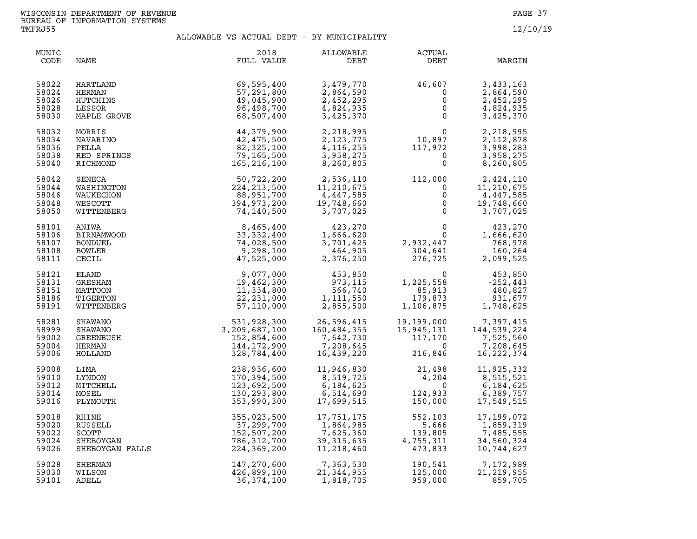| MUNIC<br>CODE                             | NAME                                                            | 2018<br>FULL VALUE                                                        | <b>ALLOWABLE</b><br>DEBT                                          | ACTUAL<br>DEBT                                                                                                                                                                                                                                                                                                                                                                                                 | MARGIN                                                                                           |
|-------------------------------------------|-----------------------------------------------------------------|---------------------------------------------------------------------------|-------------------------------------------------------------------|----------------------------------------------------------------------------------------------------------------------------------------------------------------------------------------------------------------------------------------------------------------------------------------------------------------------------------------------------------------------------------------------------------------|--------------------------------------------------------------------------------------------------|
| 58022                                     | HARTLAND                                                        | 69,595,400                                                                | 3,479,770                                                         | $\begin{array}{@{}c@{\hspace{1em}}c@{\hspace{1em}}c@{\hspace{1em}}c@{\hspace{1em}}c@{\hspace{1em}}c@{\hspace{1em}}c@{\hspace{1em}}c@{\hspace{1em}}c@{\hspace{1em}}c@{\hspace{1em}}c@{\hspace{1em}}c@{\hspace{1em}}c@{\hspace{1em}}c@{\hspace{1em}}c@{\hspace{1em}}c@{\hspace{1em}}c@{\hspace{1em}}c@{\hspace{1em}}c@{\hspace{1em}}c@{\hspace{1em}}c@{\hspace{1em}}c@{\hspace{1em}}c@{\hspace{1em}}c@{\hspace{$ | 3,433,163                                                                                        |
| 58024                                     | HERMAN                                                          | 57,291,800                                                                | 2,864,590                                                         |                                                                                                                                                                                                                                                                                                                                                                                                                | 2,864,590                                                                                        |
| 58026                                     | HUTCHINS                                                        | 49,045,900                                                                | 2,452,295                                                         |                                                                                                                                                                                                                                                                                                                                                                                                                | 2,452,295                                                                                        |
| 58028                                     | LESSOR                                                          | 96,498,700                                                                | 4,824,935                                                         |                                                                                                                                                                                                                                                                                                                                                                                                                | 4,824,935                                                                                        |
| 58030                                     | MAPLE GROVE                                                     | 68,507,400                                                                | 3,425,370                                                         |                                                                                                                                                                                                                                                                                                                                                                                                                | 3,425,370                                                                                        |
| 58032<br>58034<br>58036<br>58038<br>58040 | MORRIS<br>NAVARINO<br>PELLA<br>RED SPRINGS<br>RICHMOND          | 44,379,900<br>42,475,500<br>82,325,100<br>79,165,500<br>165, 216, 100     | 2,218,995<br>2, 123, 775<br>4, 116, 255<br>3,958,275<br>8,260,805 | 117,972<br>$\Omega$<br>$\mathbf 0$                                                                                                                                                                                                                                                                                                                                                                             | 2,218,995<br>2,112,878<br>3,998,283<br>3,958,275<br>8,260,805                                    |
| 58042<br>58044<br>58046<br>58048<br>58050 | SENECA<br>WASHINGTON<br>WAUKECHON<br>WESCOTT<br>WITTENBERG      | 50,722,200<br>224, 213, 500<br>88,951,700<br>394,973,200<br>74,140,500    | 2,536,110<br>11,210,675<br>4,447,585<br>19,748,660<br>3,707,025   | 112,000<br>0<br>$\mathsf{O}\xspace$<br>$\mathsf 0$<br>$\overline{0}$                                                                                                                                                                                                                                                                                                                                           | 2,424,110<br>11,210,675<br>4,447,585<br>19,748,660<br>3,707,025                                  |
| 58101<br>58106<br>58107<br>58108<br>58111 | ANIWA<br><b>BIRNAMWOOD</b><br>BONDUEL<br><b>BOWLER</b><br>CECIL | 8,465,400<br>33, 332, 400<br>74,028,500<br>9,298,100<br>47,525,000        | 423,270<br>1,666,620<br>3,701,425<br>464,905<br>2,376,250         | 0<br>$\overline{0}$<br>2,932,447<br>304,641<br>276,725<br>304,641                                                                                                                                                                                                                                                                                                                                              | 423,270<br>1,666,620<br>768,978<br>160,264<br>2,099,525                                          |
| 58121                                     | ELAND                                                           | 9,077,000                                                                 | 453,850                                                           | $\Omega$                                                                                                                                                                                                                                                                                                                                                                                                       | 453,850                                                                                          |
| 58131                                     | GRESHAM                                                         | 19,462,300                                                                | 973,115                                                           | 1,225,558                                                                                                                                                                                                                                                                                                                                                                                                      | $-252,443$                                                                                       |
| 58151                                     | MATTOON                                                         | 11,334,800                                                                | 566,740                                                           | 85,913                                                                                                                                                                                                                                                                                                                                                                                                         | 480,827                                                                                          |
| 58186                                     | TIGERTON                                                        | 22, 231, 000                                                              | 1,111,550                                                         | 179,873                                                                                                                                                                                                                                                                                                                                                                                                        | 931,677                                                                                          |
| 58191                                     | WITTENBERG                                                      | 57,110,000                                                                | 2,855,500                                                         | 1,106,875                                                                                                                                                                                                                                                                                                                                                                                                      | 1,748,625                                                                                        |
| 58281<br>58999<br>59002<br>59004<br>59006 | SHAWANO<br>SHAWANO<br>GREENBUSH<br>HERMAN<br>HOLLAND            | 531,928,300<br>3,209,687,100<br>152,854,600<br>144,172,900<br>328,784,400 | 26,596,415<br>160,484,355<br>7,642,730<br>7,208,645<br>16,439,220 | $\overline{0}$<br>216,846                                                                                                                                                                                                                                                                                                                                                                                      | 19,199,000 7,397,415<br>15,945,131 144,539,224<br>117,170 7,525,560<br>7,208,645<br>16, 222, 374 |
| 59008                                     | LIMA                                                            | 238,936,600                                                               | 11,946,830                                                        | 21,498                                                                                                                                                                                                                                                                                                                                                                                                         | 11,925,332                                                                                       |
| 59010                                     | LYNDON                                                          | 170,394,500                                                               | 8,519,725                                                         | 4,204                                                                                                                                                                                                                                                                                                                                                                                                          | 8,515,521                                                                                        |
| 59012                                     | MITCHELL                                                        | 123,692,500                                                               | 6,184,625                                                         | $\mathbf 0$                                                                                                                                                                                                                                                                                                                                                                                                    | 6,184,625                                                                                        |
| 59014                                     | MOSEL                                                           | 130,293,800                                                               | 6,514,690                                                         | 124,933                                                                                                                                                                                                                                                                                                                                                                                                        | 6,389,757                                                                                        |
| 59016                                     | PLYMOUTH                                                        | 353,990,300                                                               | 17,699,515                                                        | 150,000                                                                                                                                                                                                                                                                                                                                                                                                        | 17,549,515                                                                                       |
| 59018                                     | RHINE                                                           | 355,023,500                                                               | 17,751,175                                                        | 552,103                                                                                                                                                                                                                                                                                                                                                                                                        | 17,199,072                                                                                       |
| 59020                                     | RUSSELL                                                         | 37,299,700                                                                | 1,864,985                                                         | 5,666                                                                                                                                                                                                                                                                                                                                                                                                          | 1,859,319                                                                                        |
| 59022                                     | SCOTT                                                           | 152,507,200                                                               | 7,625,360                                                         | 139,805                                                                                                                                                                                                                                                                                                                                                                                                        | 7,485,555                                                                                        |
| 59024                                     | SHEBOYGAN                                                       | 786,312,700                                                               | 39,315,635                                                        | 4,755,311                                                                                                                                                                                                                                                                                                                                                                                                      | 34,560,324                                                                                       |
| 59026                                     | SHEBOYGAN FALLS                                                 | 224,369,200                                                               | 11,218,460                                                        | 473,833                                                                                                                                                                                                                                                                                                                                                                                                        | 10,744,627                                                                                       |
| 59028                                     | SHERMAN                                                         | 147,270,600                                                               | 7,363,530                                                         | 190,541                                                                                                                                                                                                                                                                                                                                                                                                        | 7,172,989                                                                                        |
| 59030                                     | WILSON                                                          | 426,899,100                                                               | 21,344,955                                                        | 125,000                                                                                                                                                                                                                                                                                                                                                                                                        | 21, 219, 955                                                                                     |
| 59101                                     | ADELL                                                           | 36, 374, 100                                                              | 1,818,705                                                         | 959,000                                                                                                                                                                                                                                                                                                                                                                                                        | 859,705                                                                                          |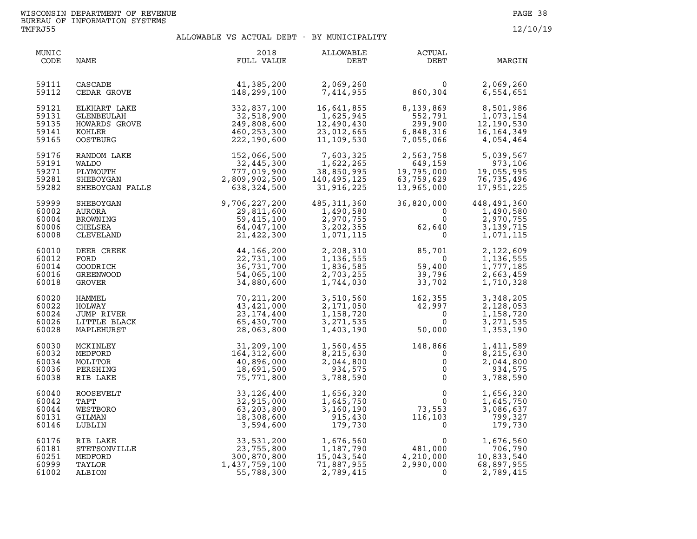| MUNIC<br>CODE                             | NAME                                                             | 2018<br>FULL VALUE                                                                                                           | ALLOWABLE<br>DEBT                                                 | <b>ACTUAL</b><br>DEBT                                                                          | MARGIN                                                            |
|-------------------------------------------|------------------------------------------------------------------|------------------------------------------------------------------------------------------------------------------------------|-------------------------------------------------------------------|------------------------------------------------------------------------------------------------|-------------------------------------------------------------------|
| 59111<br>59112                            | CASCADE<br>CEDAR GROVE                                           | 41,385,200<br>148,299,100                                                                                                    | 2,069,260<br>7,414,955                                            | $\begin{array}{c} 0 \\ 860, 304 \end{array}$                                                   | 2,069,260<br>6,554,651                                            |
| 59121<br>59131<br>59135<br>59141<br>59165 |                                                                  | ELKHART LAKE 332,837,100<br>GLENBEULAH 32,518,900<br>HOWARDS GROVE 249,808,600<br>KOHLER 460,253,300<br>OOSTBURG 222,190,600 | 16,641,855<br>1,625,945<br>12,490,430<br>23,012,665<br>11,109,530 | 8,139,869<br>552 791<br>552,791<br>299,900<br>6,848,316<br>6,848,316<br>7,055,066              | 8,501,986<br>1,073,154<br>12,190,530<br>16, 164, 349<br>4,054,464 |
| 59176<br>59191<br>59271<br>59281<br>59282 | RANDOM LAKE<br>WALDO<br>PLYMOUTH<br>SHEBOYGAN<br>SHEBOYGAN FALLS | $152,066,500$<br>32,445,300<br>32,445,300<br>777,019,902<br>2,809,902,500<br>638,324,500                                     | 7,603,325<br>1,622,265<br>38,850,995<br>140,495,125<br>31,916,225 | 2,563,758<br>649,159<br>649,159<br>19,795,000<br>63,759,629<br>13,965,000<br>13,965,000        | 5,039,567<br>973,106<br>19,055,995<br>76,735,496<br>17,951,225    |
| 59999<br>60002<br>60004<br>60006<br>60008 | SHEBOYGAN<br>AURORA<br>BROWNING<br>CHELSEA<br>CLEVELAND          | 9,706,227,200<br>29,811,600<br>59,415,100<br>64,047,100<br>21,422,300                                                        | 485, 311, 360<br>1,490,580<br>2,970,755<br>3,202,355<br>1,071,115 | 36,820,000<br>36,820,<br>$\mathbf 0$<br>$\overline{0}$<br>62,640                               | 448,491,360<br>1,490,580<br>2,970,755<br>3, 139, 715<br>1,071,115 |
| 60010<br>60012<br>60014<br>60016<br>60018 | DEER CREEK<br>FORD<br>GOODRICH<br>GREENWOOD<br>GROVER            | 44, 166, 200<br>22,731,100<br>36,731,700<br>54,065,100<br>34,880,600                                                         | 2,208,310<br>1,136,555<br>1,836,585<br>2,703,255<br>1,744,030     | 85,701<br>$\overline{0}$<br>59,400<br>39,796<br>33,702                                         | 2,122,609<br>1,136,555<br>1,777,185<br>2,663,459<br>1,710,328     |
| 60020<br>60022<br>60024<br>60026<br>60028 | HAMMEL<br>HOLWAY<br>JUMP RIVER<br>LITTLE BLACK<br>MAPLEHURST     | 70, 211, 200<br>43,421,000<br>23, 174, 400<br>65,430,700<br>28,063,800                                                       | 3,510,560<br>2,171,050<br>1,158,720<br>3, 271, 535<br>1,403,190   | $162,355\n42,997\n0\n0\n50,000$<br>50,000                                                      | 3,348,205<br>2,128,053<br>1,158,720<br>3, 271, 535<br>1,353,190   |
| 60030<br>60032<br>60034<br>60036<br>60038 | MCKINLEY<br>MEDFORD<br>MOLITOR<br>PERSHING<br>RIB LAKE           | 31,209,100<br>164, 312, 600<br>40,896,000<br>18,691,500<br>75,771,800                                                        | 1,560,455<br>8,215,630<br>2,044,800<br>934,575<br>3,788,590       | 148,866<br>$\Omega$<br>$\mathsf{O}\xspace$<br>$\overline{0}$<br>$\mathsf{O}$                   | 1,411,589<br>8,215,630<br>2,044,800<br>934,575<br>3,788,590       |
| 60040<br>60042<br>60044<br>60131<br>60146 | ROOSEVELT<br>TAFT<br>WESTBORO<br>GILMAN<br>LUBLIN                | 33, 126, 400<br>32,915,000<br>63,203,800<br>18,308,600<br>3,594,600                                                          | 1,656,320<br>1,645,750<br>3,160,190<br>915,430<br>179,730         | $\begin{array}{c}0\\0\\73,553\\116,103\end{array}$<br>$\mathbf 0$                              | 1,656,320<br>1,645,750<br>3,086,637<br>799,327<br>179,730         |
| 60176<br>60181<br>60251<br>60999<br>61002 | RIB LAKE<br>STETSONVILLE<br>MEDFORD<br>TAYLOR<br>ALBION          | 33,531,200<br>23,755,800<br>300,870,800<br>1,437,759,100<br>55,788,300                                                       | 1,676,560<br>1,187,790<br>15,043,540<br>71,887,955<br>2,789,415   | $\begin{smallmatrix}&&&0\0&481,000\0&4,210,000\0&2,990&0&0\end{smallmatrix}$<br>$\overline{0}$ | 1,676,560<br>706,790<br>10,833,540<br>68,897,955<br>2,789,415     |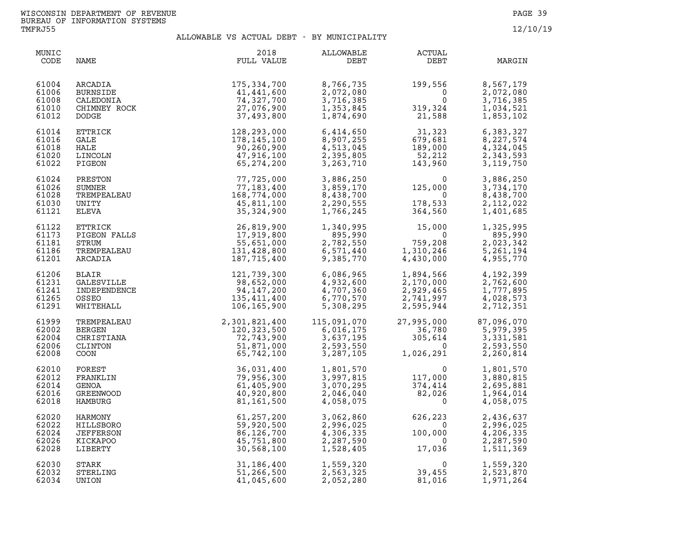| MUNIC<br>CODE                             | NAME  | 2018<br>FULL VALUE                                                                                                                                                                                                                                                       | <b>ALLOWABLE</b><br>DEBT                                      | <b>ACTUAL</b><br>DEBT                                                                                                                                                    | MARGIN                                                          |
|-------------------------------------------|-------|--------------------------------------------------------------------------------------------------------------------------------------------------------------------------------------------------------------------------------------------------------------------------|---------------------------------------------------------------|--------------------------------------------------------------------------------------------------------------------------------------------------------------------------|-----------------------------------------------------------------|
| 61004<br>61006<br>61008<br>61010<br>61012 |       | ARCADIA 175,334,700<br>BURNSIDE 41,441,600<br>CALEDONIA 74,327,700<br>CHIMNEY ROCK 27,076,900<br>DODGE 37,493,800                                                                                                                                                        | 8,766,735<br>2,072,080<br>3,716,385<br>1,353,845<br>1,874,690 | $199,556$<br>0<br>$319,324$<br>21,588                                                                                                                                    | 8,567,179<br>2,072,080<br>3,716,385<br>1,034,521<br>1,853,102   |
| 61014<br>61016<br>61018<br>61020<br>61022 |       | CHIMNEY ROCK<br>DODGE<br>CHIERICK 12, 293, 000<br>ETTRICK 12, 293, 000<br>HALE<br>CALE<br>CALE<br>FIGEON 47, 916, 100<br>PIGEON<br>PIGEON PREMPEALEAU 16, 774, 000<br>TITRICK 77, 123, 400<br>TITRICK 16, 774, 000<br>FIGEON FALLS 26, 819, 900<br>FIGEO                 | 6,414,650<br>8,907,255<br>4,513,045<br>2,395,805<br>3,263,710 | $31,323$<br>679,681<br>189,000<br>52,212<br>143,960                                                                                                                      | 6,383,327<br>8,227,574<br>4,324,045<br>2,343,593<br>3, 119, 750 |
| 61024<br>61026<br>61028<br>61030<br>61121 |       |                                                                                                                                                                                                                                                                          | 3,886,250<br>3,859,170<br>8,438,700<br>2,290,555<br>1,766,245 | $\begin{smallmatrix}&&&0\125,000\0&\phantom{-}0\0&\phantom{-}364,560\end{smallmatrix}$<br>178,533<br>364,560                                                             | 3,886,250<br>3,734,170<br>8,438,700<br>2,112,022<br>1,401,685   |
| 61122<br>61173<br>61181<br>61186<br>61201 |       |                                                                                                                                                                                                                                                                          |                                                               | 1,340,995<br>895,990<br>2,782,550<br>6,571,440<br>9,385,770<br>8,430,000                                                                                                 | 1,325,995<br>895,990<br>2,023,342<br>5,261,194<br>4,955,770     |
| 61206<br>61231<br>61241<br>61265<br>61291 |       |                                                                                                                                                                                                                                                                          | 6,086,965<br>4,932,600<br>4,707,360<br>6,770,570<br>5,308,295 | 1,894,566<br>2,170,000<br>2,929,465<br>2,741,997<br>2,595,944                                                                                                            | 4,192,399<br>2,762,600<br>1,777,895<br>4,028,573<br>2,712,351   |
| 61999<br>62002<br>62004<br>62006<br>62008 |       |                                                                                                                                                                                                                                                                          |                                                               | 115,091,070 27,995,000 87,096,070<br>$\begin{array}{cccc} 21,333,000 \\ 6,016,175 & 36,780 \\ 3,637,195 & 305,614 \\ 2,593,550 & 0 \\ 3,287,105 & 1,026,291 \end{array}$ | 5,979,395<br>3,331,581<br>2,593,550<br>2,260,814                |
| 62010<br>62012<br>62014<br>62016<br>62018 |       |                                                                                                                                                                                                                                                                          |                                                               |                                                                                                                                                                          | 1,801,570<br>3,880,815<br>2,695,881<br>1,964,014<br>4,058,075   |
| 62020<br>62022<br>62024<br>62026<br>62028 |       | WHITEHALL<br>IO6,165,900<br>TREMPEALEAU<br>BERGEN<br>CHISTIANA<br>CLINISTIANA<br>CLINISTIANA<br>CLINISTIANA<br>CLINISTIANA<br>CLINISTIANA<br>CLINISTIANA<br>TRANKLIN<br>FOREST<br>FRANKLIN<br>TRANKLIN<br>TRANKLIN<br>TRANGOD<br>GENOA<br>GENOA<br>GENOA<br>GENOA<br>GEN | 3,062,860<br>2,996,025<br>4,306,335<br>2,287,590<br>1,528,405 | $626, 223$<br>$100, 000$<br>$17, 036$                                                                                                                                    | 2,436,637<br>2,996,025<br>4,206,335<br>2,287,590<br>1,511,369   |
| 62030<br>62032<br>62034                   | UNION | 41,045,600                                                                                                                                                                                                                                                               | 1,559,320<br>2,563,325<br>2,052,280                           | $\overline{0}$<br>$0$<br>39,455<br>81,016                                                                                                                                | 1,559,320<br>2,523,870<br>1,971,264                             |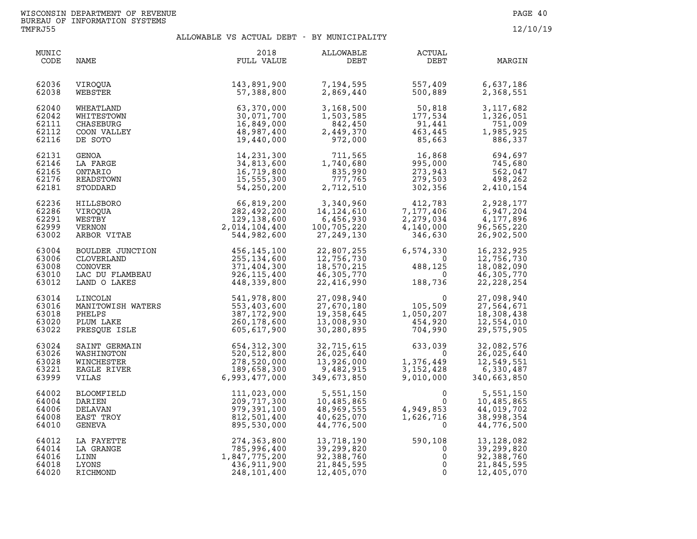| MUNIC<br>CODE                             | NAME                                                                         | 2018<br>FULL VALUE                                                                            | ALLOWABLE<br>DEBT                                                  | <b>ACTUAL</b><br>DEBT                                          | MARGIN                                                               |
|-------------------------------------------|------------------------------------------------------------------------------|-----------------------------------------------------------------------------------------------|--------------------------------------------------------------------|----------------------------------------------------------------|----------------------------------------------------------------------|
| 62036                                     | VIROOUA                                                                      | 143,891,900                                                                                   | 7,194,595                                                          | 557,409                                                        | 6,637,186                                                            |
| 62038                                     | WEBSTER                                                                      | 57,388,800                                                                                    | 2,869,440                                                          | 500,889                                                        | 2,368,551                                                            |
| 62040                                     | WHEATLAND                                                                    | 63,370,000                                                                                    | 3,168,500                                                          | 50,818                                                         | 3, 117, 682                                                          |
| 62042                                     | WHITESTOWN                                                                   | 30,071,700                                                                                    | 1,503,585                                                          | 177,534                                                        | 1,326,051                                                            |
| 62111                                     | CHASEBURG                                                                    | 16,849,000                                                                                    | 842,450                                                            | 91,441                                                         | 751,009                                                              |
| 62112                                     | COON VALLEY                                                                  | 48,987,400                                                                                    | 2,449,370                                                          | 463,445                                                        | 1,985,925                                                            |
| 62116                                     | DE SOTO                                                                      | 19,440,000                                                                                    | 972,000                                                            | 85,663                                                         | 886,337                                                              |
| 62131                                     | GENOA                                                                        | 14, 231, 300                                                                                  | 711,565                                                            | 16,868                                                         | 694,697                                                              |
| 62146                                     | LA FARGE                                                                     | 34,813,600                                                                                    | 1,740,680                                                          | 995,000                                                        | 745,680                                                              |
| 62165                                     | ONTARIO                                                                      | 16,719,800                                                                                    | 835,990                                                            | 273,943                                                        | 562,047                                                              |
| 62176                                     | READSTOWN                                                                    | 15,555,300                                                                                    | 777,765                                                            | 279,503                                                        | 498,262                                                              |
| 62181                                     | STODDARD                                                                     | 54,250,200                                                                                    | 2,712,510                                                          | 302,356                                                        | 2,410,154                                                            |
| 62236                                     | HILLSBORO                                                                    | $66, 819, 200$<br>$282, 492, 200$<br>$129, 138, 600$<br>$2, 014, 104, 400$<br>$544, 982, 500$ | 3,340,960                                                          | 412,783                                                        | 2,928,177                                                            |
| 62286                                     | VIROQUA                                                                      |                                                                                               | 14, 124, 610                                                       | 7,177,406                                                      | 6,947,204                                                            |
| 62291                                     | WESTBY                                                                       |                                                                                               | 6,456,930                                                          | 2,279,034                                                      | 4,177,896                                                            |
| 62999                                     | VERNON                                                                       |                                                                                               | 100,705,220                                                        | 4,140,000                                                      | 96,565,220                                                           |
| 63002                                     | ARBOR VITAE                                                                  |                                                                                               | 27,249,130                                                         | 346,630                                                        | 26,902,500                                                           |
| 63004<br>63006<br>63008<br>63010<br>63012 | BOULDER JUNCTION<br>CLOVERLAND<br>CONOVER<br>LAC DU FLAMBEAU<br>LAND O LAKES | 456,145,100<br>255,134,600<br>371,404,300<br>926,115,400<br>448,339,800                       | 22,807,255<br>12,756,730<br>18,570,215<br>46,305,770<br>22,416,990 | 6,574,330<br>$\overline{0}$<br>0<br>488,125<br>188,736         | 16,232,925<br>12,756,730<br>18,082,090<br>46,305,770<br>22, 228, 254 |
| 63014                                     | LINCOLN                                                                      | 541,978,800                                                                                   | 27,098,940                                                         | 0<br>1,05,509<br>1,050,207<br>454,920<br>704,990               | 27,098,940                                                           |
| 63016                                     | MANITOWISH WATERS                                                            | 553,403,600                                                                                   | 27,670,180                                                         |                                                                | 27,564,671                                                           |
| 63018                                     | PHELPS                                                                       | 387, 172, 900                                                                                 | 19,358,645                                                         |                                                                | 18,308,438                                                           |
| 63020                                     | PLUM LAKE                                                                    | 260,178,600                                                                                   | 13,008,930                                                         |                                                                | 12,554,010                                                           |
| 63022                                     | PRESQUE ISLE                                                                 | 605,617,900                                                                                   | 30,280,895                                                         |                                                                | 29,575,905                                                           |
| 63024                                     | SAINT GERMAIN                                                                | 654, 312, 300                                                                                 | 32,715,615                                                         | 633,039                                                        | 32,082,576                                                           |
| 63026                                     | WASHINGTON                                                                   | 520,512,800                                                                                   | 26,025,640                                                         | $\Omega$                                                       | 26,025,640                                                           |
| 63028                                     | WINCHESTER                                                                   | 278,520,000                                                                                   | 13,926,000                                                         | 1,376,449                                                      | 12,549,551                                                           |
| 63221                                     | EAGLE RIVER                                                                  | 189,658,300                                                                                   | 9,482,915                                                          | 3,152,428                                                      | 6,330,487                                                            |
| 63999                                     | VILAS                                                                        | 6,993,477,000                                                                                 | 349,673,850                                                        | 9,010,000                                                      | 340,663,850                                                          |
| 64002<br>64004<br>64006<br>64008<br>64010 | BLOOMFIELD<br>DARIEN<br>DELAVAN<br>EAST TROY<br>GENEVA                       | 111,023,000<br>209,717,300<br>979,391,100<br>812,501,400<br>895,530,000                       | 5,551,150<br>10,485,865<br>48,969,555<br>40,625,070<br>44,776,500  | $\mathbf{0}$<br>$\Omega$<br>4,949,853<br>1,626,716<br>$\Omega$ | 5,551,150<br>10,485,865<br>44,019,702<br>38,998,354<br>44,776,500    |
| 64012                                     | LA FAYETTE                                                                   | 274,363,800                                                                                   | 13,718,190                                                         | 590,108                                                        | 13, 128, 082                                                         |
| 64014                                     | LA GRANGE                                                                    | 785,996,400                                                                                   | 39,299,820                                                         | 0                                                              | 39,299,820                                                           |
| 64016                                     | LINN                                                                         | 1,847,775,200                                                                                 | 92,388,760                                                         | 0                                                              | 92,388,760                                                           |
| 64018                                     | LYONS                                                                        | 436,911,900                                                                                   | 21,845,595                                                         | 0                                                              | 21,845,595                                                           |
| 64020                                     | RICHMOND                                                                     | 248,101,400                                                                                   | 12,405,070                                                         | $\Omega$                                                       | 12,405,070                                                           |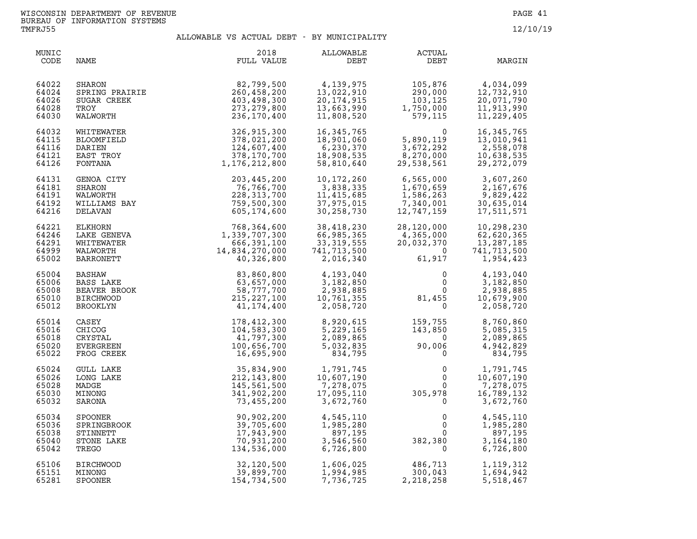| MUNIC<br>CODE                             | NAME                                                                       | 2018<br>FULL VALUE                                                                                                                                                                                                                                                                   | <b>ALLOWABLE</b><br>DEBT                                            | <b>ACTUAL</b><br>DEBT                                                                             | MARGIN                                                                                             |
|-------------------------------------------|----------------------------------------------------------------------------|--------------------------------------------------------------------------------------------------------------------------------------------------------------------------------------------------------------------------------------------------------------------------------------|---------------------------------------------------------------------|---------------------------------------------------------------------------------------------------|----------------------------------------------------------------------------------------------------|
| 64022<br>64024<br>64026<br>64028<br>64030 | SPRING PRAIRIE<br>SUGAR CREEK<br>TROY<br>WALWORTH<br>WILTTT                | 82,799,500<br>260,458,200<br>403,498,300<br>273, 279, 800<br>236,170,400                                                                                                                                                                                                             | 4,139,975<br>13,022,910<br>20, 174, 915<br>13,663,990<br>11,808,520 | $\begin{array}{cc}\n 105,876 \\  \hline\n 290,000 \\  103,125 \\  1,750,000\n \end{array}$        | 4,034,099<br>12,732,910<br>20,071,790<br>11,913,990<br>11,229,405                                  |
| 64032<br>64115<br>64116<br>64121<br>64126 | WHITEWATER<br>BLOOMFIELD<br>DARIEN<br>EAST TROY<br>FONTANA                 | 326,915,300<br>378,021,200<br>124,607,400<br>378,170,700<br>1,176,212,800                                                                                                                                                                                                            | 16, 345, 765<br>18,901,060<br>6,230,370<br>18,908,535<br>58,810,640 | 5,890,119<br>3,672,292<br>270.000<br>119, 119, 1672, 292<br>3, 672, 292<br>8, 270, 000<br>29, 538 | 16, 345, 765<br>13,010,941<br>2,558,078<br>10,638,535<br>29, 272, 079                              |
| 64131<br>64181<br>64191<br>64192<br>64216 | GENOA CITY<br>SHARON<br>WALWORTH<br>WILLIAMS BAY<br>DELAVAN                | 203,445,200<br>76,766,700<br>228, 313, 700<br>759,500,300<br>605,174,600                                                                                                                                                                                                             | 10,172,260<br>3,838,335<br>11,415,685<br>37,975,015<br>30,258,730   | 6,565,000<br>1,670,659<br>1,586,263<br>7,340,001<br>12,747,159                                    | 3,607,260<br>2,167,676<br>9,829,422<br>30,635,014<br>17,511,571                                    |
| 64221<br>64246<br>64291<br>64999<br>65002 | ELKHORN<br>LAKE GENEVA<br>WHITEWATER<br>WALWORTH<br><b>BARRONETT</b>       | $\begin{array}{r} \text{768,364,600} \\ 1,339,707,300 \\ 666,391,100 \\ 14,834,270,000 \\ 40,326,800 \\ 63,657,000 \\ 63,657,000 \\ 58,777,700 \\ 215,227,100 \\ 41,174,400 \\ 104,583,300 \\ 41,797,300 \\ 100,656,700 \\ 16,695,900 \\ 16,695,900 \\ \text{10.676,700} \end{array$ | 38,418,230<br>66,985,365<br>33,319,555<br>741.712<br>2,016,340      | 28,120,000<br>$4,365,000$<br>$20,032,370$<br>$61,917$                                             | 10,298,230<br>62,620,365<br>13, 287, 185<br>741,713,500<br>1,954,423                               |
| 65004<br>65006<br>65008<br>65010<br>65012 | BASHAW<br><b>BASS LAKE</b><br>BEAVER BROOK<br><b>BIRCHWOOD</b><br>BROOKLYN |                                                                                                                                                                                                                                                                                      | 4,193,040<br>3,182,850<br>2,938,885<br>10,761,355<br>2,058,720      | $\begin{smallmatrix}&&0\0&&0\0&0\0&31,455\0&0\end{smallmatrix}$                                   | 4,193,040<br>$\begin{matrix}0\\0\end{matrix}$<br>3,182,850<br>2,938,885<br>10,679,900<br>2,058,720 |
| 65014<br>65016<br>65018<br>65020<br>65022 | CASEY<br>CHICOG<br>CRYSTAL<br>EVERGREEN<br>FROG CREEK                      |                                                                                                                                                                                                                                                                                      | 8,920,615<br>5,229,165<br>2,089,865<br>5,032,835<br>834,795         | $159, 755$<br>$143, 850$<br>$90, 006$<br>$0$                                                      | 8,760,860<br>5,085,315<br>2,089,865<br>4,942,829<br>834,795                                        |
| 65024<br>65026<br>65028<br>65030<br>65032 | <b>GULL LAKE</b><br>LONG LAKE<br>MADGE<br>MINONG<br>SARONA                 | 35,834,900<br>212, 143, 800<br>145,561,500<br>341,902,200<br>73,455,200                                                                                                                                                                                                              | 1,791,745<br>10,607,190<br>7,278,075<br>17,095,110<br>3,672,760     | $0$<br>0<br>305,978<br>0<br>$\overline{0}$                                                        | 1,791,745<br>10,607,190<br>7,278,075<br>16,789,132<br>3,672,760                                    |
| 65034<br>65036<br>65038<br>65040<br>65042 | <b>SPOONER</b><br>SPRINGBROOK<br>STINNETT<br>STONE LAKE<br>TREGO           | 90,902,200<br>39,705,600<br>17,943,900<br>70,931,200<br>134,536,000                                                                                                                                                                                                                  | 4,545,110<br>1,985,280<br>897,195<br>3,546,560<br>6,726,800         | $\begin{smallmatrix}&&&0\0&&&0\0&0&0\3&82\, ,380&0\end{smallmatrix}$                              | 4,545,110<br>1,985,280<br>897,195<br>3, 164, 180<br>6,726,800                                      |
| 65106<br>65151<br>65281                   | <b>BIRCHWOOD</b><br>MINONG<br>SPOONER                                      | 32,120,500<br>39,899,700<br>154,734,500                                                                                                                                                                                                                                              | 1,606,025<br>1,994,985<br>7,736,725                                 | 486,713<br>300,043<br>2,218,258                                                                   | 1, 119, 312<br>1,694,942<br>5,518,467                                                              |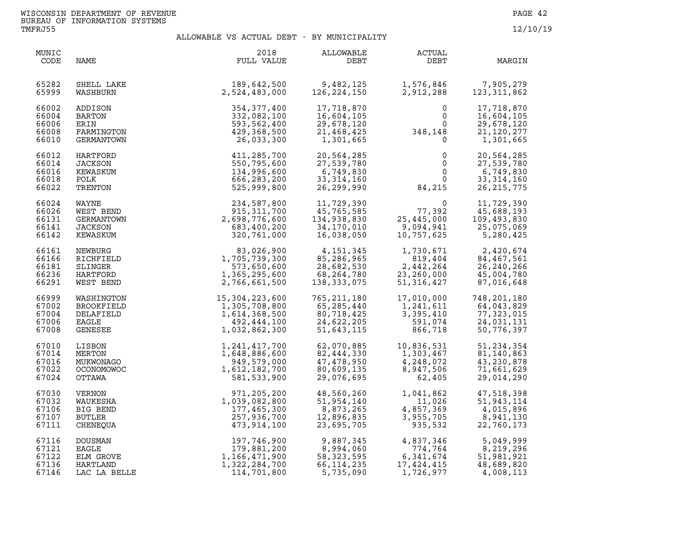| MUNIC<br>CODE                             | NAME                                                             | 2018<br>FULL VALUE                                                          | ALLOWABLE<br>DEBT                                                   | ACTUAL<br>DEBT                                                                 | MARGIN                                                              |
|-------------------------------------------|------------------------------------------------------------------|-----------------------------------------------------------------------------|---------------------------------------------------------------------|--------------------------------------------------------------------------------|---------------------------------------------------------------------|
| 65282                                     | SHELL LAKE                                                       | 189,642,500                                                                 | 9,482,125                                                           | 1,576,846                                                                      | 7,905,279                                                           |
| 65999                                     | WASHBURN                                                         | 2,524,483,000                                                               | 126, 224, 150                                                       | 2,912,288                                                                      | 123, 311, 862                                                       |
| 66002<br>66004<br>66006<br>66008<br>66010 | ADDISON<br>BARTON<br>ERIN<br>FARMINGTON<br>GERMANTOWN            | 354, 377, 400<br>332,082,100<br>593,562,400<br>429,368,500<br>26,033,300    | 17,718,870<br>16,604,105<br>29,678,120<br>21,468,425<br>1,301,665   | 0<br>$\mathsf{O}$<br>$0$<br>348,148<br>$\mathbf 0$                             | 17,718,870<br>16,604,105<br>29,678,120<br>21, 120, 277<br>1,301,665 |
| 66012                                     | HARTFORD                                                         | 411,285,700                                                                 | 20,564,285                                                          | 0                                                                              | 20,564,285                                                          |
| 66014                                     | JACKSON                                                          | 550,795,600                                                                 | 27,539,780                                                          | $\mathbf 0$                                                                    | 27,539,780                                                          |
| 66016                                     | KEWASKUM                                                         | 134,996,600                                                                 | 6,749,830                                                           | $\mathsf{O}\xspace$                                                            | 6,749,830                                                           |
| 66018                                     | POLK                                                             | 666,283,200                                                                 | 33, 314, 160                                                        | $\mathbf 0$                                                                    | 33, 314, 160                                                        |
| 66022                                     | TRENTON                                                          | 525,999,800                                                                 | 26,299,990                                                          | 84,215                                                                         | 26, 215, 775                                                        |
| 66024                                     | WAYNE                                                            | 234,587,800                                                                 | 11,729,390                                                          | 0                                                                              | 11,729,390                                                          |
| 66026                                     | WEST BEND                                                        | 915, 311, 700                                                               | 45,765,585                                                          | 77,392                                                                         | 45,688,193                                                          |
| 66131                                     | GERMANTOWN                                                       | 2,698,776,600                                                               | 134,938,830                                                         | 25,445,000                                                                     | 109,493,830                                                         |
| 66141                                     | JACKSON                                                          | 683,400,200                                                                 | 34,170,010                                                          | 9,094,941                                                                      | 25,075,069                                                          |
| 66142                                     | KEWASKUM                                                         | 320,761,000                                                                 | 16,038,050                                                          | 10,757,625                                                                     | 5,280,425                                                           |
| 66161                                     | NEWBURG                                                          | 83,026,900                                                                  | 4,151,345                                                           | 1,730,671                                                                      | 2,420,674                                                           |
| 66166                                     | RICHFIELD                                                        | 1,705,739,300                                                               | 85,286,965                                                          | 819,404                                                                        | 84,467,561                                                          |
| 66181                                     | SLINGER                                                          | 573,650,600                                                                 | 28,682,530                                                          | 2,442,264                                                                      | 26, 240, 266                                                        |
| 66236                                     | HARTFORD                                                         | 1,365,295,600                                                               | 68,264,780                                                          | 23,260,000                                                                     | 45,004,780                                                          |
| 66291                                     | WEST BEND                                                        | 2,766,661,500                                                               | 138,333,075                                                         | 51, 316, 427                                                                   | 87,016,648                                                          |
| 66999                                     | WASHINGTON                                                       | 15,304,223,600                                                              | 765, 211, 180                                                       | 17,010,000                                                                     | 748,201,180                                                         |
| 67002                                     | BROOKFIELD                                                       | 1,305,708,800                                                               | 65,285,440                                                          | 1,241,611                                                                      | 64,043,829                                                          |
| 67004                                     | DELAFIELD                                                        | 1,614,368,500                                                               | 80,718,425                                                          | 3,395,410                                                                      | 77,323,015                                                          |
| 67006                                     | EAGLE                                                            | 492,444,100                                                                 | 24,622,205                                                          | 591,074                                                                        | 24,031,131                                                          |
| 67008                                     | GENESEE                                                          | 1,032,862,300                                                               | 51,643,115                                                          | 866,718                                                                        | 50,776,397                                                          |
| 67010                                     | LISBON                                                           | 1, 241, 417, 700                                                            | 62,070,885                                                          | 10,836,531                                                                     | 51, 234, 354                                                        |
| 67014                                     | MERTON                                                           | 1,648,886,600                                                               | 82,444,330                                                          | 1,303,467                                                                      | 81,140,863                                                          |
| 67016                                     | MUKWONAGO                                                        | 949,579,000                                                                 | 47,478,950                                                          | 4,248,072                                                                      | 43,230,878                                                          |
| 67022                                     | <b>OCONOMOWOC</b>                                                | 1,612,182,700                                                               | 80,609,135                                                          | 8,947,506                                                                      | 71,661,629                                                          |
| 67024                                     | OTTAWA                                                           | 581,533,900                                                                 | 29,076,695                                                          | 62,405                                                                         | 29,014,290                                                          |
| 67030                                     | VERNON                                                           | 971,205,200                                                                 | 48,560,260                                                          | 1,041,862                                                                      | 47,518,398                                                          |
| 67032                                     | WAUKESHA                                                         | 1,039,082,800                                                               | 51,954,140                                                          | 11,026                                                                         | 51,943,114                                                          |
| 67106                                     | BIG BEND                                                         | 177,465,300                                                                 | 8,873,265                                                           | 4,857,369                                                                      | 4,015,896                                                           |
| 67107                                     | <b>BUTLER</b>                                                    | 257,936,700                                                                 | 12,896,835                                                          | 3,955,705                                                                      | 8,941,130                                                           |
| 67111                                     | CHENEQUA                                                         | 473,914,100                                                                 | 23,695,705                                                          | 935,532                                                                        | 22,760,173                                                          |
| 67116<br>67121<br>67122<br>67136<br>67146 | DOUSMAN<br><b>EAGLE</b><br>ELM GROVE<br>HARTLAND<br>LAC LA BELLE | 197,746,900<br>179,881,200<br>1,166,471,900<br>1,322,284,700<br>114,701,800 | 9,887,345<br>8,994,060<br>58, 323, 595<br>66, 114, 235<br>5,735,090 | 4, 837, 346<br>774, 764<br>6, 341, 674<br>774,764<br>17, 424, 415<br>1,726,977 | 5,049,999<br>8,219,296<br>51,981,921<br>48,689,820<br>4,008,113     |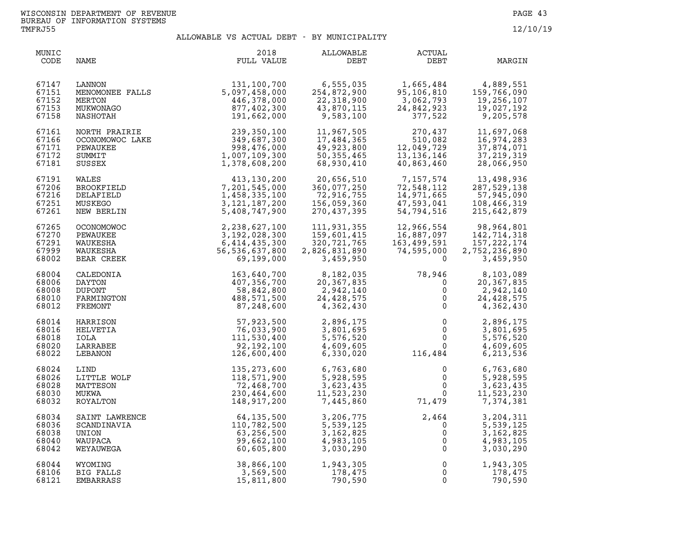| MUNIC<br>CODE                             | NAME                                                                | 2018<br>FULL VALUE                                                                                     | ALLOWABLE<br>DEBT                                                       | ACTUAL<br>DEBT                                                       | MARGIN                                                                   |
|-------------------------------------------|---------------------------------------------------------------------|--------------------------------------------------------------------------------------------------------|-------------------------------------------------------------------------|----------------------------------------------------------------------|--------------------------------------------------------------------------|
| 67147<br>67151<br>67152<br>67153<br>67158 | MENOMONEE FALLS<br>MERTON<br>MUKWONAGO<br>NASHOTAH                  | 131,100,700<br>5,097,458,000<br>446,378,000<br>877,402,300<br>191,662,000                              | 6,555,035<br>254,872,900<br>22,318,900<br>43,870,115<br>9,583,100       | 1,665,484<br>95,106,810<br>3,062,793<br>24,842,923<br>377,522        | 4,889,551<br>159,766,090<br>19,256,107<br>19,027,192<br>9,205,578        |
| 67161                                     | NORTH PRAIRIE                                                       | 239,350,100                                                                                            | 11,967,505                                                              | 270,437                                                              | 11,697,068                                                               |
| 67166                                     | OCONOMOWOC LAKE                                                     | 349,687,300                                                                                            | 17,484,365                                                              | 510,082                                                              | 16,974,283                                                               |
| 67171                                     | PEWAUKEE                                                            | 998,476,000                                                                                            | 49,923,800                                                              | 12,049,729                                                           | 37,874,071                                                               |
| 67172                                     | SUMMIT                                                              | 1,007,109,300                                                                                          | 50, 355, 465                                                            | 13, 136, 146                                                         | 37, 219, 319                                                             |
| 67181                                     | SUSSEX                                                              | 1,378,608,200                                                                                          | 68,930,410                                                              | 40,863,460                                                           | 28,066,950                                                               |
| 67191                                     | WALES                                                               | $13, 130, 200$<br>$7, 201, 545, 000$<br>$1, 458, 335, 100$<br>$3, 121, 187, 200$<br>$5, 408, 747, 900$ | 20,656,510                                                              | 7,157,574                                                            | 13,498,936                                                               |
| 67206                                     | BROOKFIELD                                                          |                                                                                                        | 360,077,250                                                             | 72,548,112                                                           | 287,529,138                                                              |
| 67216                                     | DELAFIELD                                                           |                                                                                                        | 72,916,755                                                              | 14,971,665                                                           | 57,945,090                                                               |
| 67251                                     | MUSKEGO                                                             |                                                                                                        | 156,059,360                                                             | 47,593,041                                                           | 108,466,319                                                              |
| 67261                                     | NEW BERLIN                                                          |                                                                                                        | 270,437,395                                                             | 54,794,516                                                           | 215,642,879                                                              |
| 67265<br>67270<br>67291<br>67999<br>68002 | <b>OCONOMOWOC</b><br>PEWAUKEE<br>WAUKESHA<br>WAUKESHA<br>BEAR CREEK | 2, 238, 627, 100<br>3, 192, 028, 300<br>6, 414, 435, 300<br>56, 536, 637, 800<br>69, 199, 000          | 111,931,355<br>159,601,415<br>320,721,765<br>2,826,831,890<br>3,459,950 | 12,966,554<br>16,887,097<br>163,499,591<br>163,499,591<br>74,595,000 | 98,964,801<br>142,714,318<br>157, 222, 174<br>2,752,236,890<br>3,459,950 |
| 68004                                     | CALEDONIA                                                           | 163,640,700                                                                                            | 8,182,035                                                               | 78,946                                                               | 8,103,089                                                                |
| 68006                                     | DAYTON                                                              | 407,356,700                                                                                            | 20,367,835                                                              | $\overline{0}$                                                       | 20,367,835                                                               |
| 68008                                     | <b>DUPONT</b>                                                       | 58,842,800                                                                                             | 2,942,140                                                               | $\mathsf 0$                                                          | 2,942,140                                                                |
| 68010                                     | FARMINGTON                                                          | 488,571,500                                                                                            | 24,428,575                                                              | $\tilde{0}$                                                          | 24, 428, 575                                                             |
| 68012                                     | FREMONT                                                             | 87,248,600                                                                                             | 4,362,430                                                               | $\overline{0}$                                                       | 4,362,430                                                                |
| 68014                                     | HARRISON                                                            | 57,923,500                                                                                             | 2,896,175                                                               | $\overline{0}$                                                       | 2,896,175                                                                |
| 68016                                     | HELVETIA                                                            | 76,033,900                                                                                             | 3,801,695                                                               | $\overline{0}$                                                       | 3,801,695                                                                |
| 68018                                     | IOLA                                                                | 111,530,400                                                                                            | 5,576,520                                                               | $\overline{0}$                                                       | 5,576,520                                                                |
| 68020                                     | LARRABEE                                                            | 92,192,100                                                                                             | 4,609,605                                                               | $\overline{0}$                                                       | 4,609,605                                                                |
| 68022                                     | LEBANON                                                             | 126,600,400                                                                                            | 6,330,020                                                               | 116,484                                                              | 6,213,536                                                                |
| 68024<br>68026<br>68028<br>68030<br>68032 | LIND<br>LITTLE WOLF<br>MATTESON<br>MUKWA<br>ROYALTON                | 135, 273, 600<br>118,571,900<br>72,468,700<br>230,464,600<br>148,917,200                               | 6,763,680<br>5,928,595<br>3,623,435<br>11, 523, 230<br>7, 445, 860      | 0<br>$\mathbf 0$<br>$\mathsf{O}$<br>$\mathbf 0$<br>71,479            | 6,763,680<br>5,928,595<br>3,623,435<br>11,523,230<br>7,374,381           |
| 68034                                     | SAINT LAWRENCE                                                      | 64,135,500                                                                                             | 3,206,775                                                               | 2,464                                                                | 3,204,311                                                                |
| 68036                                     | SCANDINAVIA                                                         | 110,782,500                                                                                            | 5,539,125                                                               | $\mathbf 0$                                                          | 5,539,125                                                                |
| 68038                                     | UNION                                                               | 63,256,500                                                                                             | 3, 162, 825                                                             | $\overline{0}$                                                       | 3, 162, 825                                                              |
| 68040                                     | WAUPACA                                                             | 99,662,100                                                                                             | 4,983,105                                                               | $\overline{0}$                                                       | 4,983,105                                                                |
| 68042                                     | WEYAUWEGA                                                           | 60,605,800                                                                                             | 3,030,290                                                               | $\mathsf 0$                                                          | 3,030,290                                                                |
| 68044                                     | WYOMING                                                             | 38,866,100                                                                                             | 1,943,305                                                               | $\mathsf 0$                                                          | 1,943,305                                                                |
| 68106                                     | BIG FALLS                                                           | 3,569,500                                                                                              | 178,475                                                                 | 0                                                                    | 178,475                                                                  |
| 68121                                     | EMBARRASS                                                           | 15,811,800                                                                                             | 790,590                                                                 | 0                                                                    | 790,590                                                                  |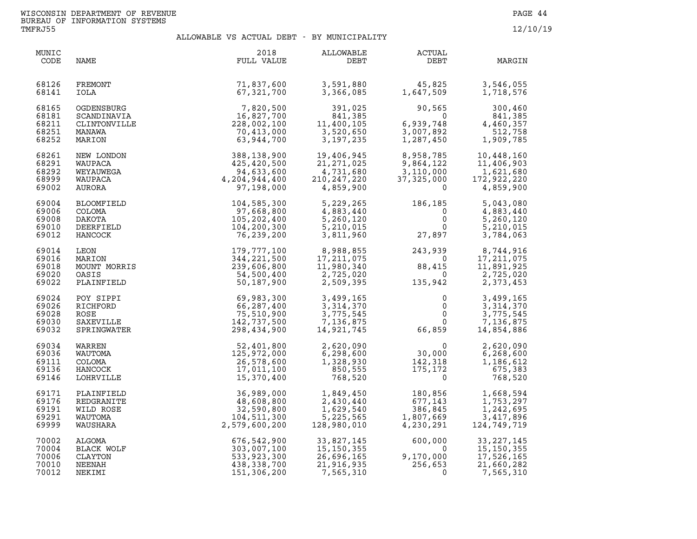| MUNIC<br>CODE                             | NAME                                                                                                                                                                                 | 2018<br>FULL VALUE                                                                          | ALLOWABLE<br>DEBT                                                     | ACTUAL<br>DEBT                                                                                             | MARGIN                                                            |
|-------------------------------------------|--------------------------------------------------------------------------------------------------------------------------------------------------------------------------------------|---------------------------------------------------------------------------------------------|-----------------------------------------------------------------------|------------------------------------------------------------------------------------------------------------|-------------------------------------------------------------------|
| 68126                                     | FREMONT                                                                                                                                                                              | 71,837,600                                                                                  | 3,591,880                                                             | 45,825<br>1,647,509                                                                                        | 3,546,055                                                         |
| 68141                                     | IOLA                                                                                                                                                                                 | 67,321,700                                                                                  | 3,366,085                                                             | 45,825<br>1,647,509                                                                                        | 1,718,576                                                         |
| 68165                                     | OGDENSBURG                                                                                                                                                                           | 7,820,500                                                                                   | 391,025                                                               | 90,565                                                                                                     | 300,460                                                           |
| 68181                                     | SCANDINAVIA                                                                                                                                                                          | 16,827,700                                                                                  | 841,385                                                               | $\overline{0}$                                                                                             | 841,385                                                           |
| 68211                                     | CLINTONVILLE                                                                                                                                                                         | 228,002,100                                                                                 | 841,385<br>11,400,105<br>3,520,650                                    | 6,939,748                                                                                                  | 4,460,357                                                         |
| 68251                                     | MANAWA                                                                                                                                                                               | 70,413,000                                                                                  | 11,400,105                                                            | 3,007,892                                                                                                  | 512,758                                                           |
| 68252                                     | MARION                                                                                                                                                                               | 63,944,700                                                                                  | 3, 197, 235                                                           | 1,287,450                                                                                                  | 1,909,785                                                         |
| 68261<br>68291<br>68292<br>68999<br>69002 | NEW LONDON<br>WAUPACA<br>WEYAUWEGA                                                                                                                                                   | $388, 138, 900$<br>$425, 420, 500$<br>$94, 633, 600$<br>$4, 204, 944, 400$<br>$97, 198,000$ | 19,406,945<br>21, 271, 025<br>4,731,680<br>210, 247, 220<br>4,859,900 | 8,958,785<br>9,864,122<br>3,110,000<br>37,325,000<br>0                                                     | 10,448,160<br>11,406,903<br>1,621,680<br>172,922,220<br>4,859,900 |
| 69004                                     | WEGA<br>ACA<br>ACA<br>ACA<br>RA<br>OMFIELD<br>LOMA<br>.COTA<br>.EEFTELD<br>ANCOCK<br>LEON<br>MARION<br>MOUNT MORRIS<br>OASIS<br>TNFIELD<br>PARION<br>MOUNT MORRIS<br>OASIS<br>THEILD | 104,585,300                                                                                 | 5,229,265                                                             | 186,185                                                                                                    | 5,043,080                                                         |
| 69006                                     |                                                                                                                                                                                      | 97,668,800                                                                                  | 4,883,440                                                             | $\Omega$                                                                                                   | 4,883,440                                                         |
| 69008                                     |                                                                                                                                                                                      | 105,202,400                                                                                 | 5,260,120                                                             | $\mathsf{O}$                                                                                               | 5,260,120                                                         |
| 69010                                     |                                                                                                                                                                                      | 104,200,300                                                                                 | 5,210,015                                                             | $\mathbf{0}$                                                                                               | 5,210,015                                                         |
| 69012                                     |                                                                                                                                                                                      | 76,239,200                                                                                  | 3,811,960                                                             | 27,897                                                                                                     | 3,784,063                                                         |
| 69014<br>69016<br>69018<br>69020<br>69022 |                                                                                                                                                                                      | 179,777,100<br>344,221,500<br>239,606,800<br>54,500,400<br>50,187,900                       | 8,988,855<br>17,211,075<br>11,980,340<br>2,725,020<br>2,509,395       | 243,939 8,744,916<br>0 17,211,075<br>88,415 11,891,925<br>0 2,725,020<br>135,942 2,373,453                 |                                                                   |
| 69024<br>69026<br>69028<br>69030<br>69032 | RICHFORD<br>ROSE<br>SAXEVILLE<br>SPRINGWATER                                                                                                                                         | 69,983,300<br>66,287,400<br>75,510,900<br>142,737,500<br>298,434,900                        | 3,499,165<br>3,314,370<br>3,775,545<br>7,136,875<br>14,921,745        | $\mathbf 0$<br>$\overline{0}$<br>$\overline{0}$<br>$\overline{0}$<br>66,859                                | 3,499,165<br>3,314,370<br>3,775,545<br>7,136,875<br>14,854,886    |
| 69034<br>69036<br>69111<br>69136<br>69146 | WARREN<br>WAUTOMA<br>COLOMA<br>HANCOCK<br>LOHRVILLE                                                                                                                                  | 52,401,800<br>125,972,000<br>26,578,600<br>17,011,100<br>15,370,400                         | 2,620,090<br>6,298,600<br>1,328,930<br>850,555<br>768,520             | $\begin{array}{c} 0 \\ 30,000 \\ 142,318 \\ 175,172 \\ 0 \end{array}$<br>30,000<br>142,318<br>175,172<br>0 | 2,620,090<br>6,268,600<br>1,186,612<br>675,383<br>768,520         |
| 69171                                     | PLAINFIELD                                                                                                                                                                           | 36,989,000                                                                                  | 1,849,450                                                             | 180,856                                                                                                    | 1,668,594                                                         |
| 69176                                     | REDGRANITE                                                                                                                                                                           | 48,608,800                                                                                  | 2,430,440                                                             | 677,143                                                                                                    | 1,753,297                                                         |
| 69191                                     | WILD ROSE                                                                                                                                                                            | 32,590,800                                                                                  | 1,629,540                                                             | 386,845                                                                                                    | 1,242,695                                                         |
| 69291                                     | WAUTOMA                                                                                                                                                                              | 104,511,300                                                                                 | 5,225,565                                                             | 1,807,669                                                                                                  | 3,417,896                                                         |
| 69999                                     | WAUSHARA                                                                                                                                                                             | 2,579,600,200                                                                               | 128,980,010                                                           | 4,230,291                                                                                                  | 124,749,719                                                       |
| 70002                                     | ALGOMA                                                                                                                                                                               | 676,542,900                                                                                 | 33,827,145                                                            | 600,000                                                                                                    | 33, 227, 145                                                      |
| 70004                                     | BLACK WOLF                                                                                                                                                                           | 303,007,100                                                                                 | 15,150,355                                                            | $\overline{0}$                                                                                             | 15,150,355                                                        |
| 70006                                     | CLAYTON                                                                                                                                                                              | 533,923,300                                                                                 | 26,696,165                                                            | 9,170,000                                                                                                  | 17,526,165                                                        |
| 70010                                     | NEENAH                                                                                                                                                                               | 438,338,700                                                                                 | 21,916,935                                                            | 256,653                                                                                                    | 21,660,282                                                        |
| 70012                                     | NEKIMI                                                                                                                                                                               | 151,306,200                                                                                 | 7,565,310                                                             | $\Omega$                                                                                                   | 7,565,310                                                         |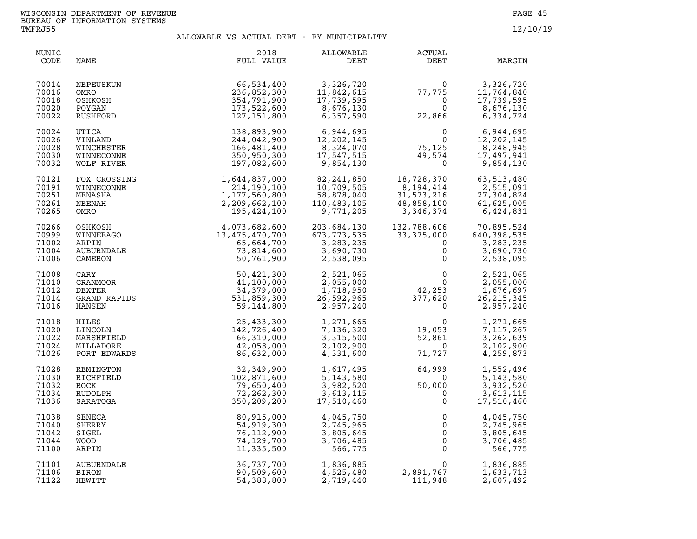| MUNIC<br>CODE                             | NAME                                                     | 2018<br>FULL VALUE                                                                                                                                                                                                                                                                                      | ALLOWABLE<br>DEBT                                                              | ACTUAL<br>DEBT                                                                                                                     | MARGIN                                                             |
|-------------------------------------------|----------------------------------------------------------|---------------------------------------------------------------------------------------------------------------------------------------------------------------------------------------------------------------------------------------------------------------------------------------------------------|--------------------------------------------------------------------------------|------------------------------------------------------------------------------------------------------------------------------------|--------------------------------------------------------------------|
| 70014<br>70016<br>70018<br>70020<br>70022 | NEPEUSKUN<br>OMRO<br>OSHKOSH<br>POYGAN<br>RUSHFORD       | 66,534,400<br>236,852,300<br>354,791,900<br>173,522,600<br>127,151,800                                                                                                                                                                                                                                  | 3,326,720<br>11,842,615<br>17,739,595<br>$8,676,130$<br>6.357.590<br>6,357,590 | $\Omega$<br>77,775<br>$\overline{0}$<br>$\Omega$<br>22,866                                                                         | 3,326,720<br>11,764,840<br>17,739,595<br>8,676,130<br>6,334,724    |
| 70024<br>70026<br>70028<br>70030<br>70032 | <b>UTICA</b><br>VINLAND<br>WINCHESTER                    | 138,893,900<br>244,042,900<br>166,481,400                                                                                                                                                                                                                                                               | 6,944,695<br>12,202,145<br>8,324,070<br>17,547,515<br>9,854,130                | $\overline{0}$<br>$\overline{0}$<br>75,125<br>49,574<br>$\Omega$                                                                   | 6,944,695<br>12,202,145<br>8,248,945<br>17,497,941<br>9,854,130    |
| 70121<br>70191<br>70251<br>70261<br>70265 |                                                          | $\begin{tabular}{c c} & $1, 64$ \\ \hline 1, 177, 56. \\ 2, 209, 662. \\ .0SH & 4, 073, 682, 600 \\ .0SH & 4, 073, 682, 600 \\ .0SH & 4, 073, 682, 600 \\ .0SH & 4, 073, 682, 600 \\ .019. CRANDBAGO & 13, 475, 470, 700 \\ .01CHNNDALE & 73, 814, 77 \\ .0112. CRANDENDALE & 73, 814, 77 \\ .012. ERX$ | 82, 241, 850<br>10,709,505<br>58,878,040<br>110,483,105<br>9,771,205           | 18,728,370<br>8,194,414<br>31,573,216<br>48,858,100<br>3,346,374                                                                   | 63,513,480<br>2,515,091<br>27,304,824<br>61,625,005<br>6,424,831   |
| 70266<br>70999<br>71002<br>71004<br>71006 |                                                          |                                                                                                                                                                                                                                                                                                         | 203,684,130<br>673, 773, 535<br>3, 283, 235<br>3,690,730<br>2,538,095          | 132,788,606<br>33,375,000<br>$\Omega$<br>$\mathsf{O}$<br>$\mathsf{O}$                                                              | 70,895,524<br>640, 398, 535<br>3,283,235<br>3,690,730<br>2,538,095 |
| 71008<br>71010<br>71012<br>71014<br>71016 |                                                          |                                                                                                                                                                                                                                                                                                         | 2,521,065<br>2,055,000<br>1,718,950<br>26,592,965<br>2,957,240                 | $\begin{array}{ccc} & 0 & 2,521,065 \\ & 0 & 2,055,000 \\ 42,253 & 1,676,697 \\ 377,620 & 26,215,345 \\ 0 & 2,957,240 \end{array}$ |                                                                    |
| 71018<br>71020<br>71022<br>71024<br>71026 |                                                          |                                                                                                                                                                                                                                                                                                         | 1,271,665<br>7,136,320<br>3,315,500<br>2,102,900<br>4,331,600                  | $\overline{0}$<br>19,053<br>52,861<br>$\overline{0}$<br>71,727                                                                     | 1,271,665<br>7,117,267<br>3,262,639<br>2,102,900<br>4,259,873      |
| 71028<br>71030<br>71032<br>71034<br>71036 | REMINGTON<br>RICHFIELD<br>ROCK<br>RUDOLPH<br>SARATOGA    | 32,349,900<br>102,871,600<br>79,650,400<br>72,262,300<br>350,209,200                                                                                                                                                                                                                                    | 1,617,495<br>5, 143, 580<br>3,982,520<br>3,613,115<br>17,510,460               | 64,999<br>$\overline{0}$<br>50,000<br>$\mathbf{0}$<br>$\mathsf{O}$                                                                 | 1,552,496<br>5, 143, 580<br>3,932,520<br>3,613,115<br>17,510,460   |
| 71038<br>71040<br>71042<br>71044<br>71100 | <b>SENECA</b><br>SHERRY<br>SIGEL<br><b>WOOD</b><br>ARPIN | 80,915,000<br>54,919,300<br>76,112,900<br>74,129,700<br>11,335,500                                                                                                                                                                                                                                      | 4,045,750<br>2,745,965<br>3,805,645<br>3,706,485<br>566,775                    | $\mathbf 0$<br>$\Omega$<br>$\overline{0}$<br>$\overline{0}$<br>$\Omega$                                                            | 4,045,750<br>2,745,965<br>3,805,645<br>3,706,485<br>566,775        |
| 71101<br>71106<br>71122                   | AUBURNDALE<br>BIRON<br>HEWITT                            | 36,737,700<br>90,509,600<br>54,388,800                                                                                                                                                                                                                                                                  | 1,836,885<br>4,525,480<br>2,719,440                                            | $\Omega$<br>2,891,767<br>111,948                                                                                                   | 1,836,885<br>1,633,713<br>2,607,492                                |